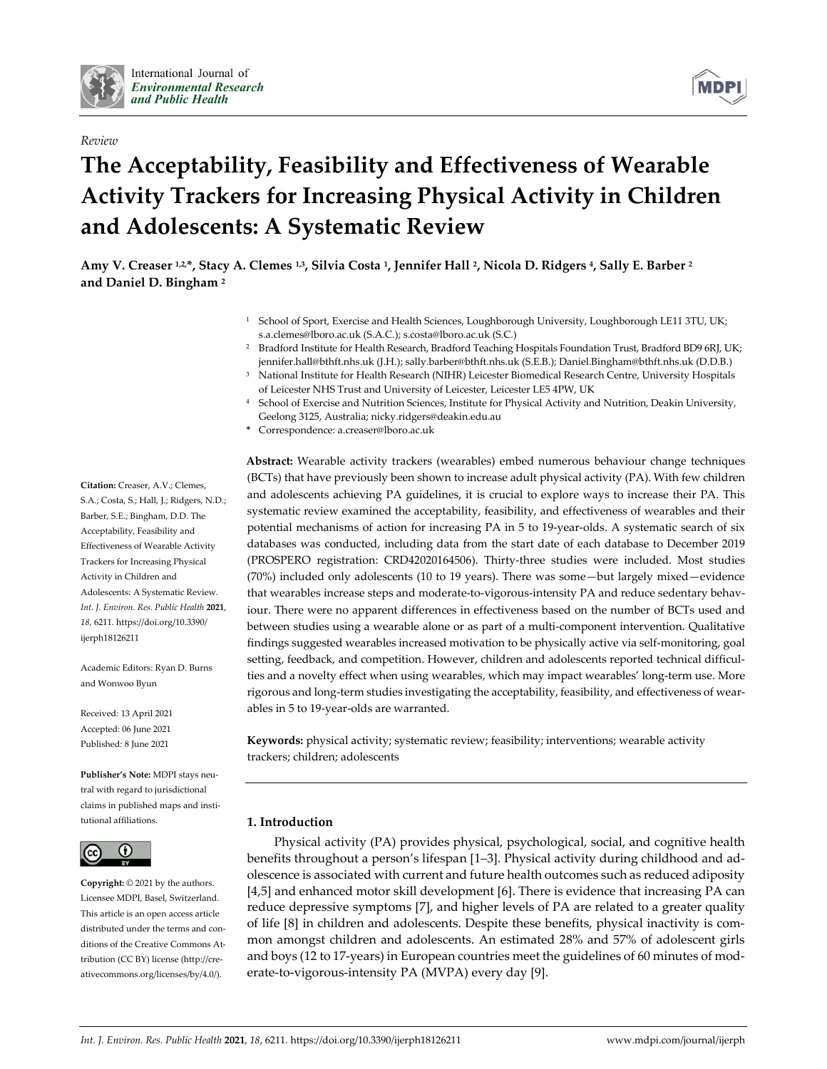

# *Review*

# **The Acceptability, Feasibility and Effectiveness of Wearable Activity Trackers for Increasing Physical Activity in Children and Adolescents: A Systematic Review**

Amy V. Creaser 12\*, Stacy A. Clemes 1.3, Silvia Costa 1, Jennifer Hall 2, Nicola D. Ridgers 4, Sally E. Barber 2 **and Daniel D. Bingham <sup>2</sup>**

- <sup>1</sup> School of Sport, Exercise and Health Sciences, Loughborough University, Loughborough LE11 3TU, UK; s.a.clemes@lboro.ac.uk (S.A.C.); s.costa@lboro.ac.uk (S.C.)
- <sup>2</sup> Bradford Institute for Health Research, Bradford Teaching Hospitals Foundation Trust, Bradford BD9 6RJ, UK; jennifer.hall@bthft.nhs.uk (J.H.); sally.barber@bthft.nhs.uk (S.E.B.); Daniel.Bingham@bthft.nhs.uk (D.D.B.)
- <sup>3</sup> National Institute for Health Research (NIHR) Leicester Biomedical Research Centre, University Hospitals of Leicester NHS Trust and University of Leicester, Leicester LE5 4PW, UK
- <sup>4</sup> School of Exercise and Nutrition Sciences, Institute for Physical Activity and Nutrition, Deakin University, Geelong 3125, Australia; nicky.ridgers@deakin.edu.au
- **\*** Correspondence: a.creaser@lboro.ac.uk

**Abstract:** Wearable activity trackers (wearables) embed numerous behaviour change techniques (BCTs) that have previously been shown to increase adult physical activity (PA). With few children and adolescents achieving PA guidelines, it is crucial to explore ways to increase their PA. This systematic review examined the acceptability, feasibility, and effectiveness of wearables and their potential mechanisms of action for increasing PA in 5 to 19-year-olds. A systematic search of six databases was conducted, including data from the start date of each database to December 2019 (PROSPERO registration: CRD42020164506). Thirty-three studies were included. Most studies (70%) included only adolescents (10 to 19 years). There was some—but largely mixed—evidence that wearables increase steps and moderate-to-vigorous-intensity PA and reduce sedentary behaviour. There were no apparent differences in effectiveness based on the number of BCTs used and between studies using a wearable alone or as part of a multi-component intervention. Qualitative findings suggested wearables increased motivation to be physically active via self-monitoring, goal setting, feedback, and competition. However, children and adolescents reported technical difficulties and a novelty effect when using wearables, which may impact wearables' long-term use. More rigorous and long-term studies investigating the acceptability, feasibility, and effectiveness of wearables in 5 to 19-year-olds are warranted.

**Keywords:** physical activity; systematic review; feasibility; interventions; wearable activity trackers; children; adolescents

# **1. Introduction**

Physical activity (PA) provides physical, psychological, social, and cognitive health benefits throughout a person's lifespan [1–3]. Physical activity during childhood and adolescence is associated with current and future health outcomes such as reduced adiposity [4,5] and enhanced motor skill development [6]. There is evidence that increasing PA can reduce depressive symptoms [7], and higher levels of PA are related to a greater quality of life [8] in children and adolescents. Despite these benefits, physical inactivity is common amongst children and adolescents. An estimated 28% and 57% of adolescent girls and boys (12 to 17-years) in European countries meet the guidelines of 60 minutes of moderate-to-vigorous-intensity PA (MVPA) every day [9].

**Citation:** Creaser, A.V.; Clemes, S.A.; Costa, S.; Hall, J.; Ridgers, N.D.; Barber, S.E.; Bingham, D.D. The Acceptability, Feasibility and Effectiveness of Wearable Activity Trackers for Increasing Physical Activity in Children and Adolescents: A Systematic Review. *Int. J. Environ. Res. Public Health* **2021**, *18*, 6211. https://doi.org/10.3390/ ijerph18126211

Academic Editors: Ryan D. Burns and Wonwoo Byun

Received: 13 April 2021 Accepted: 06 June 2021 Published: 8 June 2021

**Publisher's Note:** MDPI stays neutral with regard to jurisdictional claims in published maps and institutional affiliations.



**Copyright:** © 2021 by the authors. Licensee MDPI, Basel, Switzerland. This article is an open access article distributed under the terms and conditions of the Creative Commons Attribution (CC BY) license (http://creativecommons.org/licenses/by/4.0/).

**MDP**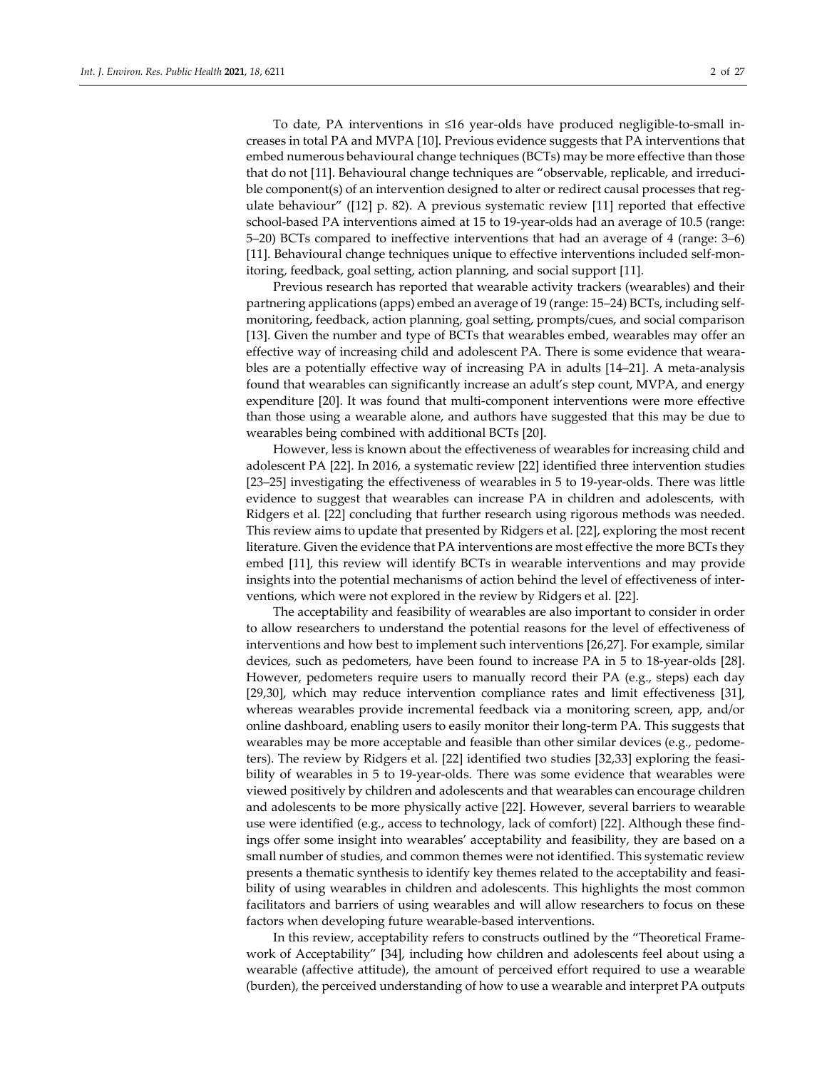To date, PA interventions in ≤16 year-olds have produced negligible-to-small increases in total PA and MVPA [10]. Previous evidence suggests that PA interventions that embed numerous behavioural change techniques (BCTs) may be more effective than those that do not [11]. Behavioural change techniques are "observable, replicable, and irreducible component(s) of an intervention designed to alter or redirect causal processes that regulate behaviour" ([12] p. 82). A previous systematic review [11] reported that effective school-based PA interventions aimed at 15 to 19-year-olds had an average of 10.5 (range: 5–20) BCTs compared to ineffective interventions that had an average of 4 (range: 3–6) [11]. Behavioural change techniques unique to effective interventions included self-mon-

Previous research has reported that wearable activity trackers (wearables) and their partnering applications (apps) embed an average of 19 (range: 15–24) BCTs, including selfmonitoring, feedback, action planning, goal setting, prompts/cues, and social comparison [13]. Given the number and type of BCTs that wearables embed, wearables may offer an effective way of increasing child and adolescent PA. There is some evidence that wearables are a potentially effective way of increasing PA in adults [14–21]. A meta-analysis found that wearables can significantly increase an adult's step count, MVPA, and energy expenditure [20]. It was found that multi-component interventions were more effective than those using a wearable alone, and authors have suggested that this may be due to wearables being combined with additional BCTs [20].

itoring, feedback, goal setting, action planning, and social support [11].

However, less is known about the effectiveness of wearables for increasing child and adolescent PA [22]. In 2016, a systematic review [22] identified three intervention studies [23–25] investigating the effectiveness of wearables in 5 to 19-year-olds. There was little evidence to suggest that wearables can increase PA in children and adolescents, with Ridgers et al. [22] concluding that further research using rigorous methods was needed. This review aims to update that presented by Ridgers et al. [22], exploring the most recent literature. Given the evidence that PA interventions are most effective the more BCTs they embed [11], this review will identify BCTs in wearable interventions and may provide insights into the potential mechanisms of action behind the level of effectiveness of interventions, which were not explored in the review by Ridgers et al. [22].

The acceptability and feasibility of wearables are also important to consider in order to allow researchers to understand the potential reasons for the level of effectiveness of interventions and how best to implement such interventions [26,27]. For example, similar devices, such as pedometers, have been found to increase PA in 5 to 18-year-olds [28]. However, pedometers require users to manually record their PA (e.g., steps) each day [29,30], which may reduce intervention compliance rates and limit effectiveness [31], whereas wearables provide incremental feedback via a monitoring screen, app, and/or online dashboard, enabling users to easily monitor their long-term PA. This suggests that wearables may be more acceptable and feasible than other similar devices (e.g., pedometers). The review by Ridgers et al. [22] identified two studies [32,33] exploring the feasibility of wearables in 5 to 19-year-olds. There was some evidence that wearables were viewed positively by children and adolescents and that wearables can encourage children and adolescents to be more physically active [22]. However, several barriers to wearable use were identified (e.g., access to technology, lack of comfort) [22]. Although these findings offer some insight into wearables' acceptability and feasibility, they are based on a small number of studies, and common themes were not identified. This systematic review presents a thematic synthesis to identify key themes related to the acceptability and feasibility of using wearables in children and adolescents. This highlights the most common facilitators and barriers of using wearables and will allow researchers to focus on these factors when developing future wearable-based interventions.

In this review, acceptability refers to constructs outlined by the "Theoretical Framework of Acceptability" [34], including how children and adolescents feel about using a wearable (affective attitude), the amount of perceived effort required to use a wearable (burden), the perceived understanding of how to use a wearable and interpret PA outputs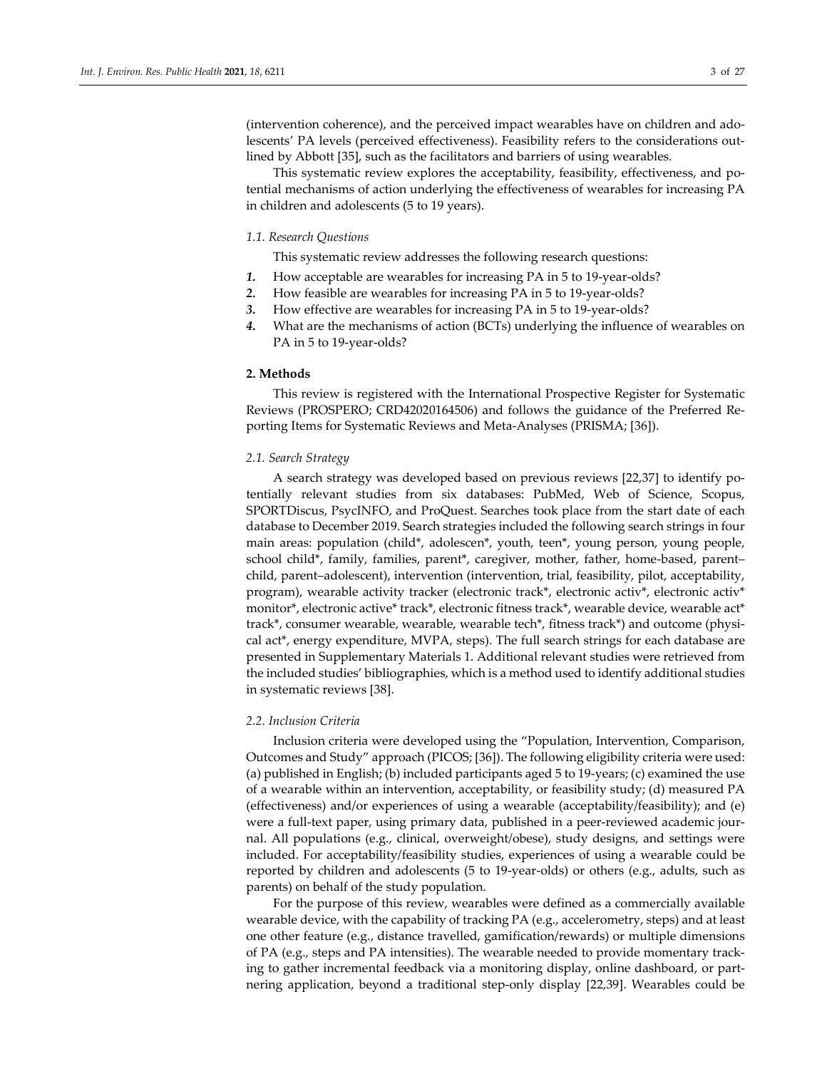(intervention coherence), and the perceived impact wearables have on children and adolescents' PA levels (perceived effectiveness). Feasibility refers to the considerations outlined by Abbott [35], such as the facilitators and barriers of using wearables.

This systematic review explores the acceptability, feasibility, effectiveness, and potential mechanisms of action underlying the effectiveness of wearables for increasing PA in children and adolescents (5 to 19 years).

## *1.1. Research Questions*

This systematic review addresses the following research questions:

- *1.* How acceptable are wearables for increasing PA in 5 to 19-year-olds?
- *2.* How feasible are wearables for increasing PA in 5 to 19-year-olds?
- *3.* How effective are wearables for increasing PA in 5 to 19-year-olds?
- *4.* What are the mechanisms of action (BCTs) underlying the influence of wearables on PA in 5 to 19-year-olds?

#### **2. Methods**

This review is registered with the International Prospective Register for Systematic Reviews (PROSPERO; CRD42020164506) and follows the guidance of the Preferred Reporting Items for Systematic Reviews and Meta-Analyses (PRISMA; [36]).

## *2.1. Search Strategy*

A search strategy was developed based on previous reviews [22,37] to identify potentially relevant studies from six databases: PubMed, Web of Science, Scopus, SPORTDiscus, PsycINFO, and ProQuest. Searches took place from the start date of each database to December 2019. Search strategies included the following search strings in four main areas: population (child\*, adolescen\*, youth, teen\*, young person, young people, school child\*, family, families, parent\*, caregiver, mother, father, home-based, parent– child, parent–adolescent), intervention (intervention, trial, feasibility, pilot, acceptability, program), wearable activity tracker (electronic track\*, electronic activ\*, electronic activ\* monitor\*, electronic active\* track\*, electronic fitness track\*, wearable device, wearable act\* track\*, consumer wearable, wearable, wearable tech\*, fitness track\*) and outcome (physical act\*, energy expenditure, MVPA, steps). The full search strings for each database are presented in Supplementary Materials 1. Additional relevant studies were retrieved from the included studies' bibliographies, which is a method used to identify additional studies in systematic reviews [38].

# *2.2. Inclusion Criteria*

Inclusion criteria were developed using the "Population, Intervention, Comparison, Outcomes and Study" approach (PICOS; [36]). The following eligibility criteria were used: (a) published in English; (b) included participants aged 5 to 19-years; (c) examined the use of a wearable within an intervention, acceptability, or feasibility study; (d) measured PA (effectiveness) and/or experiences of using a wearable (acceptability/feasibility); and (e) were a full-text paper, using primary data, published in a peer-reviewed academic journal. All populations (e.g., clinical, overweight/obese), study designs, and settings were included. For acceptability/feasibility studies, experiences of using a wearable could be reported by children and adolescents (5 to 19-year-olds) or others (e.g., adults, such as parents) on behalf of the study population.

For the purpose of this review, wearables were defined as a commercially available wearable device, with the capability of tracking PA (e.g., accelerometry, steps) and at least one other feature (e.g., distance travelled, gamification/rewards) or multiple dimensions of PA (e.g., steps and PA intensities). The wearable needed to provide momentary tracking to gather incremental feedback via a monitoring display, online dashboard, or partnering application, beyond a traditional step-only display [22,39]. Wearables could be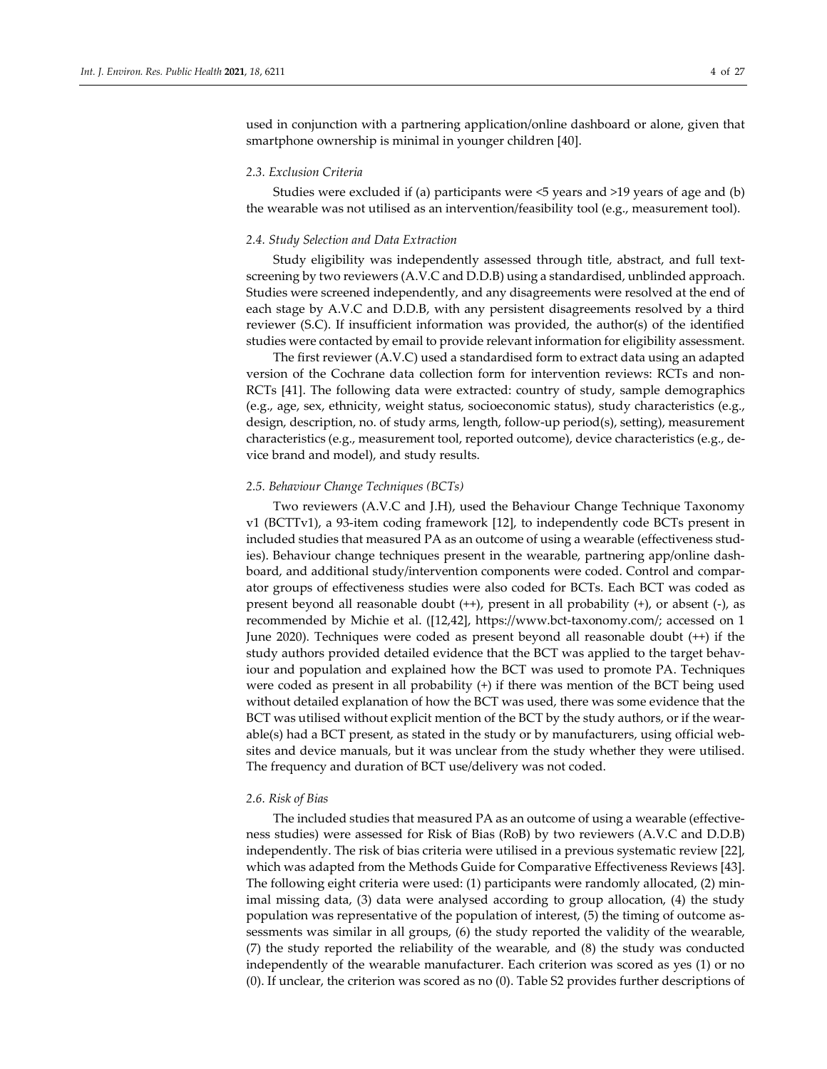used in conjunction with a partnering application/online dashboard or alone, given that smartphone ownership is minimal in younger children [40].

#### *2.3. Exclusion Criteria*

Studies were excluded if (a) participants were <5 years and >19 years of age and (b) the wearable was not utilised as an intervention/feasibility tool (e.g., measurement tool).

## *2.4. Study Selection and Data Extraction*

Study eligibility was independently assessed through title, abstract, and full textscreening by two reviewers (A.V.C and D.D.B) using a standardised, unblinded approach. Studies were screened independently, and any disagreements were resolved at the end of each stage by A.V.C and D.D.B, with any persistent disagreements resolved by a third reviewer (S.C). If insufficient information was provided, the author(s) of the identified studies were contacted by email to provide relevant information for eligibility assessment.

The first reviewer (A.V.C) used a standardised form to extract data using an adapted version of the Cochrane data collection form for intervention reviews: RCTs and non-RCTs [41]. The following data were extracted: country of study, sample demographics (e.g., age, sex, ethnicity, weight status, socioeconomic status), study characteristics (e.g., design, description, no. of study arms, length, follow-up period(s), setting), measurement characteristics (e.g., measurement tool, reported outcome), device characteristics (e.g., device brand and model), and study results.

## *2.5. Behaviour Change Techniques (BCTs)*

Two reviewers (A.V.C and J.H), used the Behaviour Change Technique Taxonomy v1 (BCTTv1), a 93-item coding framework [12], to independently code BCTs present in included studies that measured PA as an outcome of using a wearable (effectiveness studies). Behaviour change techniques present in the wearable, partnering app/online dashboard, and additional study/intervention components were coded. Control and comparator groups of effectiveness studies were also coded for BCTs. Each BCT was coded as present beyond all reasonable doubt (++), present in all probability (+), or absent (-), as recommended by Michie et al. ([12,42], https://www.bct-taxonomy.com/; accessed on 1 June 2020). Techniques were coded as present beyond all reasonable doubt (++) if the study authors provided detailed evidence that the BCT was applied to the target behaviour and population and explained how the BCT was used to promote PA. Techniques were coded as present in all probability (+) if there was mention of the BCT being used without detailed explanation of how the BCT was used, there was some evidence that the BCT was utilised without explicit mention of the BCT by the study authors, or if the wearable(s) had a BCT present, as stated in the study or by manufacturers, using official websites and device manuals, but it was unclear from the study whether they were utilised. The frequency and duration of BCT use/delivery was not coded.

#### *2.6. Risk of Bias*

The included studies that measured PA as an outcome of using a wearable (effectiveness studies) were assessed for Risk of Bias (RoB) by two reviewers (A.V.C and D.D.B) independently. The risk of bias criteria were utilised in a previous systematic review [22], which was adapted from the Methods Guide for Comparative Effectiveness Reviews [43]. The following eight criteria were used: (1) participants were randomly allocated, (2) minimal missing data, (3) data were analysed according to group allocation, (4) the study population was representative of the population of interest, (5) the timing of outcome assessments was similar in all groups, (6) the study reported the validity of the wearable, (7) the study reported the reliability of the wearable, and (8) the study was conducted independently of the wearable manufacturer. Each criterion was scored as yes (1) or no (0). If unclear, the criterion was scored as no (0). Table S2 provides further descriptions of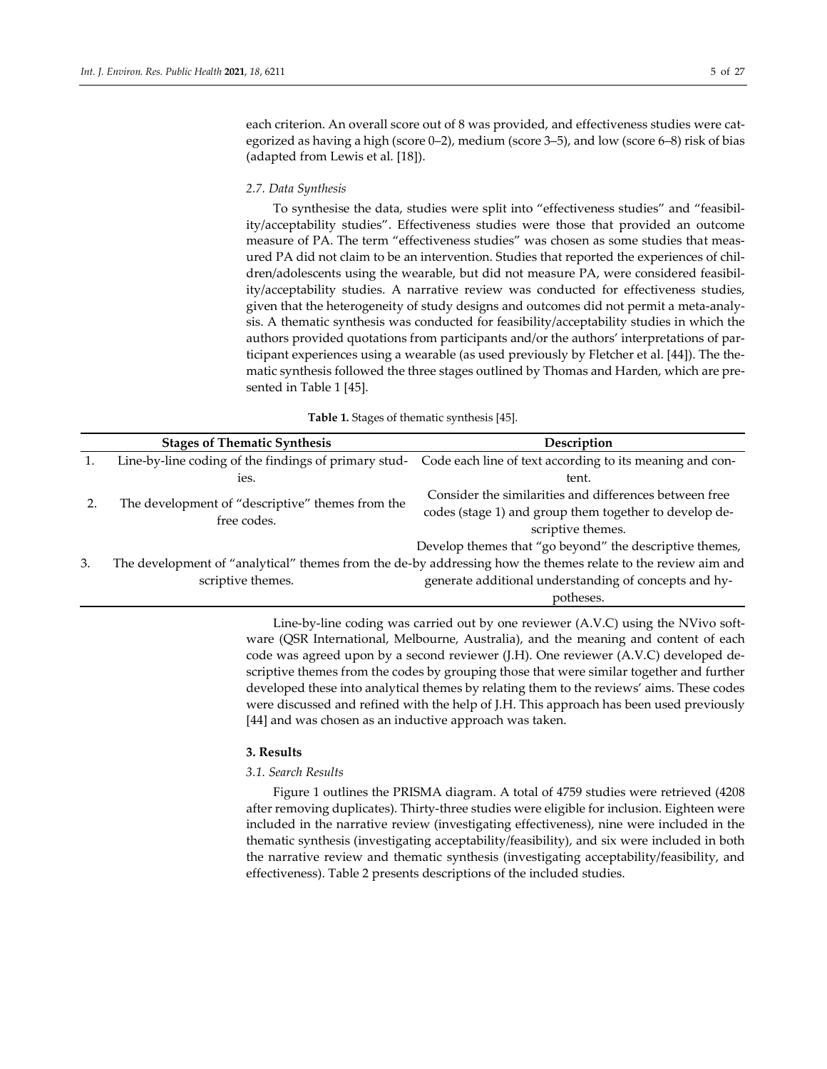each criterion. An overall score out of 8 was provided, and effectiveness studies were categorized as having a high (score 0–2), medium (score 3–5), and low (score 6–8) risk of bias (adapted from Lewis et al. [18]).

#### *2.7. Data Synthesis*

To synthesise the data, studies were split into "effectiveness studies" and "feasibility/acceptability studies". Effectiveness studies were those that provided an outcome measure of PA. The term "effectiveness studies" was chosen as some studies that measured PA did not claim to be an intervention. Studies that reported the experiences of children/adolescents using the wearable, but did not measure PA, were considered feasibility/acceptability studies. A narrative review was conducted for effectiveness studies, given that the heterogeneity of study designs and outcomes did not permit a meta-analysis. A thematic synthesis was conducted for feasibility/acceptability studies in which the authors provided quotations from participants and/or the authors' interpretations of participant experiences using a wearable (as used previously by Fletcher et al. [44]). The thematic synthesis followed the three stages outlined by Thomas and Harden, which are presented in Table 1 [45].

**Table 1.** Stages of thematic synthesis [45].

|    | <b>Stages of Thematic Synthesis</b>              | Description                                                                                                      |  |  |  |
|----|--------------------------------------------------|------------------------------------------------------------------------------------------------------------------|--|--|--|
|    |                                                  | Line-by-line coding of the findings of primary stud-<br>Code each line of text according to its meaning and con- |  |  |  |
|    | ies.                                             | tent.                                                                                                            |  |  |  |
|    | The development of "descriptive" themes from the | Consider the similarities and differences between free                                                           |  |  |  |
|    | free codes.                                      | codes (stage 1) and group them together to develop de-                                                           |  |  |  |
|    |                                                  | scriptive themes.                                                                                                |  |  |  |
|    |                                                  | Develop themes that "go beyond" the descriptive themes,                                                          |  |  |  |
| 3. |                                                  | The development of "analytical" themes from the de-by addressing how the themes relate to the review aim and     |  |  |  |
|    | scriptive themes.                                | generate additional understanding of concepts and hy-                                                            |  |  |  |
|    |                                                  | potheses.                                                                                                        |  |  |  |

Line-by-line coding was carried out by one reviewer (A.V.C) using the NVivo software (QSR International, Melbourne, Australia), and the meaning and content of each code was agreed upon by a second reviewer (J.H). One reviewer (A.V.C) developed descriptive themes from the codes by grouping those that were similar together and further developed these into analytical themes by relating them to the reviews' aims. These codes were discussed and refined with the help of J.H. This approach has been used previously [44] and was chosen as an inductive approach was taken.

## **3. Results**

#### *3.1. Search Results*

Figure 1 outlines the PRISMA diagram. A total of 4759 studies were retrieved (4208 after removing duplicates). Thirty-three studies were eligible for inclusion. Eighteen were included in the narrative review (investigating effectiveness), nine were included in the thematic synthesis (investigating acceptability/feasibility), and six were included in both the narrative review and thematic synthesis (investigating acceptability/feasibility, and effectiveness). Table 2 presents descriptions of the included studies.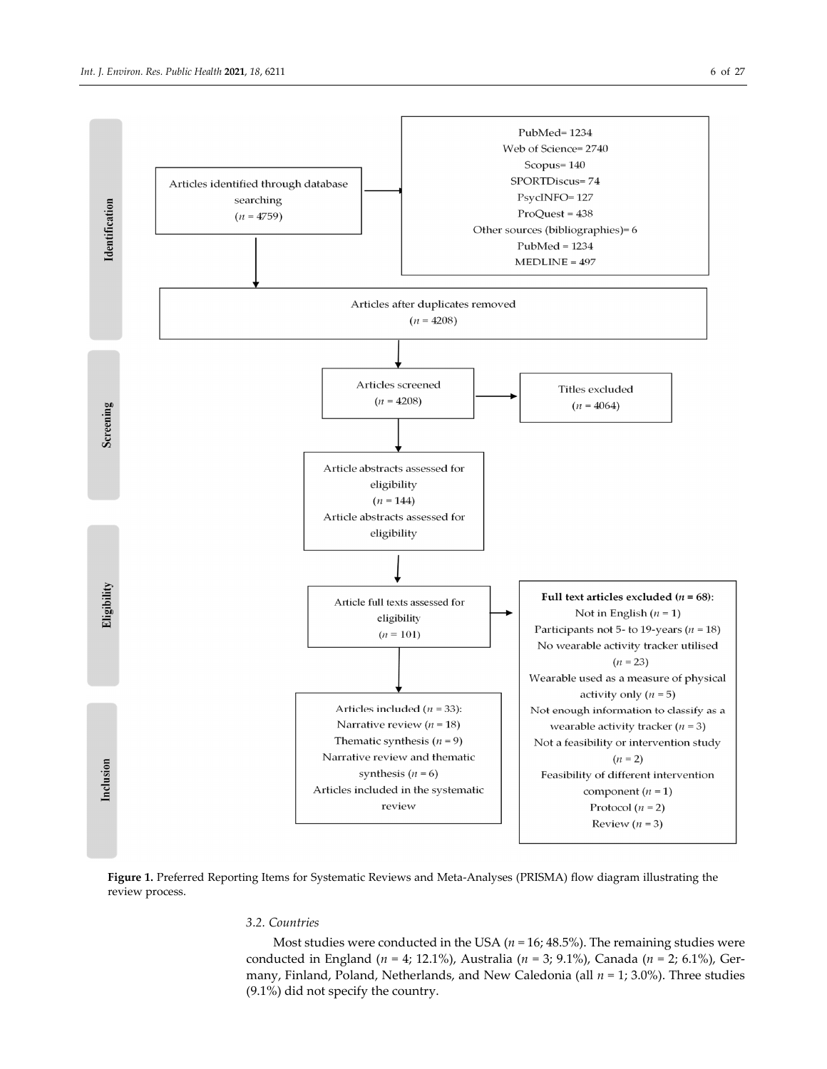

**Figure 1.** Preferred Reporting Items for Systematic Reviews and Meta-Analyses (PRISMA) flow diagram illustrating the review process.

# *3.2. Countries*

Most studies were conducted in the USA (*n =* 16; 48.5%). The remaining studies were conducted in England (*n =* 4; 12.1%), Australia (*n =* 3; 9.1%), Canada (*n =* 2; 6.1%), Germany, Finland, Poland, Netherlands, and New Caledonia (all *n =* 1; 3.0%). Three studies (9.1%) did not specify the country.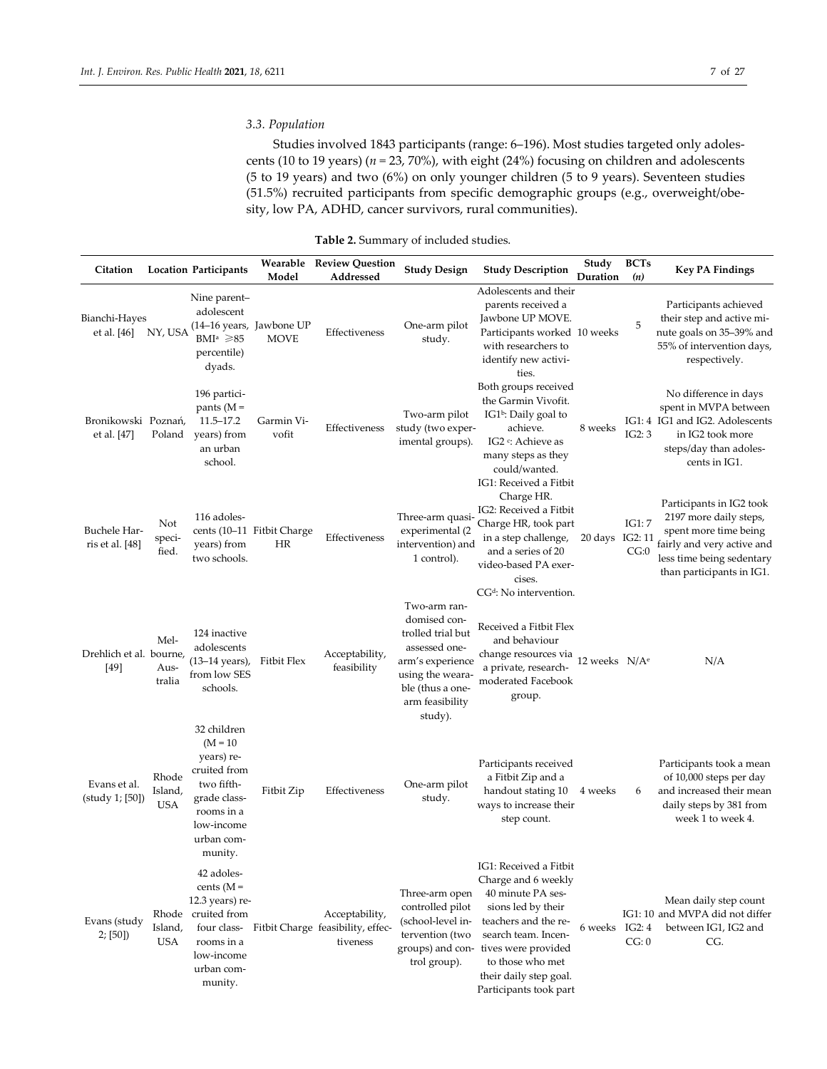# *3.3. Population*

Studies involved 1843 participants (range: 6–196). Most studies targeted only adolescents (10 to 19 years) (*n =* 23, 70%), with eight (24%) focusing on children and adolescents (5 to 19 years) and two (6%) on only younger children (5 to 9 years). Seventeen studies (51.5%) recruited participants from specific demographic groups (e.g., overweight/obesity, low PA, ADHD, cancer survivors, rural communities).

| Citation                           |                                | <b>Location Participants</b>                                                                                                               | Wearable<br>Model                       | <b>Review Question</b><br>Addressed                             | <b>Study Design</b>                                                                                                                                          | <b>Study Description</b>                                                                                                                                                                                                                                | Study<br>Duration | <b>BCTs</b><br>(n)        | <b>Key PA Findings</b>                                                                                                                                              |
|------------------------------------|--------------------------------|--------------------------------------------------------------------------------------------------------------------------------------------|-----------------------------------------|-----------------------------------------------------------------|--------------------------------------------------------------------------------------------------------------------------------------------------------------|---------------------------------------------------------------------------------------------------------------------------------------------------------------------------------------------------------------------------------------------------------|-------------------|---------------------------|---------------------------------------------------------------------------------------------------------------------------------------------------------------------|
| Bianchi-Hayes<br>et al. [46]       | NY, USA                        | Nine parent-<br>adolescent<br>BMI <sup>a</sup> $\geq 85$<br>percentile)<br>dyads.                                                          | (14-16 years, Jawbone UP<br><b>MOVE</b> | Effectiveness                                                   | One-arm pilot<br>study.                                                                                                                                      | Adolescents and their<br>parents received a<br>Jawbone UP MOVE.<br>Participants worked 10 weeks<br>with researchers to<br>identify new activi-<br>ties.                                                                                                 |                   | 5                         | Participants achieved<br>their step and active mi-<br>nute goals on 35–39% and<br>55% of intervention days,<br>respectively.                                        |
| Bronikowski Poznań,<br>et al. [47] | Poland                         | 196 partici-<br>pants ( $M =$<br>11.5–17.2<br>years) from<br>an urban<br>school.                                                           | Garmin Vi-<br>vofit                     | Effectiveness                                                   | Two-arm pilot<br>study (two exper-<br>imental groups).                                                                                                       | Both groups received<br>the Garmin Vivofit.<br>IG1 <sup>b</sup> : Daily goal to<br>achieve.<br>IG2 <sup>c</sup> : Achieve as<br>many steps as they<br>could/wanted.                                                                                     | 8 weeks           | IG2:3                     | No difference in days<br>spent in MVPA between<br>IG1: 4 IG1 and IG2. Adolescents<br>in IG2 took more<br>steps/day than adoles-<br>cents in IG1.                    |
| Buchele Har-<br>ris et al. [48]    | Not<br>speci-<br>fied.         | 116 adoles-<br>years) from<br>two schools.                                                                                                 | cents (10-11 Fitbit Charge<br>HR        | Effectiveness                                                   | Three-arm quasi-<br>experimental (2<br>intervention) and<br>1 control).                                                                                      | IG1: Received a Fitbit<br>Charge HR.<br>IG2: Received a Fitbit<br>Charge HR, took part<br>in a step challenge,<br>and a series of 20<br>video-based PA exer-<br>cises.<br>CG <sup>d</sup> : No intervention.                                            | 20 days           | IG1: 7<br>IG2: 11<br>CG:0 | Participants in IG2 took<br>2197 more daily steps,<br>spent more time being<br>fairly and very active and<br>less time being sedentary<br>than participants in IG1. |
| Drehlich et al. bourne,<br>$[49]$  | Mel-<br>Aus-<br>tralia         | 124 inactive<br>adolescents<br>(13–14 years),<br>from low SES<br>schools.                                                                  | Fitbit Flex                             | Acceptability,<br>feasibility                                   | Two-arm ran-<br>domised con-<br>trolled trial but<br>assessed one-<br>arm's experience<br>using the weara-<br>ble (thus a one-<br>arm feasibility<br>study). | Received a Fitbit Flex<br>and behaviour<br>change resources via<br>a private, research-<br>moderated Facebook<br>group.                                                                                                                                 | 12 weeks $N/Ae$   |                           | N/A                                                                                                                                                                 |
| Evans et al.<br>(study 1; [50])    | Rhode<br>Island,<br><b>USA</b> | 32 children<br>$(M = 10)$<br>years) re-<br>cruited from<br>two fifth-<br>grade class-<br>rooms in a<br>low-income<br>urban com-<br>munity. | Fitbit Zip                              | Effectiveness                                                   | One-arm pilot<br>study.                                                                                                                                      | Participants received<br>a Fitbit Zip and a<br>handout stating 10<br>ways to increase their<br>step count.                                                                                                                                              | 4 weeks           | 6                         | Participants took a mean<br>of 10,000 steps per day<br>and increased their mean<br>daily steps by 381 from<br>week 1 to week 4.                                     |
| Evans (study<br>2; [50]            | Island,<br><b>USA</b>          | 42 adoles-<br>cents $(M =$<br>$12.3$ years) re-<br>Rhode cruited from<br>four class-<br>rooms in a<br>low-income<br>urban com-<br>munity.  |                                         | Acceptability,<br>Fitbit Charge feasibility, effec-<br>tiveness | Three-arm open<br>controlled pilot<br>(school-level in-<br>tervention (two<br>trol group).                                                                   | IG1: Received a Fitbit<br>Charge and 6 weekly<br>40 minute PA ses-<br>sions led by their<br>teachers and the re-<br>search team. Incen-<br>groups) and con- tives were provided<br>to those who met<br>their daily step goal.<br>Participants took part | 6 weeks           | IG2:4<br>CG: 0            | Mean daily step count<br>IG1: 10 and MVPA did not differ<br>between IG1, IG2 and<br>CG.                                                                             |

**Table 2.** Summary of included studies.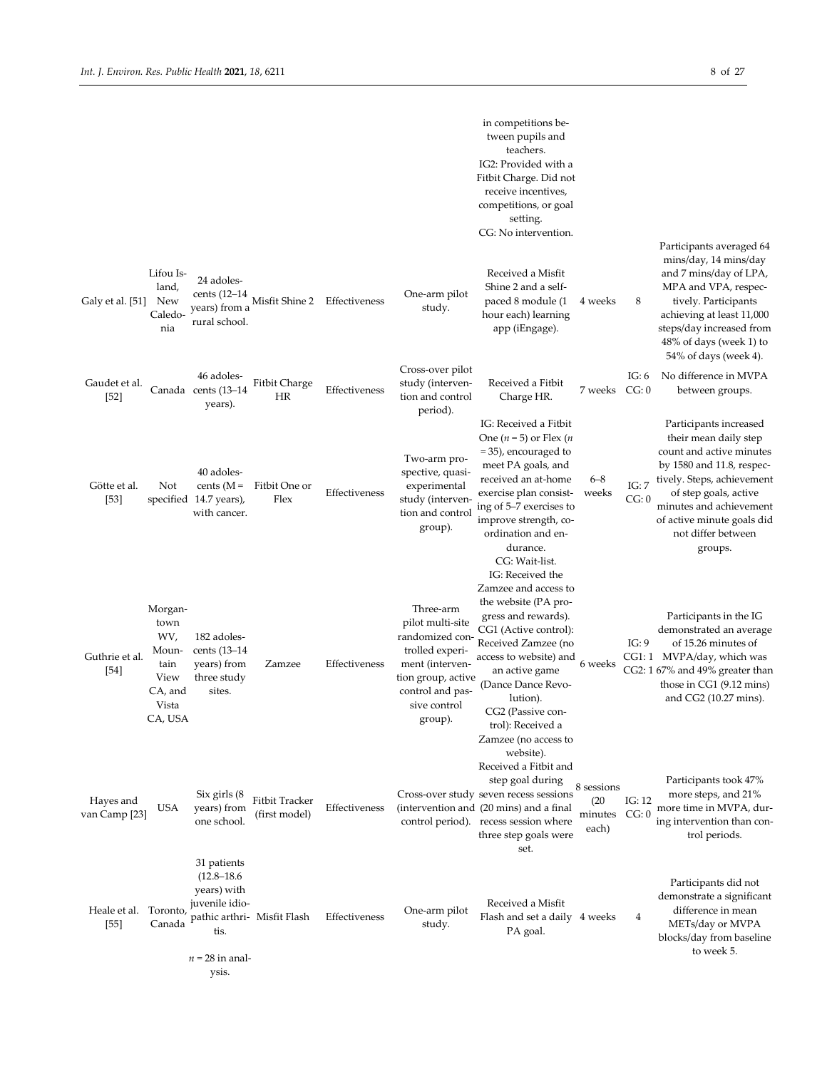|                            |                                                                                |                                                                                                                                      |                                 |               |                                                                                                                                                             | in competitions be-<br>tween pupils and<br>teachers.<br>IG2: Provided with a<br>Fitbit Charge. Did not<br>receive incentives,<br>competitions, or goal<br>setting.<br>CG: No intervention.                                                                                              |                                       |                   | Participants averaged 64                                                                                                                                                                                                                                  |
|----------------------------|--------------------------------------------------------------------------------|--------------------------------------------------------------------------------------------------------------------------------------|---------------------------------|---------------|-------------------------------------------------------------------------------------------------------------------------------------------------------------|-----------------------------------------------------------------------------------------------------------------------------------------------------------------------------------------------------------------------------------------------------------------------------------------|---------------------------------------|-------------------|-----------------------------------------------------------------------------------------------------------------------------------------------------------------------------------------------------------------------------------------------------------|
| Galy et al. [51]           | Lifou Is-<br>land,<br>New<br>Caledo-<br>nia                                    | 24 adoles-<br>cents $(12-14)$<br>years) from a<br>rural school.                                                                      | Misfit Shine 2                  | Effectiveness | One-arm pilot<br>study.                                                                                                                                     | Received a Misfit<br>Shine 2 and a self-<br>paced 8 module (1<br>hour each) learning<br>app (iEngage).                                                                                                                                                                                  | 4 weeks                               | 8                 | mins/day, 14 mins/day<br>and 7 mins/day of LPA,<br>MPA and VPA, respec-<br>tively. Participants<br>achieving at least 11,000<br>steps/day increased from<br>48% of days (week 1) to<br>54% of days (week 4).                                              |
| Gaudet et al.<br>$[52]$    |                                                                                | 46 adoles-<br>Canada cents (13-14<br>years).                                                                                         | Fitbit Charge<br><b>HR</b>      | Effectiveness | Cross-over pilot<br>study (interven-<br>tion and control<br>period).                                                                                        | Received a Fitbit<br>Charge HR.                                                                                                                                                                                                                                                         | 7 weeks                               | IG: $6$<br>CG: 0  | No difference in MVPA<br>between groups.                                                                                                                                                                                                                  |
| Götte et al.<br>$[53]$     | Not                                                                            | 40 adoles-<br>cents $(M =$<br>specified 14.7 years),<br>with cancer.                                                                 | Fitbit One or<br>Flex           | Effectiveness | Two-arm pro-<br>spective, quasi-<br>experimental<br>study (interven-<br>tion and control<br>group).                                                         | IG: Received a Fitbit<br>One $(n=5)$ or Flex $(n)$<br>=35), encouraged to<br>meet PA goals, and<br>received an at-home<br>exercise plan consist-<br>ing of 5-7 exercises to<br>improve strength, co-<br>ordination and en-<br>durance.<br>CG: Wait-list.                                | $6 - 8$<br>weeks                      | IG:7<br>CG: 0     | Participants increased<br>their mean daily step<br>count and active minutes<br>by 1580 and 11.8, respec-<br>tively. Steps, achievement<br>of step goals, active<br>minutes and achievement<br>of active minute goals did<br>not differ between<br>groups. |
| Guthrie et al.<br>$[54]$   | Morgan-<br>town<br>WV,<br>Moun-<br>tain<br>View<br>CA, and<br>Vista<br>CA, USA | 182 adoles-<br>cents (13–14<br>years) from<br>three study<br>sites.                                                                  | Zamzee                          | Effectiveness | Three-arm<br>pilot multi-site<br>randomized con-<br>trolled experi-<br>ment (interven-<br>tion group, active<br>control and pas-<br>sive control<br>group). | IG: Received the<br>Zamzee and access to<br>the website (PA pro-<br>gress and rewards).<br>CG1 (Active control):<br>Received Zamzee (no<br>access to website) and<br>an active game<br>(Dance Dance Revo-<br>lution).<br>CG2 (Passive con-<br>trol): Received a<br>Zamzee (no access to | 6 weeks                               | IG: 9             | Participants in the IG<br>demonstrated an average<br>of 15.26 minutes of<br>CG1:1 MVPA/day, which was<br>CG2: 1 67% and 49% greater than<br>those in CG1 (9.12 mins)<br>and CG2 (10.27 mins).                                                             |
| Hayes and<br>van Camp [23] | USA                                                                            | Six girls (8<br>years) from<br>one school.                                                                                           | Fitbit Tracker<br>(first model) | Effectiveness |                                                                                                                                                             | website).<br>Received a Fitbit and<br>step goal during<br>Cross-over study seven recess sessions<br>(intervention and (20 mins) and a final<br>control period). recess session where<br>three step goals were<br>set.                                                                   | 8 sessions<br>(20<br>minutes<br>each) | IG: $12$<br>CG: 0 | Participants took 47%<br>more steps, and 21%<br>more time in MVPA, dur-<br>ing intervention than con-<br>trol periods.                                                                                                                                    |
| Heale et al.<br>$[55]$     | Toronto,<br>Canada                                                             | 31 patients<br>$(12.8 - 18.6)$<br>years) with<br>juvenile idio-<br>pathic arthri- Misfit Flash<br>tis.<br>$n = 28$ in anal-<br>ysis. |                                 | Effectiveness | One-arm pilot<br>study.                                                                                                                                     | Received a Misfit<br>Flash and set a daily 4 weeks<br>PA goal.                                                                                                                                                                                                                          |                                       | 4                 | Participants did not<br>demonstrate a significant<br>difference in mean<br>METs/day or MVPA<br>blocks/day from baseline<br>to week 5.                                                                                                                     |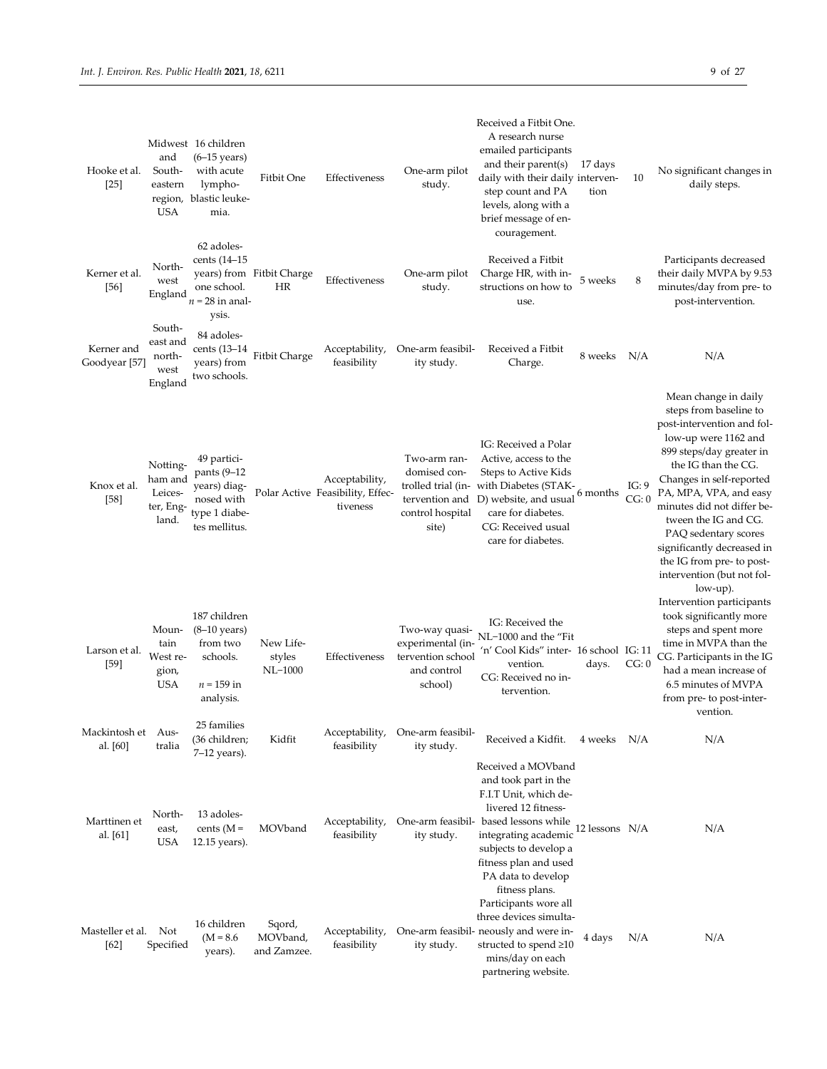| Hooke et al.<br>$[25]$         | and<br>South-<br>eastern<br>region,<br>USA           | Midwest 16 children<br>$(6-15 \text{ years})$<br>with acute<br>lympho-<br>blastic leuke-<br>mia. | Fitbit One                        | Effectiveness                                                  | One-arm pilot<br>study.                                                            | Received a Fitbit One.<br>A research nurse<br>emailed participants<br>and their parent(s)<br>daily with their daily interven-<br>step count and PA<br>levels, along with a<br>brief message of en-<br>couragement.                                    | 17 days<br>tion | 10             | No significant changes in<br>daily steps.                                                                                                                                                                                                                                                                                                                                                           |
|--------------------------------|------------------------------------------------------|--------------------------------------------------------------------------------------------------|-----------------------------------|----------------------------------------------------------------|------------------------------------------------------------------------------------|-------------------------------------------------------------------------------------------------------------------------------------------------------------------------------------------------------------------------------------------------------|-----------------|----------------|-----------------------------------------------------------------------------------------------------------------------------------------------------------------------------------------------------------------------------------------------------------------------------------------------------------------------------------------------------------------------------------------------------|
| Kerner et al.<br>$[56]$        | North-<br>west<br>England                            | 62 adoles-<br>cents (14–15<br>one school.<br>$n = 28$ in anal-<br>ysis.                          | years) from Fitbit Charge<br>HR   | Effectiveness                                                  | One-arm pilot<br>study.                                                            | Received a Fitbit<br>Charge HR, with in-<br>structions on how to<br>use.                                                                                                                                                                              | 5 weeks         | 8              | Participants decreased<br>their daily MVPA by 9.53<br>minutes/day from pre- to<br>post-intervention.                                                                                                                                                                                                                                                                                                |
| Kerner and<br>Goodyear [57]    | South-<br>east and<br>north-<br>west<br>England      | 84 adoles-<br>cents (13–14<br>years) from<br>two schools.                                        | Fitbit Charge                     | Acceptability,<br>feasibility                                  | One-arm feasibil-<br>ity study.                                                    | Received a Fitbit<br>Charge.                                                                                                                                                                                                                          | 8 weeks N/A     |                | N/A                                                                                                                                                                                                                                                                                                                                                                                                 |
| Knox et al.<br>$[58]$          | Notting-<br>ham and<br>Leices-<br>ter, Eng-<br>land. | 49 partici-<br>pants (9-12<br>years) diag-<br>nosed with<br>type 1 diabe-<br>tes mellitus.       |                                   | Acceptability,<br>Polar Active Feasibility, Effec-<br>tiveness | Two-arm ran-<br>domised con-<br>tervention and<br>control hospital<br>site)        | IG: Received a Polar<br>Active, access to the<br>Steps to Active Kids<br>trolled trial (in-with Diabetes (STAK-6 months)<br>D) website, and usual<br>care for diabetes.<br>CG: Received usual<br>care for diabetes.                                   |                 | IG: 9<br>CG: 0 | Mean change in daily<br>steps from baseline to<br>post-intervention and fol-<br>low-up were 1162 and<br>899 steps/day greater in<br>the IG than the CG.<br>Changes in self-reported<br>PA, MPA, VPA, and easy<br>minutes did not differ be-<br>tween the IG and CG.<br>PAQ sedentary scores<br>significantly decreased in<br>the IG from pre- to post-<br>intervention (but not fol-<br>$low-up$ ). |
| Larson et al.<br>$[59]$        | Moun-<br>tain<br>West re-<br>gion,<br><b>USA</b>     | 187 children<br>$(8-10 \text{ years})$<br>from two<br>schools.<br>$n = 159$ in<br>analysis.      | New Life-<br>styles<br>NL-1000    | Effectiveness                                                  | Two-way quasi-<br>experimental (in-<br>tervention school<br>and control<br>school) | IG: Received the<br>NL-1000 and the "Fit<br>'n' Cool Kids" inter- 16 school  IG: 11<br>vention.<br>CG: Received no in-<br>tervention.                                                                                                                 | days.           | CG: 0          | Intervention participants<br>took significantly more<br>steps and spent more<br>time in MVPA than the<br>CG. Participants in the IG<br>had a mean increase of<br>6.5 minutes of MVPA<br>from pre- to post-inter-<br>vention.                                                                                                                                                                        |
| Mackintosh et Aus-<br>al. [60] | tralia                                               | 25 families<br>(36 children;                                                                     | Kidfit                            | Acceptability,<br>feasibility                                  | One-arm feasibil-<br>ity study.                                                    | Received a Kidfit.                                                                                                                                                                                                                                    | 4 weeks N/A     |                | N/A                                                                                                                                                                                                                                                                                                                                                                                                 |
| Marttinen et<br>al. [61]       | North-<br>east,<br>USA                               | $7-12$ years).<br>13 adoles-<br>cents ( $M =$<br>$12.15$ years).                                 | MOVband                           | Acceptability,<br>feasibility                                  | ity study.                                                                         | Received a MOVband<br>and took part in the<br>F.I.T Unit, which de-<br>livered 12 fitness-<br>One-arm feasibil- based lessons while<br>integrating academic<br>subjects to develop a<br>fitness plan and used<br>PA data to develop<br>fitness plans. | 12 lessons N/A  |                | N/A                                                                                                                                                                                                                                                                                                                                                                                                 |
| Masteller et al. Not<br>[62]   | Specified                                            | 16 children<br>$(M = 8.6)$<br>years).                                                            | Sqord,<br>MOVband,<br>and Zamzee. | Acceptability,<br>feasibility                                  | ity study.                                                                         | Participants wore all<br>three devices simulta-<br>One-arm feasibil- neously and were in-<br>structed to spend ≥10<br>mins/day on each<br>partnering website.                                                                                         | 4 days          | N/A            | N/A                                                                                                                                                                                                                                                                                                                                                                                                 |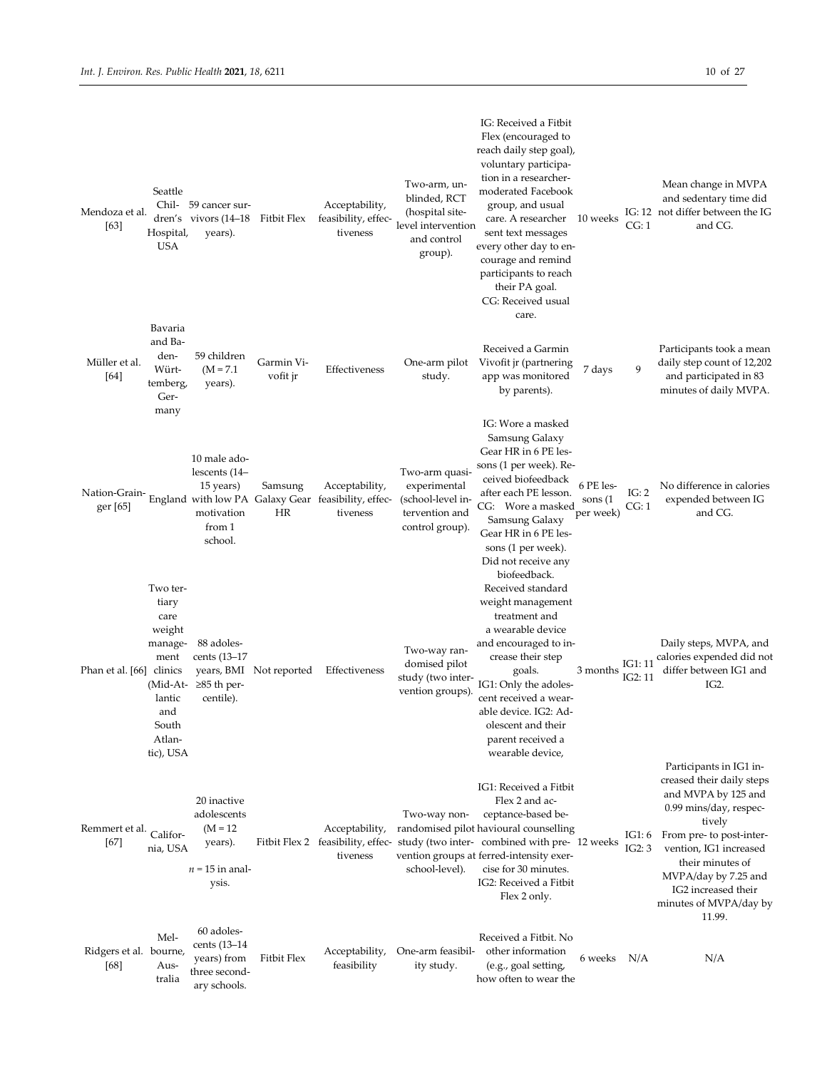| Mendoza et al.<br>[63]         | Seattle<br>Hospital,<br><b>USA</b>                                                                                  | Chil- 59 cancer sur-<br>dren's vivors (14–18<br>years).                           | Fitbit Flex             | Acceptability,<br>feasibility, effec-<br>tiveness                                 | Two-arm, un-<br>blinded, RCT<br>(hospital site-<br>level intervention<br>and control<br>group). | IG: Received a Fitbit<br>Flex (encouraged to<br>reach daily step goal),<br>voluntary participa-<br>tion in a researcher-<br>moderated Facebook<br>group, and usual<br>care. A researcher<br>sent text messages<br>every other day to en-<br>courage and remind<br>participants to reach<br>their PA goal.<br>CG: Received usual<br>care. | 10 weeks                          | CG: 1              | Mean change in MVPA<br>and sedentary time did<br>IG: 12 not differ between the IG<br>and CG.                                                                                                                                                                                 |
|--------------------------------|---------------------------------------------------------------------------------------------------------------------|-----------------------------------------------------------------------------------|-------------------------|-----------------------------------------------------------------------------------|-------------------------------------------------------------------------------------------------|------------------------------------------------------------------------------------------------------------------------------------------------------------------------------------------------------------------------------------------------------------------------------------------------------------------------------------------|-----------------------------------|--------------------|------------------------------------------------------------------------------------------------------------------------------------------------------------------------------------------------------------------------------------------------------------------------------|
| Müller et al.<br>[64]          | Bavaria<br>and Ba-<br>den-<br>Würt-<br>temberg,<br>Ger-<br>many                                                     | 59 children<br>$(M = 7.1)$<br>years).                                             | Garmin Vi-<br>vofit jr  | Effectiveness                                                                     | One-arm pilot<br>study.                                                                         | Received a Garmin<br>Vivofit jr (partnering<br>app was monitored<br>by parents).                                                                                                                                                                                                                                                         | 7 days                            | 9                  | Participants took a mean<br>daily step count of 12,202<br>and participated in 83<br>minutes of daily MVPA.                                                                                                                                                                   |
| Nation-Grain-<br>ger [65]      |                                                                                                                     | 10 male ado-<br>lescents (14–<br>15 years)<br>motivation<br>from 1<br>school.     | Samsung<br>HR           | Acceptability,<br>England with low PA Galaxy Gear feasibility, effec-<br>tiveness | Two-arm quasi-<br>experimental<br>(school-level in-<br>tervention and<br>control group).        | IG: Wore a masked<br>Samsung Galaxy<br>Gear HR in 6 PE les-<br>sons (1 per week). Re-<br>ceived biofeedback<br>after each PE lesson.<br>CG: Wore a masked<br>Samsung Galaxy<br>Gear HR in 6 PE les-<br>sons (1 per week).<br>Did not receive any<br>biofeedback.                                                                         | 6 PE les-<br>sons (1<br>per week) | IG: 2<br>CG: 1     | No difference in calories<br>expended between IG<br>and CG.                                                                                                                                                                                                                  |
| Phan et al. [66] clinics       | Two ter-<br>tiary<br>care<br>weight<br>manage-<br>ment<br>(Mid-At-<br>lantic<br>and<br>South<br>Atlan-<br>tic), USA | 88 adoles-<br>cents (13–17<br>≥85 th per-<br>centile).                            | years, BMI Not reported | Effectiveness                                                                     | Two-way ran-<br>domised pilot<br>study (two inter-<br>vention groups).                          | Received standard<br>weight management<br>treatment and<br>a wearable device<br>and encouraged to in-<br>crease their step<br>goals.<br>IG1: Only the adoles-<br>cent received a wear-<br>able device. IG2: Ad-<br>olescent and their<br>parent received a<br>wearable device,                                                           | 3 months                          | IG1: 11<br>IG2: 11 | Daily steps, MVPA, and<br>calories expended did not<br>differ between IG1 and<br>IG2.                                                                                                                                                                                        |
| Remmert et al.<br>$[67]$       | Califor-<br>nia, USA                                                                                                | 20 inactive<br>adolescents<br>$(M = 12)$<br>years).<br>$n = 15$ in anal-<br>ysis. |                         | Acceptability,<br>Fitbit Flex 2 feasibility, effec-<br>tiveness                   | Two-way non-<br>school-level).                                                                  | IG1: Received a Fitbit<br>Flex 2 and ac-<br>ceptance-based be-<br>randomised pilot havioural counselling<br>study (two inter- combined with pre- 12 weeks<br>vention groups at ferred-intensity exer-<br>cise for 30 minutes.<br>IG2: Received a Fitbit<br>Flex 2 only.                                                                  |                                   | IG1: 6<br>IG2:3    | Participants in IG1 in-<br>creased their daily steps<br>and MVPA by 125 and<br>0.99 mins/day, respec-<br>tively<br>From pre- to post-inter-<br>vention, IG1 increased<br>their minutes of<br>MVPA/day by 7.25 and<br>IG2 increased their<br>minutes of MVPA/day by<br>11.99. |
| Ridgers et al. bourne,<br>[68] | Mel-<br>Aus-<br>tralia                                                                                              | 60 adoles-<br>cents (13–14<br>years) from<br>three second-<br>ary schools.        | Fitbit Flex             | Acceptability,<br>feasibility                                                     | One-arm feasibil-<br>ity study.                                                                 | Received a Fitbit. No<br>other information<br>(e.g., goal setting,<br>how often to wear the                                                                                                                                                                                                                                              | 6 weeks N/A                       |                    | N/A                                                                                                                                                                                                                                                                          |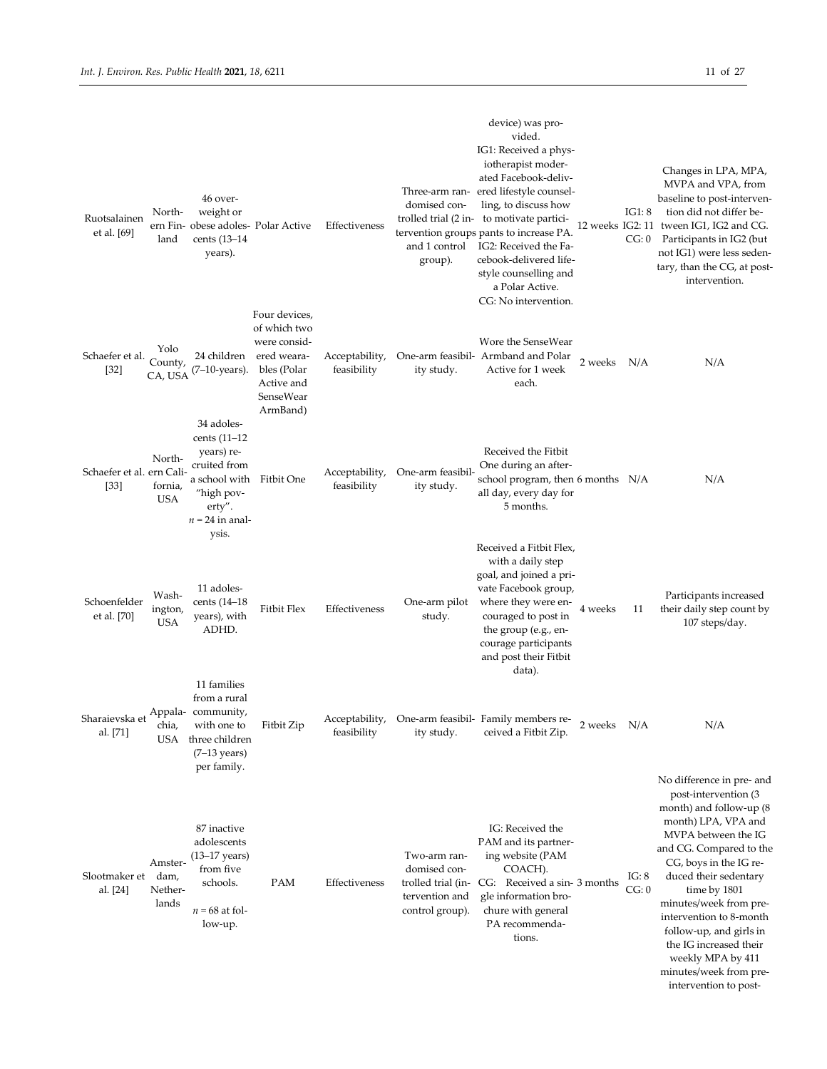| Ruotsalainen<br>et al. [69]         | North-<br>land                      | 46 over-<br>weight or<br>ern Fin- obese adoles- Polar Active<br>cents (13–14<br>years).                                              |                                                                                                                    | Effectiveness                 | domised con-<br>group).                                                                 | device) was pro-<br>vided.<br>IG1: Received a phys-<br>iotherapist moder-<br>ated Facebook-deliv-<br>Three-arm ran- ered lifestyle counsel-<br>ling, to discuss how<br>trolled trial (2 in- to motivate partici-<br>tervention groups pants to increase PA.<br>and 1 control IG2: Received the Fa-<br>cebook-delivered life-<br>style counselling and<br>a Polar Active.<br>CG: No intervention. |             | IG1:8<br>CG: 0 | Changes in LPA, MPA,<br>MVPA and VPA, from<br>baseline to post-interven-<br>tion did not differ be-<br>12 weeks IG2: 11 tween IG1, IG2 and CG.<br>Participants in IG2 (but<br>not IG1) were less seden-<br>tary, than the CG, at post-<br>intervention.                                                                                                                                                     |
|-------------------------------------|-------------------------------------|--------------------------------------------------------------------------------------------------------------------------------------|--------------------------------------------------------------------------------------------------------------------|-------------------------------|-----------------------------------------------------------------------------------------|--------------------------------------------------------------------------------------------------------------------------------------------------------------------------------------------------------------------------------------------------------------------------------------------------------------------------------------------------------------------------------------------------|-------------|----------------|-------------------------------------------------------------------------------------------------------------------------------------------------------------------------------------------------------------------------------------------------------------------------------------------------------------------------------------------------------------------------------------------------------------|
| Schaefer et al.<br>$[32]$           | Yolo<br>County,<br>CA, USA          | 24 children<br>(7–10-years).                                                                                                         | Four devices,<br>of which two<br>were consid-<br>ered weara-<br>bles (Polar<br>Active and<br>SenseWear<br>ArmBand) | Acceptability,<br>feasibility | ity study.                                                                              | Wore the SenseWear<br>One-arm feasibil- Armband and Polar<br>Active for 1 week<br>each.                                                                                                                                                                                                                                                                                                          | 2 weeks N/A |                | N/A                                                                                                                                                                                                                                                                                                                                                                                                         |
| Schaefer et al. ern Cali-<br>$[33]$ | North-<br>fornia,<br>USA            | 34 adoles-<br>cents $(11-12)$<br>years) re-<br>cruited from<br>a school with Fitbit One<br>"high pov-<br>erty".<br>$n = 24$ in anal- |                                                                                                                    | Acceptability,<br>feasibility | One-arm feasibil-<br>ity study.                                                         | Received the Fitbit<br>One during an after-<br>school program, then 6 months N/A<br>all day, every day for<br>5 months.                                                                                                                                                                                                                                                                          |             |                | N/A                                                                                                                                                                                                                                                                                                                                                                                                         |
| Schoenfelder<br>et al. [70]         | Wash-<br>ington,<br>USA             | ysis.<br>11 adoles-<br>cents $(14-18)$<br>years), with<br>ADHD.                                                                      | Fitbit Flex                                                                                                        | Effectiveness                 | One-arm pilot<br>study.                                                                 | Received a Fitbit Flex,<br>with a daily step<br>goal, and joined a pri-<br>vate Facebook group,<br>where they were en-<br>couraged to post in<br>the group (e.g., en-<br>courage participants<br>and post their Fitbit<br>data).                                                                                                                                                                 | 4 weeks     | 11             | Participants increased<br>their daily step count by<br>107 steps/day.                                                                                                                                                                                                                                                                                                                                       |
| Sharaievska et<br>al. [71]          | chia,<br><b>USA</b>                 | 11 families<br>from a rural<br>Appala-community,<br>with one to<br>three children<br>$(7-13 \text{ years})$<br>per family.           | Fitbit Zip                                                                                                         | Acceptability,<br>feasibility | ity study.                                                                              | One-arm feasibil- Family members re-<br>ceived a Fitbit Zip.                                                                                                                                                                                                                                                                                                                                     | 2 weeks N/A |                | N/A                                                                                                                                                                                                                                                                                                                                                                                                         |
| Slootmaker et<br>al. [24]           | Amster-<br>dam,<br>Nether-<br>lands | 87 inactive<br>adolescents<br>$(13-17 \text{ years})$<br>from five<br>schools.<br>$n = 68$ at fol-<br>low-up.                        | PAM                                                                                                                | Effectiveness                 | Two-arm ran-<br>domised con-<br>trolled trial (in-<br>tervention and<br>control group). | IG: Received the<br>PAM and its partner-<br>ing website (PAM<br>COACH).<br>CG: Received a sin-3 months<br>gle information bro-<br>chure with general<br>PA recommenda-<br>tions.                                                                                                                                                                                                                 |             | IG: 8<br>CG: 0 | No difference in pre- and<br>post-intervention (3)<br>month) and follow-up (8<br>month) LPA, VPA and<br>MVPA between the IG<br>and CG. Compared to the<br>CG, boys in the IG re-<br>duced their sedentary<br>time by 1801<br>minutes/week from pre-<br>intervention to 8-month<br>follow-up, and girls in<br>the IG increased their<br>weekly MPA by 411<br>minutes/week from pre-<br>intervention to post- |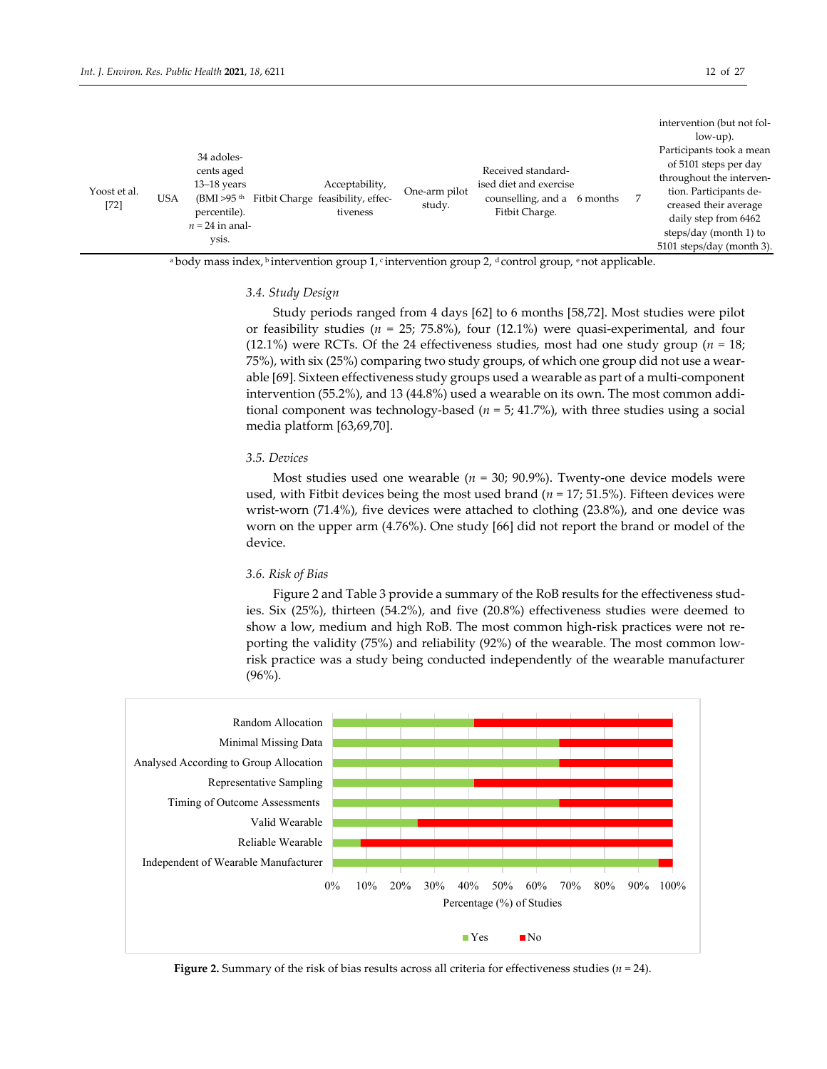|                        |            |                                                                                     |                                                                 |                         |                                                                                               |  | intervention (but not fol-                                                                                                                               |
|------------------------|------------|-------------------------------------------------------------------------------------|-----------------------------------------------------------------|-------------------------|-----------------------------------------------------------------------------------------------|--|----------------------------------------------------------------------------------------------------------------------------------------------------------|
|                        |            |                                                                                     |                                                                 |                         |                                                                                               |  | $low-up$ ).                                                                                                                                              |
| Yoost et al.<br>$[72]$ | <b>USA</b> | 34 adoles-<br>cents aged<br>$13-18$ years<br>(BMI >95 <sup>th</sup><br>percentile). | Acceptability,<br>Fitbit Charge feasibility, effec-<br>tiveness | One-arm pilot<br>study. | Received standard-<br>ised diet and exercise<br>counselling, and a 6 months<br>Fitbit Charge. |  | Participants took a mean<br>of 5101 steps per day<br>throughout the interven-<br>tion. Participants de-<br>creased their average<br>daily step from 6462 |
|                        |            | $n = 24$ in anal-                                                                   |                                                                 |                         |                                                                                               |  | steps/day (month 1) to                                                                                                                                   |
|                        |            | ysis.                                                                               |                                                                 |                         |                                                                                               |  | 5101 steps/day (month 3).                                                                                                                                |

<sup>a</sup> body mass index, <sup>b</sup> intervention group 1, c intervention group 2, <sup>d</sup> control group, <sup>e</sup> not applicable.

#### *3.4. Study Design*

Study periods ranged from 4 days [62] to 6 months [58,72]. Most studies were pilot or feasibility studies ( $n = 25$ ; 75.8%), four (12.1%) were quasi-experimental, and four (12.1%) were RCTs. Of the 24 effectiveness studies, most had one study group ( $n = 18$ ; 75%), with six (25%) comparing two study groups, of which one group did not use a wearable [69]. Sixteen effectiveness study groups used a wearable as part of a multi-component intervention (55.2%), and 13 (44.8%) used a wearable on its own. The most common additional component was technology-based (*n =* 5; 41.7%), with three studies using a social media platform [63,69,70].

#### *3.5. Devices*

Most studies used one wearable (*n =* 30; 90.9%). Twenty-one device models were used, with Fitbit devices being the most used brand (*n =* 17; 51.5%). Fifteen devices were wrist-worn (71.4%), five devices were attached to clothing (23.8%), and one device was worn on the upper arm (4.76%). One study [66] did not report the brand or model of the device.

#### *3.6. Risk of Bias*

Figure 2 and Table 3 provide a summary of the RoB results for the effectiveness studies. Six (25%), thirteen (54.2%), and five (20.8%) effectiveness studies were deemed to show a low, medium and high RoB. The most common high-risk practices were not reporting the validity (75%) and reliability (92%) of the wearable. The most common lowrisk practice was a study being conducted independently of the wearable manufacturer (96%).



**Figure 2.** Summary of the risk of bias results across all criteria for effectiveness studies ( $n = 24$ ).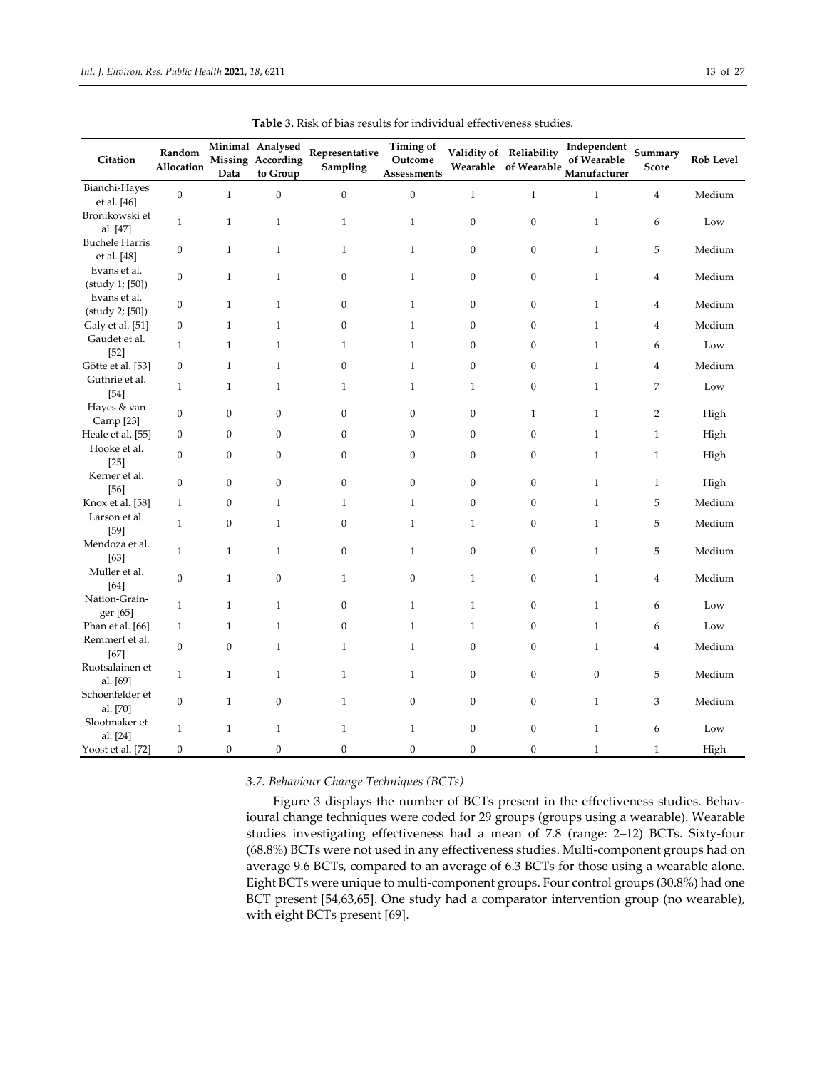| Citation                             | Random           |                  | Minimal Analysed<br>Missing According | Representative   | <b>Timing of</b><br>Outcome |                  | Validity of Reliability | Independent<br>of Wearable | Summary        | <b>Rob Level</b> |
|--------------------------------------|------------------|------------------|---------------------------------------|------------------|-----------------------------|------------------|-------------------------|----------------------------|----------------|------------------|
|                                      | Allocation       | Data             | to Group                              | Sampling         | Assessments                 |                  | Wearable of Wearable    | Manufacturer               | Score          |                  |
| Bianchi-Hayes<br>et al. [46]         | $\mathbf{0}$     | $\mathbf{1}$     | $\boldsymbol{0}$                      | $\boldsymbol{0}$ | $\boldsymbol{0}$            | $\mathbf{1}$     | $\mathbf{1}$            | $\mathbf{1}$               | $\overline{4}$ | Medium           |
| Bronikowski et<br>al. [47]           | $\mathbf{1}$     | $\mathbf{1}$     | $\mathbf{1}$                          | $\mathbf 1$      | $\mathbf{1}$                | $\boldsymbol{0}$ | $\boldsymbol{0}$        | $\mathbf{1}$               | 6              | Low              |
| <b>Buchele Harris</b><br>et al. [48] | $\boldsymbol{0}$ | $\mathbf{1}$     | $\mathbf{1}$                          | $\mathbf{1}$     | $\mathbf{1}$                | $\mathbf{0}$     | $\boldsymbol{0}$        | $\mathbf{1}$               | 5              | Medium           |
| Evans et al.<br>(study 1; [50])      | $\boldsymbol{0}$ | $\mathbf{1}$     | $\,1\,$                               | $\boldsymbol{0}$ | $\mathbf{1}$                | $\boldsymbol{0}$ | $\boldsymbol{0}$        | $\mathbf{1}$               | $\overline{4}$ | Medium           |
| Evans et al.<br>(study 2; [50])      | $\mathbf{0}$     | $\mathbf{1}$     | $\mathbf{1}$                          | $\boldsymbol{0}$ | $\mathbf{1}$                | $\boldsymbol{0}$ | $\boldsymbol{0}$        | $\mathbf{1}$               | 4              | Medium           |
| Galy et al. [51]                     | $\boldsymbol{0}$ | $\mathbf{1}$     | $\mathbf{1}$                          | $\boldsymbol{0}$ | $\mathbf{1}$                | $\boldsymbol{0}$ | $\boldsymbol{0}$        | $\mathbf{1}$               | $\overline{4}$ | Medium           |
| Gaudet et al.<br>$[52]$              | $\mathbf{1}$     | $\mathbf{1}$     | $\mathbf{1}$                          | $\mathbf{1}$     | $\mathbf{1}$                | $\boldsymbol{0}$ | $\boldsymbol{0}$        | $\mathbf{1}$               | 6              | Low              |
| Götte et al. [53]                    | $\boldsymbol{0}$ | $\mathbf{1}$     | $\mathbf{1}$                          | $\boldsymbol{0}$ | $\mathbf{1}$                | $\boldsymbol{0}$ | $\boldsymbol{0}$        | $\mathbf{1}$               | 4              | Medium           |
| Guthrie et al.<br>$[54]$             | $\mathbf{1}$     | $\mathbf{1}$     | $\mathbf{1}$                          | $\mathbf{1}$     | $\mathbf{1}$                | $\mathbf{1}$     | $\boldsymbol{0}$        | $\mathbf{1}$               | 7              | Low              |
| Hayes & van<br>Camp [23]             | $\boldsymbol{0}$ | $\boldsymbol{0}$ | $\boldsymbol{0}$                      | $\boldsymbol{0}$ | $\mathbf{0}$                | $\boldsymbol{0}$ | $\mathbf{1}$            | $\mathbf{1}$               | $\overline{2}$ | High             |
| Heale et al. [55]                    | $\mathbf{0}$     | $\boldsymbol{0}$ | $\boldsymbol{0}$                      | $\boldsymbol{0}$ | $\mathbf{0}$                | $\boldsymbol{0}$ | $\boldsymbol{0}$        | $\mathbf{1}$               | $\mathbf{1}$   | High             |
| Hooke et al.<br>$[25]$               | $\mathbf{0}$     | 0                | 0                                     | $\boldsymbol{0}$ | $\boldsymbol{0}$            | $\boldsymbol{0}$ | $\boldsymbol{0}$        | $\mathbf{1}$               | 1              | High             |
| Kerner et al.<br>$[56]$              | $\boldsymbol{0}$ | $\boldsymbol{0}$ | $\boldsymbol{0}$                      | $\boldsymbol{0}$ | $\boldsymbol{0}$            | $\boldsymbol{0}$ | $\boldsymbol{0}$        | $\mathbf{1}$               | $\mathbf{1}$   | High             |
| Knox et al. [58]                     | $\mathbf{1}$     | $\boldsymbol{0}$ | $\mathbf{1}$                          | $\mathbf{1}$     | $\mathbf{1}$                | $\boldsymbol{0}$ | $\boldsymbol{0}$        | $\mathbf{1}$               | 5              | Medium           |
| Larson et al.<br>$[59]$              | $\mathbf{1}$     | $\mathbf{0}$     | $\mathbf{1}$                          | $\boldsymbol{0}$ | $\mathbf{1}$                | $\mathbf{1}$     | $\boldsymbol{0}$        | $\mathbf{1}$               | 5              | Medium           |
| Mendoza et al.<br>[63]               | $\mathbf{1}$     | $\mathbf{1}$     | $\mathbf{1}$                          | $\boldsymbol{0}$ | $\mathbf{1}$                | $\boldsymbol{0}$ | $\boldsymbol{0}$        | $\mathbf{1}$               | 5              | Medium           |
| Müller et al.<br>[64]                | $\boldsymbol{0}$ | $\mathbf{1}$     | $\boldsymbol{0}$                      | $\mathbf{1}$     | $\boldsymbol{0}$            | $\mathbf{1}$     | $\mathbf{0}$            | $\mathbf{1}$               | $\overline{4}$ | Medium           |
| Nation-Grain-<br>ger [65]            | $\mathbf{1}$     | $\mathbf{1}$     | $\mathbf{1}$                          | $\boldsymbol{0}$ | $\mathbf{1}$                | $\mathbf{1}$     | $\boldsymbol{0}$        | $\mathbf{1}$               | 6              | Low              |
| Phan et al. [66]                     | 1                | $\mathbf{1}$     | $\mathbf{1}$                          | $\boldsymbol{0}$ | $\mathbf{1}$                | $\mathbf{1}$     | $\boldsymbol{0}$        | $\mathbf{1}$               | 6              | Low              |
| Remmert et al.<br>$[67]$             | $\mathbf{0}$     | $\mathbf{0}$     | $\mathbf{1}$                          | $\mathbf{1}$     | $\mathbf{1}$                | $\mathbf{0}$     | $\boldsymbol{0}$        | $\mathbf{1}$               | 4              | Medium           |
| Ruotsalainen et<br>al. [69]          | $\mathbf{1}$     | $\mathbf{1}$     | $\mathbf{1}$                          | $\mathbf{1}$     | $\mathbf{1}$                | $\mathbf{0}$     | $\boldsymbol{0}$        | $\boldsymbol{0}$           | 5              | Medium           |
| Schoenfelder et<br>al. [70]          | $\mathbf{0}$     | $\mathbf{1}$     | $\boldsymbol{0}$                      | $\mathbf{1}$     | $\boldsymbol{0}$            | $\mathbf{0}$     | $\boldsymbol{0}$        | $\mathbf{1}$               | 3              | Medium           |
| Slootmaker et<br>al. [24]            | $\mathbf{1}$     | $\mathbf{1}$     | $\mathbf{1}$                          | $\mathbf{1}$     | $\mathbf{1}$                | $\boldsymbol{0}$ | $\boldsymbol{0}$        | $\mathbf{1}$               | 6              | Low              |
| Yoost et al. [72]                    | $\boldsymbol{0}$ | $\overline{0}$   | $\boldsymbol{0}$                      | $\boldsymbol{0}$ | $\boldsymbol{0}$            | $\boldsymbol{0}$ | $\overline{0}$          | $\mathbf{1}$               | $\mathbf{1}$   | High             |

**Table 3.** Risk of bias results for individual effectiveness studies.

*3.7. Behaviour Change Techniques (BCTs)*

Figure 3 displays the number of BCTs present in the effectiveness studies. Behavioural change techniques were coded for 29 groups (groups using a wearable). Wearable studies investigating effectiveness had a mean of 7.8 (range: 2–12) BCTs. Sixty-four (68.8%) BCTs were not used in any effectiveness studies. Multi-component groups had on average 9.6 BCTs, compared to an average of 6.3 BCTs for those using a wearable alone. Eight BCTs were unique to multi-component groups. Four control groups (30.8%) had one BCT present [54,63,65]. One study had a comparator intervention group (no wearable), with eight BCTs present [69].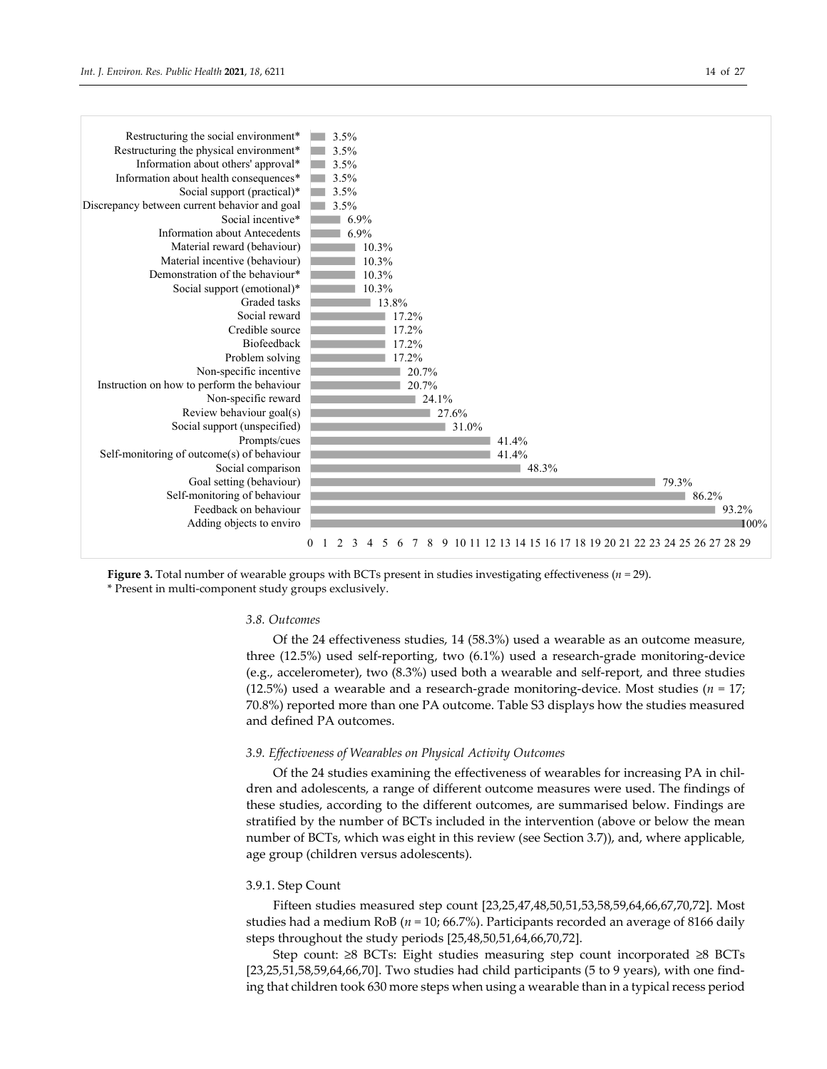

## 0 1 2 3 4 5 6 7 8 9 10 11 12 13 14 15 16 17 18 19 20 21 22 23 24 25 26 27 28 29

**Figure 3.** Total number of wearable groups with BCTs present in studies investigating effectiveness (*n =* 29). \* Present in multi-component study groups exclusively.

#### *3.8. Outcomes*

Of the 24 effectiveness studies, 14 (58.3%) used a wearable as an outcome measure, three (12.5%) used self-reporting, two (6.1%) used a research-grade monitoring-device (e.g., accelerometer), two (8.3%) used both a wearable and self-report, and three studies (12.5%) used a wearable and a research-grade monitoring-device. Most studies ( $n = 17$ ; 70.8%) reported more than one PA outcome. Table S3 displays how the studies measured and defined PA outcomes.

## *3.9. Effectiveness of Wearables on Physical Activity Outcomes*

Of the 24 studies examining the effectiveness of wearables for increasing PA in children and adolescents, a range of different outcome measures were used. The findings of these studies, according to the different outcomes, are summarised below. Findings are stratified by the number of BCTs included in the intervention (above or below the mean number of BCTs, which was eight in this review (see Section 3.7)), and, where applicable, age group (children versus adolescents).

#### 3.9.1. Step Count

Fifteen studies measured step count [23,25,47,48,50,51,53,58,59,64,66,67,70,72]. Most studies had a medium RoB (*n =* 10; 66.7%). Participants recorded an average of 8166 daily steps throughout the study periods [25,48,50,51,64,66,70,72].

Step count: ≥8 BCTs: Eight studies measuring step count incorporated ≥8 BCTs  $[23,25,51,58,59,64,66,70]$ . Two studies had child participants (5 to 9 years), with one finding that children took 630 more steps when using a wearable than in a typical recess period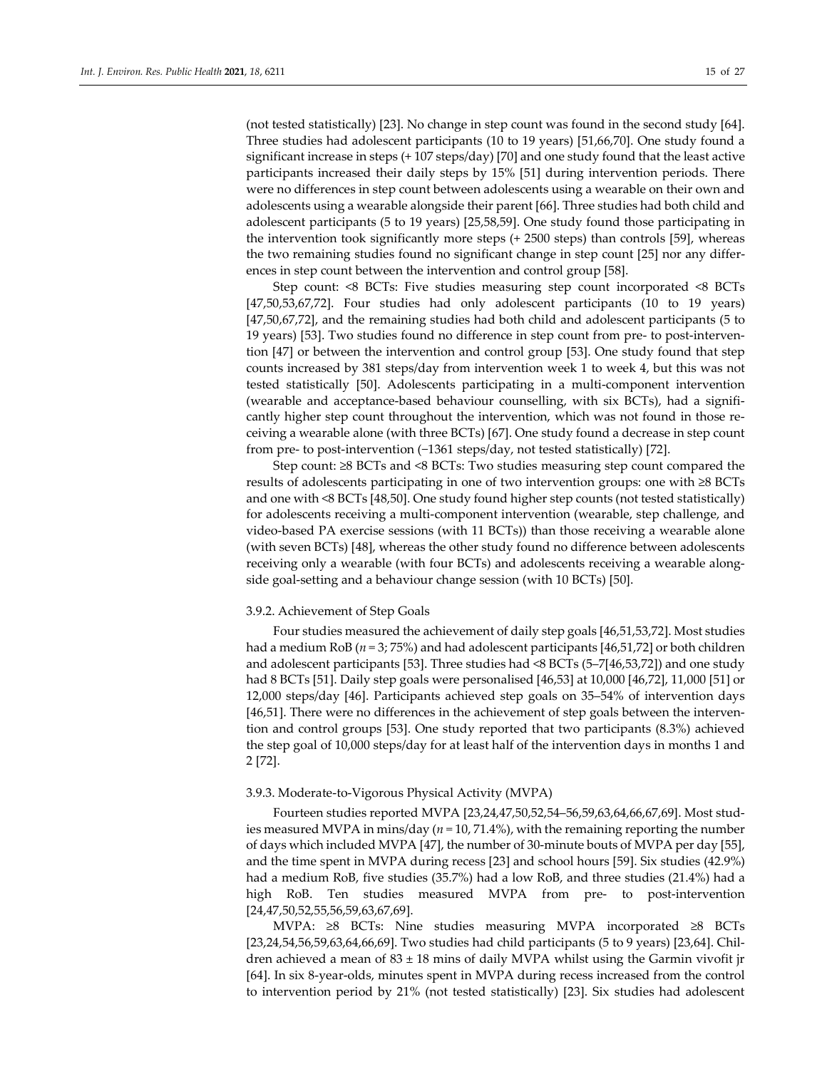(not tested statistically) [23]. No change in step count was found in the second study [64]. Three studies had adolescent participants (10 to 19 years) [51,66,70]. One study found a significant increase in steps (+ 107 steps/day) [70] and one study found that the least active participants increased their daily steps by 15% [51] during intervention periods. There were no differences in step count between adolescents using a wearable on their own and adolescents using a wearable alongside their parent [66]. Three studies had both child and adolescent participants (5 to 19 years) [25,58,59]. One study found those participating in the intervention took significantly more steps (+ 2500 steps) than controls [59], whereas the two remaining studies found no significant change in step count [25] nor any differences in step count between the intervention and control group [58].

Step count: <8 BCTs: Five studies measuring step count incorporated <8 BCTs [47,50,53,67,72]. Four studies had only adolescent participants (10 to 19 years) [47,50,67,72], and the remaining studies had both child and adolescent participants (5 to 19 years) [53]. Two studies found no difference in step count from pre- to post-intervention [47] or between the intervention and control group [53]. One study found that step counts increased by 381 steps/day from intervention week 1 to week 4, but this was not tested statistically [50]. Adolescents participating in a multi-component intervention (wearable and acceptance-based behaviour counselling, with six BCTs), had a significantly higher step count throughout the intervention, which was not found in those receiving a wearable alone (with three BCTs) [67]. One study found a decrease in step count from pre- to post-intervention (−1361 steps/day, not tested statistically) [72].

Step count: ≥8 BCTs and <8 BCTs: Two studies measuring step count compared the results of adolescents participating in one of two intervention groups: one with ≥8 BCTs and one with <8 BCTs [48,50]. One study found higher step counts (not tested statistically) for adolescents receiving a multi-component intervention (wearable, step challenge, and video-based PA exercise sessions (with 11 BCTs)) than those receiving a wearable alone (with seven BCTs) [48], whereas the other study found no difference between adolescents receiving only a wearable (with four BCTs) and adolescents receiving a wearable alongside goal-setting and a behaviour change session (with 10 BCTs) [50].

#### 3.9.2. Achievement of Step Goals

Four studies measured the achievement of daily step goals [46,51,53,72]. Most studies had a medium RoB (*n =* 3; 75%) and had adolescent participants [46,51,72] or both children and adolescent participants [53]. Three studies had <8 BCTs (5–7[46,53,72]) and one study had 8 BCTs [51]. Daily step goals were personalised [46,53] at 10,000 [46,72], 11,000 [51] or 12,000 steps/day [46]. Participants achieved step goals on 35–54% of intervention days [46,51]. There were no differences in the achievement of step goals between the intervention and control groups [53]. One study reported that two participants (8.3%) achieved the step goal of 10,000 steps/day for at least half of the intervention days in months 1 and 2 [72].

## 3.9.3. Moderate-to-Vigorous Physical Activity (MVPA)

Fourteen studies reported MVPA [23,24,47,50,52,54–56,59,63,64,66,67,69]. Most studies measured MVPA in mins/day (*n =* 10, 71.4%), with the remaining reporting the number of days which included MVPA [47], the number of 30-minute bouts of MVPA per day [55], and the time spent in MVPA during recess [23] and school hours [59]. Six studies (42.9%) had a medium RoB, five studies (35.7%) had a low RoB, and three studies (21.4%) had a high RoB. Ten studies measured MVPA from pre- to post-intervention [24,47,50,52,55,56,59,63,67,69].

MVPA: ≥8 BCTs: Nine studies measuring MVPA incorporated ≥8 BCTs [23,24,54,56,59,63,64,66,69]. Two studies had child participants (5 to 9 years) [23,64]. Children achieved a mean of  $83 \pm 18$  mins of daily MVPA whilst using the Garmin vivofit jr [64]. In six 8-year-olds, minutes spent in MVPA during recess increased from the control to intervention period by 21% (not tested statistically) [23]. Six studies had adolescent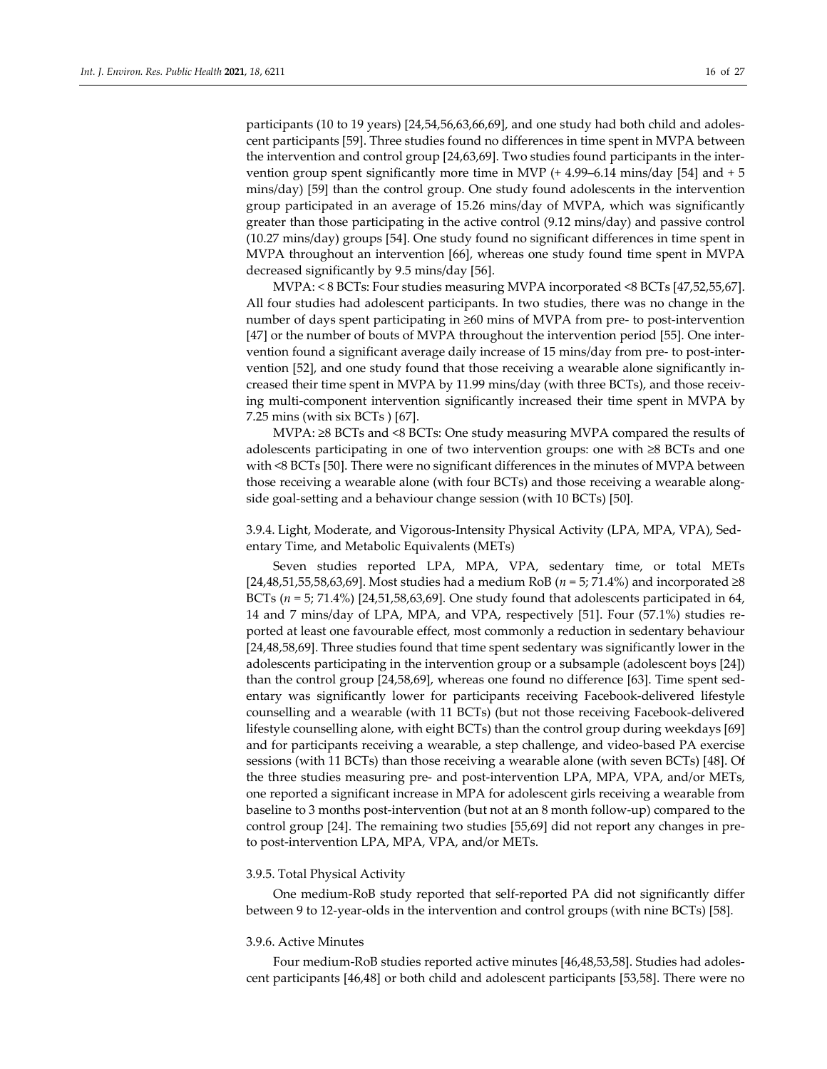participants (10 to 19 years) [24,54,56,63,66,69], and one study had both child and adolescent participants [59]. Three studies found no differences in time spent in MVPA between the intervention and control group [24,63,69]. Two studies found participants in the intervention group spent significantly more time in MVP  $(+ 4.99-6.14 \text{ mins/day}$  [54] and  $+ 5$ mins/day) [59] than the control group. One study found adolescents in the intervention group participated in an average of 15.26 mins/day of MVPA, which was significantly greater than those participating in the active control (9.12 mins/day) and passive control (10.27 mins/day) groups [54]. One study found no significant differences in time spent in MVPA throughout an intervention [66], whereas one study found time spent in MVPA decreased significantly by 9.5 mins/day [56].

MVPA: < 8 BCTs: Four studies measuring MVPA incorporated <8 BCTs [47,52,55,67]. All four studies had adolescent participants. In two studies, there was no change in the number of days spent participating in ≥60 mins of MVPA from pre- to post-intervention [47] or the number of bouts of MVPA throughout the intervention period [55]. One intervention found a significant average daily increase of 15 mins/day from pre- to post-intervention [52], and one study found that those receiving a wearable alone significantly increased their time spent in MVPA by 11.99 mins/day (with three BCTs), and those receiving multi-component intervention significantly increased their time spent in MVPA by 7.25 mins (with six BCTs ) [67].

MVPA: ≥8 BCTs and <8 BCTs: One study measuring MVPA compared the results of adolescents participating in one of two intervention groups: one with ≥8 BCTs and one with <8 BCTs [50]. There were no significant differences in the minutes of MVPA between those receiving a wearable alone (with four BCTs) and those receiving a wearable alongside goal-setting and a behaviour change session (with 10 BCTs) [50].

3.9.4. Light, Moderate, and Vigorous-Intensity Physical Activity (LPA, MPA, VPA), Sedentary Time, and Metabolic Equivalents (METs)

Seven studies reported LPA, MPA, VPA, sedentary time, or total METs [24,48,51,55,58,63,69]. Most studies had a medium RoB (*n =* 5; 71.4%) and incorporated ≥8 BCTs  $(n = 5; 71.4\%)$  [24,51,58,63,69]. One study found that adolescents participated in 64, 14 and 7 mins/day of LPA, MPA, and VPA, respectively [51]. Four (57.1%) studies reported at least one favourable effect, most commonly a reduction in sedentary behaviour [24,48,58,69]. Three studies found that time spent sedentary was significantly lower in the adolescents participating in the intervention group or a subsample (adolescent boys [24]) than the control group [24,58,69], whereas one found no difference [63]. Time spent sedentary was significantly lower for participants receiving Facebook-delivered lifestyle counselling and a wearable (with 11 BCTs) (but not those receiving Facebook-delivered lifestyle counselling alone, with eight BCTs) than the control group during weekdays [69] and for participants receiving a wearable, a step challenge, and video-based PA exercise sessions (with 11 BCTs) than those receiving a wearable alone (with seven BCTs) [48]. Of the three studies measuring pre- and post-intervention LPA, MPA, VPA, and/or METs, one reported a significant increase in MPA for adolescent girls receiving a wearable from baseline to 3 months post-intervention (but not at an 8 month follow-up) compared to the control group [24]. The remaining two studies [55,69] did not report any changes in preto post-intervention LPA, MPA, VPA, and/or METs.

#### 3.9.5. Total Physical Activity

One medium-RoB study reported that self-reported PA did not significantly differ between 9 to 12-year-olds in the intervention and control groups (with nine BCTs) [58].

#### 3.9.6. Active Minutes

Four medium-RoB studies reported active minutes [46,48,53,58]. Studies had adolescent participants [46,48] or both child and adolescent participants [53,58]. There were no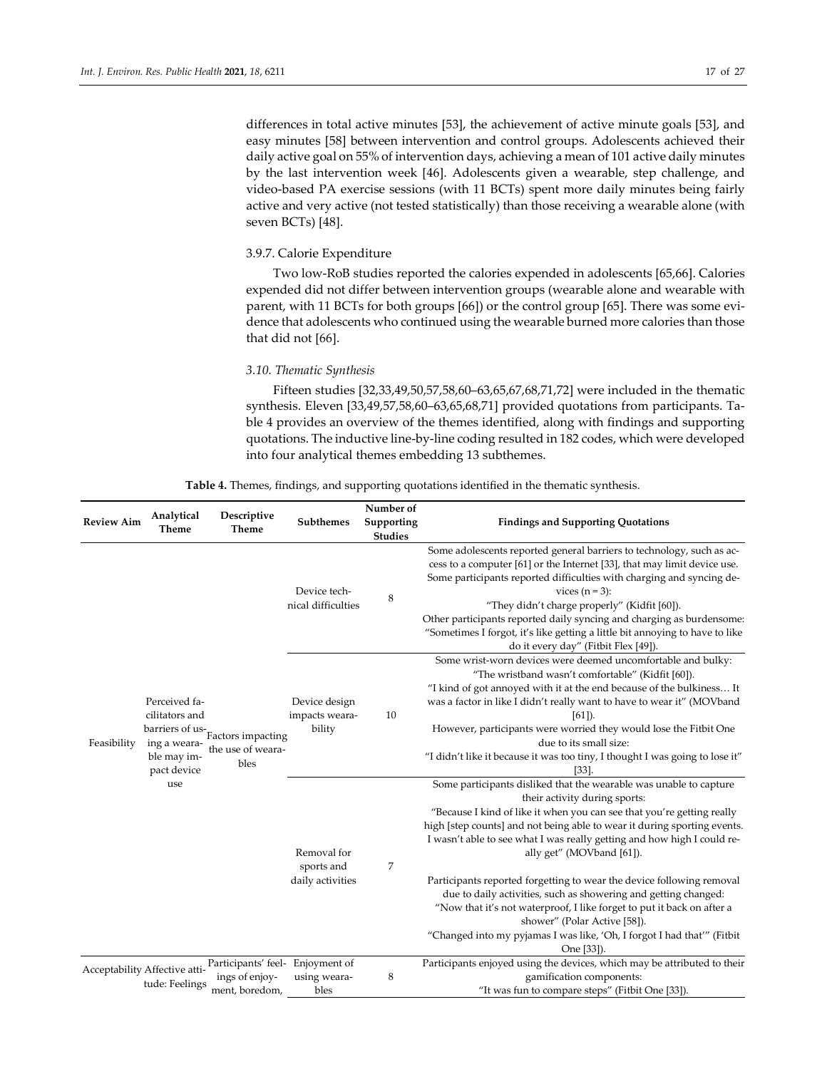differences in total active minutes [53], the achievement of active minute goals [53], and easy minutes [58] between intervention and control groups. Adolescents achieved their daily active goal on 55% of intervention days, achieving a mean of 101 active daily minutes by the last intervention week [46]. Adolescents given a wearable, step challenge, and video-based PA exercise sessions (with 11 BCTs) spent more daily minutes being fairly active and very active (not tested statistically) than those receiving a wearable alone (with seven BCTs) [48].

# 3.9.7. Calorie Expenditure

Two low-RoB studies reported the calories expended in adolescents [65,66]. Calories expended did not differ between intervention groups (wearable alone and wearable with parent, with 11 BCTs for both groups [66]) or the control group [65]. There was some evidence that adolescents who continued using the wearable burned more calories than those that did not [66].

# *3.10. Thematic Synthesis*

Fifteen studies [32,33,49,50,57,58,60–63,65,67,68,71,72] were included in the thematic synthesis. Eleven [33,49,57,58,60–63,65,68,71] provided quotations from participants. Table 4 provides an overview of the themes identified, along with findings and supporting quotations. The inductive line-by-line coding resulted in 182 codes, which were developed into four analytical themes embedding 13 subthemes.

| <b>Review Aim</b> | Analytical<br>Theme                                                                              | Descriptive<br>Theme                                                 | Subthemes                                     | Number of<br>Supporting<br><b>Studies</b> | <b>Findings and Supporting Quotations</b>                                                                                                                                                                                                                                                                                                                                                                                                                                                                                                                                                                                                                                                          |
|-------------------|--------------------------------------------------------------------------------------------------|----------------------------------------------------------------------|-----------------------------------------------|-------------------------------------------|----------------------------------------------------------------------------------------------------------------------------------------------------------------------------------------------------------------------------------------------------------------------------------------------------------------------------------------------------------------------------------------------------------------------------------------------------------------------------------------------------------------------------------------------------------------------------------------------------------------------------------------------------------------------------------------------------|
|                   |                                                                                                  |                                                                      | Device tech-<br>nical difficulties            | 8                                         | Some adolescents reported general barriers to technology, such as ac-<br>cess to a computer [61] or the Internet [33], that may limit device use.<br>Some participants reported difficulties with charging and syncing de-<br>vices $(n=3)$ :<br>"They didn't charge properly" (Kidfit [60]).<br>Other participants reported daily syncing and charging as burdensome:<br>"Sometimes I forgot, it's like getting a little bit annoying to have to like<br>do it every day" (Fitbit Flex [49]).                                                                                                                                                                                                     |
| Feasibility       | Perceived fa-<br>cilitators and<br>barriers of us-<br>ing a weara-<br>ble may im-<br>pact device | Factors impacting<br>the use of weara-<br>bles                       | Device design<br>impacts weara-<br>bility     | 10                                        | Some wrist-worn devices were deemed uncomfortable and bulky:<br>"The wristband wasn't comfortable" (Kidfit [60]).<br>"I kind of got annoyed with it at the end because of the bulkiness It<br>was a factor in like I didn't really want to have to wear it" (MOVband<br>$[61]$ ).<br>However, participants were worried they would lose the Fitbit One<br>due to its small size:<br>"I didn't like it because it was too tiny, I thought I was going to lose it"<br>$[33]$                                                                                                                                                                                                                         |
|                   | use                                                                                              |                                                                      | Removal for<br>sports and<br>daily activities | 7                                         | Some participants disliked that the wearable was unable to capture<br>their activity during sports:<br>"Because I kind of like it when you can see that you're getting really<br>high [step counts] and not being able to wear it during sporting events.<br>I wasn't able to see what I was really getting and how high I could re-<br>ally get" (MOVband [61]).<br>Participants reported forgetting to wear the device following removal<br>due to daily activities, such as showering and getting changed:<br>"Now that it's not waterproof, I like forget to put it back on after a<br>shower" (Polar Active [58]).<br>"Changed into my pyjamas I was like, 'Oh, I forgot I had that'" (Fitbit |
|                   | Acceptability Affective atti-<br>tude: Feelings                                                  | Participants' feel- Enjoyment of<br>ings of enjoy-<br>ment, boredom, | using weara-<br>bles                          | 8                                         | One [33]).<br>Participants enjoyed using the devices, which may be attributed to their<br>gamification components:<br>"It was fun to compare steps" (Fitbit One [33]).                                                                                                                                                                                                                                                                                                                                                                                                                                                                                                                             |

**Table 4.** Themes, findings, and supporting quotations identified in the thematic synthesis.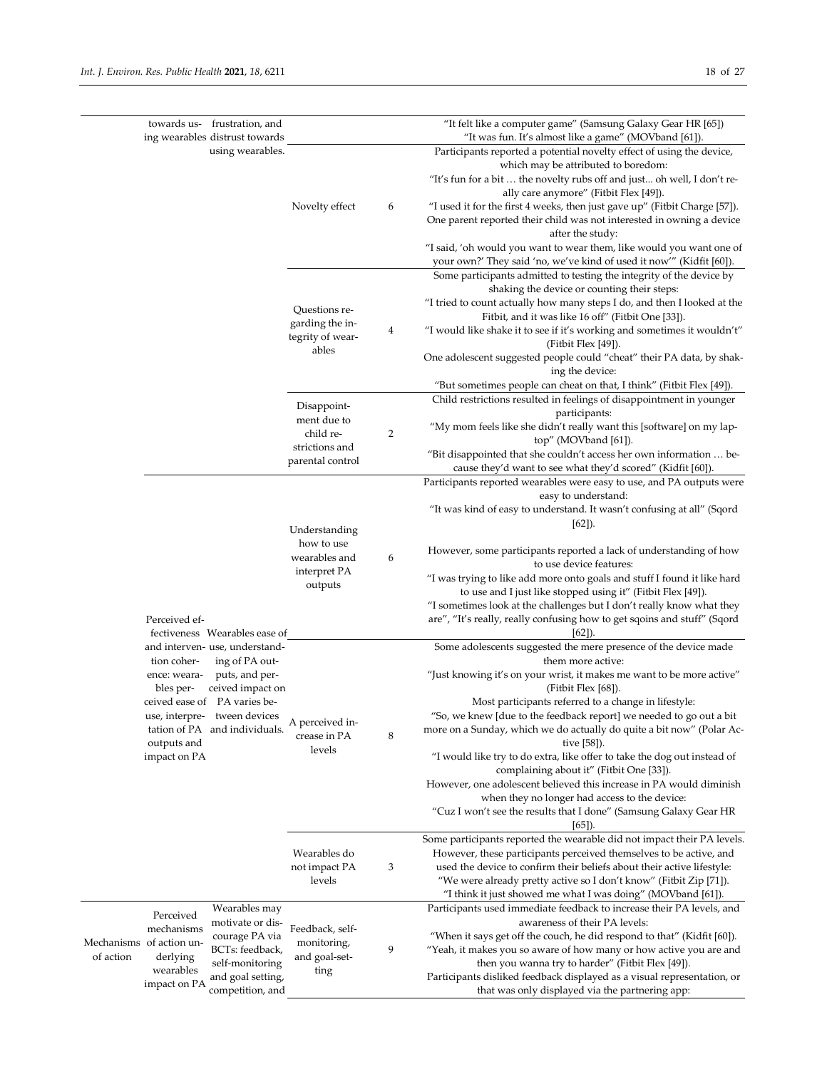| "It felt like a computer game" (Samsung Galaxy Gear HR [65])<br>towards us- frustration, and<br>ing wearables distrust towards<br>"It was fun. It's almost like a game" (MOVband [61]).<br>using wearables.<br>Participants reported a potential novelty effect of using the device,<br>which may be attributed to boredom:<br>"It's fun for a bit  the novelty rubs off and just oh well, I don't re-<br>ally care anymore" (Fitbit Flex [49]).<br>Novelty effect<br>"I used it for the first 4 weeks, then just gave up" (Fitbit Charge [57]).<br>6<br>One parent reported their child was not interested in owning a device<br>after the study:<br>"I said, 'oh would you want to wear them, like would you want one of<br>your own?' They said 'no, we've kind of used it now'" (Kidfit [60]).<br>Some participants admitted to testing the integrity of the device by<br>shaking the device or counting their steps:<br>"I tried to count actually how many steps I do, and then I looked at the<br>Questions re-<br>Fitbit, and it was like 16 off" (Fitbit One [33]).<br>garding the in-<br>4<br>"I would like shake it to see if it's working and sometimes it wouldn't"<br>tegrity of wear-<br>(Fitbit Flex $[49]$ ).<br>ables<br>One adolescent suggested people could "cheat" their PA data, by shak-<br>ing the device:<br>"But sometimes people can cheat on that, I think" (Fitbit Flex [49]).<br>Child restrictions resulted in feelings of disappointment in younger<br>Disappoint-<br>participants:<br>ment due to<br>"My mom feels like she didn't really want this [software] on my lap-<br>child re-<br>2<br>top" (MOVband [61]).<br>strictions and<br>"Bit disappointed that she couldn't access her own information  be-<br>parental control<br>cause they'd want to see what they'd scored" (Kidfit [60]).<br>Participants reported wearables were easy to use, and PA outputs were<br>easy to understand:<br>"It was kind of easy to understand. It wasn't confusing at all" (Sqord<br>$[62]$ ).<br>Understanding<br>how to use<br>However, some participants reported a lack of understanding of how<br>wearables and<br>6<br>to use device features:<br>interpret PA<br>"I was trying to like add more onto goals and stuff I found it like hard<br>outputs<br>to use and I just like stopped using it" (Fitbit Flex [49]).<br>"I sometimes look at the challenges but I don't really know what they<br>are", "It's really, really confusing how to get sqoins and stuff" (Sqord<br>Perceived ef-<br>$[62]$ ).<br>fectiveness Wearables ease of<br>and interven- use, understand-<br>Some adolescents suggested the mere presence of the device made<br>ing of PA out-<br>them more active:<br>tion coher-<br>"Just knowing it's on your wrist, it makes me want to be more active"<br>puts, and per-<br>ence: weara-<br>ceived impact on<br>bles per-<br>(Fitbit Flex [68]).<br>ceived ease of PA varies be-<br>Most participants referred to a change in lifestyle:<br>"So, we knew [due to the feedback report] we needed to go out a bit<br>use, interpre- tween devices<br>A perceived in-<br>tation of PA and individuals.<br>more on a Sunday, which we do actually do quite a bit now" (Polar Ac-<br>8<br>crease in PA<br>outputs and<br>tive [58]).<br>levels<br>impact on PA<br>"I would like try to do extra, like offer to take the dog out instead of<br>complaining about it" (Fitbit One [33]).<br>However, one adolescent believed this increase in PA would diminish<br>when they no longer had access to the device:<br>"Cuz I won't see the results that I done" (Samsung Galaxy Gear HR<br>$(65)$ .<br>Some participants reported the wearable did not impact their PA levels.<br>Wearables do<br>However, these participants perceived themselves to be active, and<br>3<br>used the device to confirm their beliefs about their active lifestyle:<br>not impact PA<br>"We were already pretty active so I don't know" (Fitbit Zip [71]).<br>levels<br>"I think it just showed me what I was doing" (MOVband [61]).<br>Wearables may<br>Participants used immediate feedback to increase their PA levels, and<br>Perceived<br>motivate or dis-<br>awareness of their PA levels:<br>mechanisms<br>Feedback, self-<br>"When it says get off the couch, he did respond to that" (Kidfit [60]).<br>courage PA via<br>Mechanisms of action un-<br>monitoring,<br>9<br>BCTs: feedback,<br>"Yeah, it makes you so aware of how many or how active you are and<br>of action<br>derlying<br>and goal-set-<br>self-monitoring<br>then you wanna try to harder" (Fitbit Flex [49]).<br>wearables<br>ting<br>Participants disliked feedback displayed as a visual representation, or<br>and goal setting,<br>impact on PA<br>competition, and<br>that was only displayed via the partnering app: |  |  |  |  |  |
|-------------------------------------------------------------------------------------------------------------------------------------------------------------------------------------------------------------------------------------------------------------------------------------------------------------------------------------------------------------------------------------------------------------------------------------------------------------------------------------------------------------------------------------------------------------------------------------------------------------------------------------------------------------------------------------------------------------------------------------------------------------------------------------------------------------------------------------------------------------------------------------------------------------------------------------------------------------------------------------------------------------------------------------------------------------------------------------------------------------------------------------------------------------------------------------------------------------------------------------------------------------------------------------------------------------------------------------------------------------------------------------------------------------------------------------------------------------------------------------------------------------------------------------------------------------------------------------------------------------------------------------------------------------------------------------------------------------------------------------------------------------------------------------------------------------------------------------------------------------------------------------------------------------------------------------------------------------------------------------------------------------------------------------------------------------------------------------------------------------------------------------------------------------------------------------------------------------------------------------------------------------------------------------------------------------------------------------------------------------------------------------------------------------------------------------------------------------------------------------------------------------------------------------------------------------------------------------------------------------------------------------------------------------------------------------------------------------------------------------------------------------------------------------------------------------------------------------------------------------------------------------------------------------------------------------------------------------------------------------------------------------------------------------------------------------------------------------------------------------------------------------------------------------------------------------------------------------------------------------------------------------------------------------------------------------------------------------------------------------------------------------------------------------------------------------------------------------------------------------------------------------------------------------------------------------------------------------------------------------------------------------------------------------------------------------------------------------------------------------------------------------------------------------------------------------------------------------------------------------------------------------------------------------------------------------------------------------------------------------------------------------------------------------------------------------------------------------------------------------------------------------------------------------------------------------------------------------------------------------------------------------------------------------------------------------------------------------------------------------------------------------------------------------------------------------------------------------------------------------------------------------------------------------------------------------------------------------------------------------------------------------------------------------------------------------------------------------------------------------------------------------------------------------------------------------------------------------|--|--|--|--|--|
|                                                                                                                                                                                                                                                                                                                                                                                                                                                                                                                                                                                                                                                                                                                                                                                                                                                                                                                                                                                                                                                                                                                                                                                                                                                                                                                                                                                                                                                                                                                                                                                                                                                                                                                                                                                                                                                                                                                                                                                                                                                                                                                                                                                                                                                                                                                                                                                                                                                                                                                                                                                                                                                                                                                                                                                                                                                                                                                                                                                                                                                                                                                                                                                                                                                                                                                                                                                                                                                                                                                                                                                                                                                                                                                                                                                                                                                                                                                                                                                                                                                                                                                                                                                                                                                                                                                                                                                                                                                                                                                                                                                                                                                                                                                                                                                                                                     |  |  |  |  |  |
|                                                                                                                                                                                                                                                                                                                                                                                                                                                                                                                                                                                                                                                                                                                                                                                                                                                                                                                                                                                                                                                                                                                                                                                                                                                                                                                                                                                                                                                                                                                                                                                                                                                                                                                                                                                                                                                                                                                                                                                                                                                                                                                                                                                                                                                                                                                                                                                                                                                                                                                                                                                                                                                                                                                                                                                                                                                                                                                                                                                                                                                                                                                                                                                                                                                                                                                                                                                                                                                                                                                                                                                                                                                                                                                                                                                                                                                                                                                                                                                                                                                                                                                                                                                                                                                                                                                                                                                                                                                                                                                                                                                                                                                                                                                                                                                                                                     |  |  |  |  |  |
|                                                                                                                                                                                                                                                                                                                                                                                                                                                                                                                                                                                                                                                                                                                                                                                                                                                                                                                                                                                                                                                                                                                                                                                                                                                                                                                                                                                                                                                                                                                                                                                                                                                                                                                                                                                                                                                                                                                                                                                                                                                                                                                                                                                                                                                                                                                                                                                                                                                                                                                                                                                                                                                                                                                                                                                                                                                                                                                                                                                                                                                                                                                                                                                                                                                                                                                                                                                                                                                                                                                                                                                                                                                                                                                                                                                                                                                                                                                                                                                                                                                                                                                                                                                                                                                                                                                                                                                                                                                                                                                                                                                                                                                                                                                                                                                                                                     |  |  |  |  |  |
|                                                                                                                                                                                                                                                                                                                                                                                                                                                                                                                                                                                                                                                                                                                                                                                                                                                                                                                                                                                                                                                                                                                                                                                                                                                                                                                                                                                                                                                                                                                                                                                                                                                                                                                                                                                                                                                                                                                                                                                                                                                                                                                                                                                                                                                                                                                                                                                                                                                                                                                                                                                                                                                                                                                                                                                                                                                                                                                                                                                                                                                                                                                                                                                                                                                                                                                                                                                                                                                                                                                                                                                                                                                                                                                                                                                                                                                                                                                                                                                                                                                                                                                                                                                                                                                                                                                                                                                                                                                                                                                                                                                                                                                                                                                                                                                                                                     |  |  |  |  |  |
|                                                                                                                                                                                                                                                                                                                                                                                                                                                                                                                                                                                                                                                                                                                                                                                                                                                                                                                                                                                                                                                                                                                                                                                                                                                                                                                                                                                                                                                                                                                                                                                                                                                                                                                                                                                                                                                                                                                                                                                                                                                                                                                                                                                                                                                                                                                                                                                                                                                                                                                                                                                                                                                                                                                                                                                                                                                                                                                                                                                                                                                                                                                                                                                                                                                                                                                                                                                                                                                                                                                                                                                                                                                                                                                                                                                                                                                                                                                                                                                                                                                                                                                                                                                                                                                                                                                                                                                                                                                                                                                                                                                                                                                                                                                                                                                                                                     |  |  |  |  |  |
|                                                                                                                                                                                                                                                                                                                                                                                                                                                                                                                                                                                                                                                                                                                                                                                                                                                                                                                                                                                                                                                                                                                                                                                                                                                                                                                                                                                                                                                                                                                                                                                                                                                                                                                                                                                                                                                                                                                                                                                                                                                                                                                                                                                                                                                                                                                                                                                                                                                                                                                                                                                                                                                                                                                                                                                                                                                                                                                                                                                                                                                                                                                                                                                                                                                                                                                                                                                                                                                                                                                                                                                                                                                                                                                                                                                                                                                                                                                                                                                                                                                                                                                                                                                                                                                                                                                                                                                                                                                                                                                                                                                                                                                                                                                                                                                                                                     |  |  |  |  |  |
|                                                                                                                                                                                                                                                                                                                                                                                                                                                                                                                                                                                                                                                                                                                                                                                                                                                                                                                                                                                                                                                                                                                                                                                                                                                                                                                                                                                                                                                                                                                                                                                                                                                                                                                                                                                                                                                                                                                                                                                                                                                                                                                                                                                                                                                                                                                                                                                                                                                                                                                                                                                                                                                                                                                                                                                                                                                                                                                                                                                                                                                                                                                                                                                                                                                                                                                                                                                                                                                                                                                                                                                                                                                                                                                                                                                                                                                                                                                                                                                                                                                                                                                                                                                                                                                                                                                                                                                                                                                                                                                                                                                                                                                                                                                                                                                                                                     |  |  |  |  |  |
|                                                                                                                                                                                                                                                                                                                                                                                                                                                                                                                                                                                                                                                                                                                                                                                                                                                                                                                                                                                                                                                                                                                                                                                                                                                                                                                                                                                                                                                                                                                                                                                                                                                                                                                                                                                                                                                                                                                                                                                                                                                                                                                                                                                                                                                                                                                                                                                                                                                                                                                                                                                                                                                                                                                                                                                                                                                                                                                                                                                                                                                                                                                                                                                                                                                                                                                                                                                                                                                                                                                                                                                                                                                                                                                                                                                                                                                                                                                                                                                                                                                                                                                                                                                                                                                                                                                                                                                                                                                                                                                                                                                                                                                                                                                                                                                                                                     |  |  |  |  |  |
|                                                                                                                                                                                                                                                                                                                                                                                                                                                                                                                                                                                                                                                                                                                                                                                                                                                                                                                                                                                                                                                                                                                                                                                                                                                                                                                                                                                                                                                                                                                                                                                                                                                                                                                                                                                                                                                                                                                                                                                                                                                                                                                                                                                                                                                                                                                                                                                                                                                                                                                                                                                                                                                                                                                                                                                                                                                                                                                                                                                                                                                                                                                                                                                                                                                                                                                                                                                                                                                                                                                                                                                                                                                                                                                                                                                                                                                                                                                                                                                                                                                                                                                                                                                                                                                                                                                                                                                                                                                                                                                                                                                                                                                                                                                                                                                                                                     |  |  |  |  |  |
|                                                                                                                                                                                                                                                                                                                                                                                                                                                                                                                                                                                                                                                                                                                                                                                                                                                                                                                                                                                                                                                                                                                                                                                                                                                                                                                                                                                                                                                                                                                                                                                                                                                                                                                                                                                                                                                                                                                                                                                                                                                                                                                                                                                                                                                                                                                                                                                                                                                                                                                                                                                                                                                                                                                                                                                                                                                                                                                                                                                                                                                                                                                                                                                                                                                                                                                                                                                                                                                                                                                                                                                                                                                                                                                                                                                                                                                                                                                                                                                                                                                                                                                                                                                                                                                                                                                                                                                                                                                                                                                                                                                                                                                                                                                                                                                                                                     |  |  |  |  |  |
|                                                                                                                                                                                                                                                                                                                                                                                                                                                                                                                                                                                                                                                                                                                                                                                                                                                                                                                                                                                                                                                                                                                                                                                                                                                                                                                                                                                                                                                                                                                                                                                                                                                                                                                                                                                                                                                                                                                                                                                                                                                                                                                                                                                                                                                                                                                                                                                                                                                                                                                                                                                                                                                                                                                                                                                                                                                                                                                                                                                                                                                                                                                                                                                                                                                                                                                                                                                                                                                                                                                                                                                                                                                                                                                                                                                                                                                                                                                                                                                                                                                                                                                                                                                                                                                                                                                                                                                                                                                                                                                                                                                                                                                                                                                                                                                                                                     |  |  |  |  |  |
|                                                                                                                                                                                                                                                                                                                                                                                                                                                                                                                                                                                                                                                                                                                                                                                                                                                                                                                                                                                                                                                                                                                                                                                                                                                                                                                                                                                                                                                                                                                                                                                                                                                                                                                                                                                                                                                                                                                                                                                                                                                                                                                                                                                                                                                                                                                                                                                                                                                                                                                                                                                                                                                                                                                                                                                                                                                                                                                                                                                                                                                                                                                                                                                                                                                                                                                                                                                                                                                                                                                                                                                                                                                                                                                                                                                                                                                                                                                                                                                                                                                                                                                                                                                                                                                                                                                                                                                                                                                                                                                                                                                                                                                                                                                                                                                                                                     |  |  |  |  |  |
|                                                                                                                                                                                                                                                                                                                                                                                                                                                                                                                                                                                                                                                                                                                                                                                                                                                                                                                                                                                                                                                                                                                                                                                                                                                                                                                                                                                                                                                                                                                                                                                                                                                                                                                                                                                                                                                                                                                                                                                                                                                                                                                                                                                                                                                                                                                                                                                                                                                                                                                                                                                                                                                                                                                                                                                                                                                                                                                                                                                                                                                                                                                                                                                                                                                                                                                                                                                                                                                                                                                                                                                                                                                                                                                                                                                                                                                                                                                                                                                                                                                                                                                                                                                                                                                                                                                                                                                                                                                                                                                                                                                                                                                                                                                                                                                                                                     |  |  |  |  |  |
|                                                                                                                                                                                                                                                                                                                                                                                                                                                                                                                                                                                                                                                                                                                                                                                                                                                                                                                                                                                                                                                                                                                                                                                                                                                                                                                                                                                                                                                                                                                                                                                                                                                                                                                                                                                                                                                                                                                                                                                                                                                                                                                                                                                                                                                                                                                                                                                                                                                                                                                                                                                                                                                                                                                                                                                                                                                                                                                                                                                                                                                                                                                                                                                                                                                                                                                                                                                                                                                                                                                                                                                                                                                                                                                                                                                                                                                                                                                                                                                                                                                                                                                                                                                                                                                                                                                                                                                                                                                                                                                                                                                                                                                                                                                                                                                                                                     |  |  |  |  |  |
|                                                                                                                                                                                                                                                                                                                                                                                                                                                                                                                                                                                                                                                                                                                                                                                                                                                                                                                                                                                                                                                                                                                                                                                                                                                                                                                                                                                                                                                                                                                                                                                                                                                                                                                                                                                                                                                                                                                                                                                                                                                                                                                                                                                                                                                                                                                                                                                                                                                                                                                                                                                                                                                                                                                                                                                                                                                                                                                                                                                                                                                                                                                                                                                                                                                                                                                                                                                                                                                                                                                                                                                                                                                                                                                                                                                                                                                                                                                                                                                                                                                                                                                                                                                                                                                                                                                                                                                                                                                                                                                                                                                                                                                                                                                                                                                                                                     |  |  |  |  |  |
|                                                                                                                                                                                                                                                                                                                                                                                                                                                                                                                                                                                                                                                                                                                                                                                                                                                                                                                                                                                                                                                                                                                                                                                                                                                                                                                                                                                                                                                                                                                                                                                                                                                                                                                                                                                                                                                                                                                                                                                                                                                                                                                                                                                                                                                                                                                                                                                                                                                                                                                                                                                                                                                                                                                                                                                                                                                                                                                                                                                                                                                                                                                                                                                                                                                                                                                                                                                                                                                                                                                                                                                                                                                                                                                                                                                                                                                                                                                                                                                                                                                                                                                                                                                                                                                                                                                                                                                                                                                                                                                                                                                                                                                                                                                                                                                                                                     |  |  |  |  |  |
|                                                                                                                                                                                                                                                                                                                                                                                                                                                                                                                                                                                                                                                                                                                                                                                                                                                                                                                                                                                                                                                                                                                                                                                                                                                                                                                                                                                                                                                                                                                                                                                                                                                                                                                                                                                                                                                                                                                                                                                                                                                                                                                                                                                                                                                                                                                                                                                                                                                                                                                                                                                                                                                                                                                                                                                                                                                                                                                                                                                                                                                                                                                                                                                                                                                                                                                                                                                                                                                                                                                                                                                                                                                                                                                                                                                                                                                                                                                                                                                                                                                                                                                                                                                                                                                                                                                                                                                                                                                                                                                                                                                                                                                                                                                                                                                                                                     |  |  |  |  |  |
|                                                                                                                                                                                                                                                                                                                                                                                                                                                                                                                                                                                                                                                                                                                                                                                                                                                                                                                                                                                                                                                                                                                                                                                                                                                                                                                                                                                                                                                                                                                                                                                                                                                                                                                                                                                                                                                                                                                                                                                                                                                                                                                                                                                                                                                                                                                                                                                                                                                                                                                                                                                                                                                                                                                                                                                                                                                                                                                                                                                                                                                                                                                                                                                                                                                                                                                                                                                                                                                                                                                                                                                                                                                                                                                                                                                                                                                                                                                                                                                                                                                                                                                                                                                                                                                                                                                                                                                                                                                                                                                                                                                                                                                                                                                                                                                                                                     |  |  |  |  |  |
|                                                                                                                                                                                                                                                                                                                                                                                                                                                                                                                                                                                                                                                                                                                                                                                                                                                                                                                                                                                                                                                                                                                                                                                                                                                                                                                                                                                                                                                                                                                                                                                                                                                                                                                                                                                                                                                                                                                                                                                                                                                                                                                                                                                                                                                                                                                                                                                                                                                                                                                                                                                                                                                                                                                                                                                                                                                                                                                                                                                                                                                                                                                                                                                                                                                                                                                                                                                                                                                                                                                                                                                                                                                                                                                                                                                                                                                                                                                                                                                                                                                                                                                                                                                                                                                                                                                                                                                                                                                                                                                                                                                                                                                                                                                                                                                                                                     |  |  |  |  |  |
|                                                                                                                                                                                                                                                                                                                                                                                                                                                                                                                                                                                                                                                                                                                                                                                                                                                                                                                                                                                                                                                                                                                                                                                                                                                                                                                                                                                                                                                                                                                                                                                                                                                                                                                                                                                                                                                                                                                                                                                                                                                                                                                                                                                                                                                                                                                                                                                                                                                                                                                                                                                                                                                                                                                                                                                                                                                                                                                                                                                                                                                                                                                                                                                                                                                                                                                                                                                                                                                                                                                                                                                                                                                                                                                                                                                                                                                                                                                                                                                                                                                                                                                                                                                                                                                                                                                                                                                                                                                                                                                                                                                                                                                                                                                                                                                                                                     |  |  |  |  |  |
|                                                                                                                                                                                                                                                                                                                                                                                                                                                                                                                                                                                                                                                                                                                                                                                                                                                                                                                                                                                                                                                                                                                                                                                                                                                                                                                                                                                                                                                                                                                                                                                                                                                                                                                                                                                                                                                                                                                                                                                                                                                                                                                                                                                                                                                                                                                                                                                                                                                                                                                                                                                                                                                                                                                                                                                                                                                                                                                                                                                                                                                                                                                                                                                                                                                                                                                                                                                                                                                                                                                                                                                                                                                                                                                                                                                                                                                                                                                                                                                                                                                                                                                                                                                                                                                                                                                                                                                                                                                                                                                                                                                                                                                                                                                                                                                                                                     |  |  |  |  |  |
|                                                                                                                                                                                                                                                                                                                                                                                                                                                                                                                                                                                                                                                                                                                                                                                                                                                                                                                                                                                                                                                                                                                                                                                                                                                                                                                                                                                                                                                                                                                                                                                                                                                                                                                                                                                                                                                                                                                                                                                                                                                                                                                                                                                                                                                                                                                                                                                                                                                                                                                                                                                                                                                                                                                                                                                                                                                                                                                                                                                                                                                                                                                                                                                                                                                                                                                                                                                                                                                                                                                                                                                                                                                                                                                                                                                                                                                                                                                                                                                                                                                                                                                                                                                                                                                                                                                                                                                                                                                                                                                                                                                                                                                                                                                                                                                                                                     |  |  |  |  |  |
|                                                                                                                                                                                                                                                                                                                                                                                                                                                                                                                                                                                                                                                                                                                                                                                                                                                                                                                                                                                                                                                                                                                                                                                                                                                                                                                                                                                                                                                                                                                                                                                                                                                                                                                                                                                                                                                                                                                                                                                                                                                                                                                                                                                                                                                                                                                                                                                                                                                                                                                                                                                                                                                                                                                                                                                                                                                                                                                                                                                                                                                                                                                                                                                                                                                                                                                                                                                                                                                                                                                                                                                                                                                                                                                                                                                                                                                                                                                                                                                                                                                                                                                                                                                                                                                                                                                                                                                                                                                                                                                                                                                                                                                                                                                                                                                                                                     |  |  |  |  |  |
|                                                                                                                                                                                                                                                                                                                                                                                                                                                                                                                                                                                                                                                                                                                                                                                                                                                                                                                                                                                                                                                                                                                                                                                                                                                                                                                                                                                                                                                                                                                                                                                                                                                                                                                                                                                                                                                                                                                                                                                                                                                                                                                                                                                                                                                                                                                                                                                                                                                                                                                                                                                                                                                                                                                                                                                                                                                                                                                                                                                                                                                                                                                                                                                                                                                                                                                                                                                                                                                                                                                                                                                                                                                                                                                                                                                                                                                                                                                                                                                                                                                                                                                                                                                                                                                                                                                                                                                                                                                                                                                                                                                                                                                                                                                                                                                                                                     |  |  |  |  |  |
|                                                                                                                                                                                                                                                                                                                                                                                                                                                                                                                                                                                                                                                                                                                                                                                                                                                                                                                                                                                                                                                                                                                                                                                                                                                                                                                                                                                                                                                                                                                                                                                                                                                                                                                                                                                                                                                                                                                                                                                                                                                                                                                                                                                                                                                                                                                                                                                                                                                                                                                                                                                                                                                                                                                                                                                                                                                                                                                                                                                                                                                                                                                                                                                                                                                                                                                                                                                                                                                                                                                                                                                                                                                                                                                                                                                                                                                                                                                                                                                                                                                                                                                                                                                                                                                                                                                                                                                                                                                                                                                                                                                                                                                                                                                                                                                                                                     |  |  |  |  |  |
|                                                                                                                                                                                                                                                                                                                                                                                                                                                                                                                                                                                                                                                                                                                                                                                                                                                                                                                                                                                                                                                                                                                                                                                                                                                                                                                                                                                                                                                                                                                                                                                                                                                                                                                                                                                                                                                                                                                                                                                                                                                                                                                                                                                                                                                                                                                                                                                                                                                                                                                                                                                                                                                                                                                                                                                                                                                                                                                                                                                                                                                                                                                                                                                                                                                                                                                                                                                                                                                                                                                                                                                                                                                                                                                                                                                                                                                                                                                                                                                                                                                                                                                                                                                                                                                                                                                                                                                                                                                                                                                                                                                                                                                                                                                                                                                                                                     |  |  |  |  |  |
|                                                                                                                                                                                                                                                                                                                                                                                                                                                                                                                                                                                                                                                                                                                                                                                                                                                                                                                                                                                                                                                                                                                                                                                                                                                                                                                                                                                                                                                                                                                                                                                                                                                                                                                                                                                                                                                                                                                                                                                                                                                                                                                                                                                                                                                                                                                                                                                                                                                                                                                                                                                                                                                                                                                                                                                                                                                                                                                                                                                                                                                                                                                                                                                                                                                                                                                                                                                                                                                                                                                                                                                                                                                                                                                                                                                                                                                                                                                                                                                                                                                                                                                                                                                                                                                                                                                                                                                                                                                                                                                                                                                                                                                                                                                                                                                                                                     |  |  |  |  |  |
|                                                                                                                                                                                                                                                                                                                                                                                                                                                                                                                                                                                                                                                                                                                                                                                                                                                                                                                                                                                                                                                                                                                                                                                                                                                                                                                                                                                                                                                                                                                                                                                                                                                                                                                                                                                                                                                                                                                                                                                                                                                                                                                                                                                                                                                                                                                                                                                                                                                                                                                                                                                                                                                                                                                                                                                                                                                                                                                                                                                                                                                                                                                                                                                                                                                                                                                                                                                                                                                                                                                                                                                                                                                                                                                                                                                                                                                                                                                                                                                                                                                                                                                                                                                                                                                                                                                                                                                                                                                                                                                                                                                                                                                                                                                                                                                                                                     |  |  |  |  |  |
|                                                                                                                                                                                                                                                                                                                                                                                                                                                                                                                                                                                                                                                                                                                                                                                                                                                                                                                                                                                                                                                                                                                                                                                                                                                                                                                                                                                                                                                                                                                                                                                                                                                                                                                                                                                                                                                                                                                                                                                                                                                                                                                                                                                                                                                                                                                                                                                                                                                                                                                                                                                                                                                                                                                                                                                                                                                                                                                                                                                                                                                                                                                                                                                                                                                                                                                                                                                                                                                                                                                                                                                                                                                                                                                                                                                                                                                                                                                                                                                                                                                                                                                                                                                                                                                                                                                                                                                                                                                                                                                                                                                                                                                                                                                                                                                                                                     |  |  |  |  |  |
|                                                                                                                                                                                                                                                                                                                                                                                                                                                                                                                                                                                                                                                                                                                                                                                                                                                                                                                                                                                                                                                                                                                                                                                                                                                                                                                                                                                                                                                                                                                                                                                                                                                                                                                                                                                                                                                                                                                                                                                                                                                                                                                                                                                                                                                                                                                                                                                                                                                                                                                                                                                                                                                                                                                                                                                                                                                                                                                                                                                                                                                                                                                                                                                                                                                                                                                                                                                                                                                                                                                                                                                                                                                                                                                                                                                                                                                                                                                                                                                                                                                                                                                                                                                                                                                                                                                                                                                                                                                                                                                                                                                                                                                                                                                                                                                                                                     |  |  |  |  |  |
|                                                                                                                                                                                                                                                                                                                                                                                                                                                                                                                                                                                                                                                                                                                                                                                                                                                                                                                                                                                                                                                                                                                                                                                                                                                                                                                                                                                                                                                                                                                                                                                                                                                                                                                                                                                                                                                                                                                                                                                                                                                                                                                                                                                                                                                                                                                                                                                                                                                                                                                                                                                                                                                                                                                                                                                                                                                                                                                                                                                                                                                                                                                                                                                                                                                                                                                                                                                                                                                                                                                                                                                                                                                                                                                                                                                                                                                                                                                                                                                                                                                                                                                                                                                                                                                                                                                                                                                                                                                                                                                                                                                                                                                                                                                                                                                                                                     |  |  |  |  |  |
|                                                                                                                                                                                                                                                                                                                                                                                                                                                                                                                                                                                                                                                                                                                                                                                                                                                                                                                                                                                                                                                                                                                                                                                                                                                                                                                                                                                                                                                                                                                                                                                                                                                                                                                                                                                                                                                                                                                                                                                                                                                                                                                                                                                                                                                                                                                                                                                                                                                                                                                                                                                                                                                                                                                                                                                                                                                                                                                                                                                                                                                                                                                                                                                                                                                                                                                                                                                                                                                                                                                                                                                                                                                                                                                                                                                                                                                                                                                                                                                                                                                                                                                                                                                                                                                                                                                                                                                                                                                                                                                                                                                                                                                                                                                                                                                                                                     |  |  |  |  |  |
|                                                                                                                                                                                                                                                                                                                                                                                                                                                                                                                                                                                                                                                                                                                                                                                                                                                                                                                                                                                                                                                                                                                                                                                                                                                                                                                                                                                                                                                                                                                                                                                                                                                                                                                                                                                                                                                                                                                                                                                                                                                                                                                                                                                                                                                                                                                                                                                                                                                                                                                                                                                                                                                                                                                                                                                                                                                                                                                                                                                                                                                                                                                                                                                                                                                                                                                                                                                                                                                                                                                                                                                                                                                                                                                                                                                                                                                                                                                                                                                                                                                                                                                                                                                                                                                                                                                                                                                                                                                                                                                                                                                                                                                                                                                                                                                                                                     |  |  |  |  |  |
|                                                                                                                                                                                                                                                                                                                                                                                                                                                                                                                                                                                                                                                                                                                                                                                                                                                                                                                                                                                                                                                                                                                                                                                                                                                                                                                                                                                                                                                                                                                                                                                                                                                                                                                                                                                                                                                                                                                                                                                                                                                                                                                                                                                                                                                                                                                                                                                                                                                                                                                                                                                                                                                                                                                                                                                                                                                                                                                                                                                                                                                                                                                                                                                                                                                                                                                                                                                                                                                                                                                                                                                                                                                                                                                                                                                                                                                                                                                                                                                                                                                                                                                                                                                                                                                                                                                                                                                                                                                                                                                                                                                                                                                                                                                                                                                                                                     |  |  |  |  |  |
|                                                                                                                                                                                                                                                                                                                                                                                                                                                                                                                                                                                                                                                                                                                                                                                                                                                                                                                                                                                                                                                                                                                                                                                                                                                                                                                                                                                                                                                                                                                                                                                                                                                                                                                                                                                                                                                                                                                                                                                                                                                                                                                                                                                                                                                                                                                                                                                                                                                                                                                                                                                                                                                                                                                                                                                                                                                                                                                                                                                                                                                                                                                                                                                                                                                                                                                                                                                                                                                                                                                                                                                                                                                                                                                                                                                                                                                                                                                                                                                                                                                                                                                                                                                                                                                                                                                                                                                                                                                                                                                                                                                                                                                                                                                                                                                                                                     |  |  |  |  |  |
|                                                                                                                                                                                                                                                                                                                                                                                                                                                                                                                                                                                                                                                                                                                                                                                                                                                                                                                                                                                                                                                                                                                                                                                                                                                                                                                                                                                                                                                                                                                                                                                                                                                                                                                                                                                                                                                                                                                                                                                                                                                                                                                                                                                                                                                                                                                                                                                                                                                                                                                                                                                                                                                                                                                                                                                                                                                                                                                                                                                                                                                                                                                                                                                                                                                                                                                                                                                                                                                                                                                                                                                                                                                                                                                                                                                                                                                                                                                                                                                                                                                                                                                                                                                                                                                                                                                                                                                                                                                                                                                                                                                                                                                                                                                                                                                                                                     |  |  |  |  |  |
|                                                                                                                                                                                                                                                                                                                                                                                                                                                                                                                                                                                                                                                                                                                                                                                                                                                                                                                                                                                                                                                                                                                                                                                                                                                                                                                                                                                                                                                                                                                                                                                                                                                                                                                                                                                                                                                                                                                                                                                                                                                                                                                                                                                                                                                                                                                                                                                                                                                                                                                                                                                                                                                                                                                                                                                                                                                                                                                                                                                                                                                                                                                                                                                                                                                                                                                                                                                                                                                                                                                                                                                                                                                                                                                                                                                                                                                                                                                                                                                                                                                                                                                                                                                                                                                                                                                                                                                                                                                                                                                                                                                                                                                                                                                                                                                                                                     |  |  |  |  |  |
|                                                                                                                                                                                                                                                                                                                                                                                                                                                                                                                                                                                                                                                                                                                                                                                                                                                                                                                                                                                                                                                                                                                                                                                                                                                                                                                                                                                                                                                                                                                                                                                                                                                                                                                                                                                                                                                                                                                                                                                                                                                                                                                                                                                                                                                                                                                                                                                                                                                                                                                                                                                                                                                                                                                                                                                                                                                                                                                                                                                                                                                                                                                                                                                                                                                                                                                                                                                                                                                                                                                                                                                                                                                                                                                                                                                                                                                                                                                                                                                                                                                                                                                                                                                                                                                                                                                                                                                                                                                                                                                                                                                                                                                                                                                                                                                                                                     |  |  |  |  |  |
|                                                                                                                                                                                                                                                                                                                                                                                                                                                                                                                                                                                                                                                                                                                                                                                                                                                                                                                                                                                                                                                                                                                                                                                                                                                                                                                                                                                                                                                                                                                                                                                                                                                                                                                                                                                                                                                                                                                                                                                                                                                                                                                                                                                                                                                                                                                                                                                                                                                                                                                                                                                                                                                                                                                                                                                                                                                                                                                                                                                                                                                                                                                                                                                                                                                                                                                                                                                                                                                                                                                                                                                                                                                                                                                                                                                                                                                                                                                                                                                                                                                                                                                                                                                                                                                                                                                                                                                                                                                                                                                                                                                                                                                                                                                                                                                                                                     |  |  |  |  |  |
|                                                                                                                                                                                                                                                                                                                                                                                                                                                                                                                                                                                                                                                                                                                                                                                                                                                                                                                                                                                                                                                                                                                                                                                                                                                                                                                                                                                                                                                                                                                                                                                                                                                                                                                                                                                                                                                                                                                                                                                                                                                                                                                                                                                                                                                                                                                                                                                                                                                                                                                                                                                                                                                                                                                                                                                                                                                                                                                                                                                                                                                                                                                                                                                                                                                                                                                                                                                                                                                                                                                                                                                                                                                                                                                                                                                                                                                                                                                                                                                                                                                                                                                                                                                                                                                                                                                                                                                                                                                                                                                                                                                                                                                                                                                                                                                                                                     |  |  |  |  |  |
|                                                                                                                                                                                                                                                                                                                                                                                                                                                                                                                                                                                                                                                                                                                                                                                                                                                                                                                                                                                                                                                                                                                                                                                                                                                                                                                                                                                                                                                                                                                                                                                                                                                                                                                                                                                                                                                                                                                                                                                                                                                                                                                                                                                                                                                                                                                                                                                                                                                                                                                                                                                                                                                                                                                                                                                                                                                                                                                                                                                                                                                                                                                                                                                                                                                                                                                                                                                                                                                                                                                                                                                                                                                                                                                                                                                                                                                                                                                                                                                                                                                                                                                                                                                                                                                                                                                                                                                                                                                                                                                                                                                                                                                                                                                                                                                                                                     |  |  |  |  |  |
|                                                                                                                                                                                                                                                                                                                                                                                                                                                                                                                                                                                                                                                                                                                                                                                                                                                                                                                                                                                                                                                                                                                                                                                                                                                                                                                                                                                                                                                                                                                                                                                                                                                                                                                                                                                                                                                                                                                                                                                                                                                                                                                                                                                                                                                                                                                                                                                                                                                                                                                                                                                                                                                                                                                                                                                                                                                                                                                                                                                                                                                                                                                                                                                                                                                                                                                                                                                                                                                                                                                                                                                                                                                                                                                                                                                                                                                                                                                                                                                                                                                                                                                                                                                                                                                                                                                                                                                                                                                                                                                                                                                                                                                                                                                                                                                                                                     |  |  |  |  |  |
|                                                                                                                                                                                                                                                                                                                                                                                                                                                                                                                                                                                                                                                                                                                                                                                                                                                                                                                                                                                                                                                                                                                                                                                                                                                                                                                                                                                                                                                                                                                                                                                                                                                                                                                                                                                                                                                                                                                                                                                                                                                                                                                                                                                                                                                                                                                                                                                                                                                                                                                                                                                                                                                                                                                                                                                                                                                                                                                                                                                                                                                                                                                                                                                                                                                                                                                                                                                                                                                                                                                                                                                                                                                                                                                                                                                                                                                                                                                                                                                                                                                                                                                                                                                                                                                                                                                                                                                                                                                                                                                                                                                                                                                                                                                                                                                                                                     |  |  |  |  |  |
|                                                                                                                                                                                                                                                                                                                                                                                                                                                                                                                                                                                                                                                                                                                                                                                                                                                                                                                                                                                                                                                                                                                                                                                                                                                                                                                                                                                                                                                                                                                                                                                                                                                                                                                                                                                                                                                                                                                                                                                                                                                                                                                                                                                                                                                                                                                                                                                                                                                                                                                                                                                                                                                                                                                                                                                                                                                                                                                                                                                                                                                                                                                                                                                                                                                                                                                                                                                                                                                                                                                                                                                                                                                                                                                                                                                                                                                                                                                                                                                                                                                                                                                                                                                                                                                                                                                                                                                                                                                                                                                                                                                                                                                                                                                                                                                                                                     |  |  |  |  |  |
|                                                                                                                                                                                                                                                                                                                                                                                                                                                                                                                                                                                                                                                                                                                                                                                                                                                                                                                                                                                                                                                                                                                                                                                                                                                                                                                                                                                                                                                                                                                                                                                                                                                                                                                                                                                                                                                                                                                                                                                                                                                                                                                                                                                                                                                                                                                                                                                                                                                                                                                                                                                                                                                                                                                                                                                                                                                                                                                                                                                                                                                                                                                                                                                                                                                                                                                                                                                                                                                                                                                                                                                                                                                                                                                                                                                                                                                                                                                                                                                                                                                                                                                                                                                                                                                                                                                                                                                                                                                                                                                                                                                                                                                                                                                                                                                                                                     |  |  |  |  |  |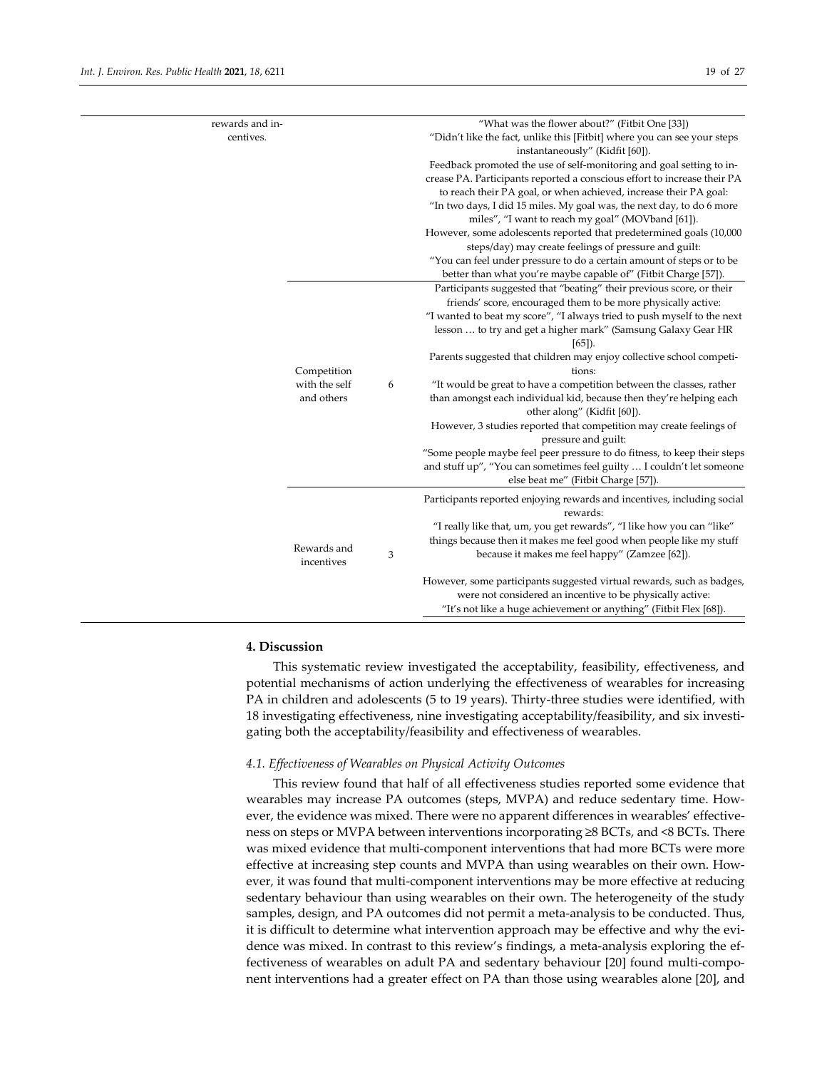| rewards and in- |               |   | "What was the flower about?" (Fitbit One [33])                                                              |
|-----------------|---------------|---|-------------------------------------------------------------------------------------------------------------|
| centives.       |               |   | "Didn't like the fact, unlike this [Fitbit] where you can see your steps<br>instantaneously" (Kidfit [60]). |
|                 |               |   | Feedback promoted the use of self-monitoring and goal setting to in-                                        |
|                 |               |   | crease PA. Participants reported a conscious effort to increase their PA                                    |
|                 |               |   | to reach their PA goal, or when achieved, increase their PA goal:                                           |
|                 |               |   | "In two days, I did 15 miles. My goal was, the next day, to do 6 more                                       |
|                 |               |   | miles", "I want to reach my goal" (MOVband [61]).                                                           |
|                 |               |   | However, some adolescents reported that predetermined goals (10,000                                         |
|                 |               |   | steps/day) may create feelings of pressure and guilt:                                                       |
|                 |               |   | "You can feel under pressure to do a certain amount of steps or to be                                       |
|                 |               |   | better than what you're maybe capable of" (Fitbit Charge [57]).                                             |
|                 |               |   | Participants suggested that "beating" their previous score, or their                                        |
|                 |               |   | friends' score, encouraged them to be more physically active:                                               |
|                 |               |   | "I wanted to beat my score", "I always tried to push myself to the next                                     |
|                 |               |   | lesson  to try and get a higher mark" (Samsung Galaxy Gear HR                                               |
|                 |               |   | $[65]$ ).                                                                                                   |
|                 |               |   | Parents suggested that children may enjoy collective school competi-                                        |
|                 | Competition   |   | tions:                                                                                                      |
|                 | with the self | 6 | "It would be great to have a competition between the classes, rather                                        |
|                 | and others    |   | than amongst each individual kid, because then they're helping each                                         |
|                 |               |   | other along" (Kidfit [60]).                                                                                 |
|                 |               |   | However, 3 studies reported that competition may create feelings of                                         |
|                 |               |   | pressure and guilt:                                                                                         |
|                 |               |   | "Some people maybe feel peer pressure to do fitness, to keep their steps                                    |
|                 |               |   | and stuff up", "You can sometimes feel guilty  I couldn't let someone                                       |
|                 |               |   | else beat me" (Fitbit Charge [57]).                                                                         |
|                 |               |   | Participants reported enjoying rewards and incentives, including social                                     |
|                 |               |   | rewards:                                                                                                    |
|                 |               |   | "I really like that, um, you get rewards", "I like how you can "like"                                       |
|                 | Rewards and   |   | things because then it makes me feel good when people like my stuff                                         |
|                 | incentives    | 3 | because it makes me feel happy" (Zamzee [62]).                                                              |
|                 |               |   |                                                                                                             |
|                 |               |   | However, some participants suggested virtual rewards, such as badges,                                       |
|                 |               |   | were not considered an incentive to be physically active:                                                   |
|                 |               |   | "It's not like a huge achievement or anything" (Fitbit Flex [68]).                                          |
|                 |               |   |                                                                                                             |

# **4. Discussion**

This systematic review investigated the acceptability, feasibility, effectiveness, and potential mechanisms of action underlying the effectiveness of wearables for increasing PA in children and adolescents (5 to 19 years). Thirty-three studies were identified, with 18 investigating effectiveness, nine investigating acceptability/feasibility, and six investigating both the acceptability/feasibility and effectiveness of wearables.

# *4.1. Effectiveness of Wearables on Physical Activity Outcomes*

This review found that half of all effectiveness studies reported some evidence that wearables may increase PA outcomes (steps, MVPA) and reduce sedentary time. However, the evidence was mixed. There were no apparent differences in wearables' effectiveness on steps or MVPA between interventions incorporating ≥8 BCTs, and <8 BCTs. There was mixed evidence that multi-component interventions that had more BCTs were more effective at increasing step counts and MVPA than using wearables on their own. However, it was found that multi-component interventions may be more effective at reducing sedentary behaviour than using wearables on their own. The heterogeneity of the study samples, design, and PA outcomes did not permit a meta-analysis to be conducted. Thus, it is difficult to determine what intervention approach may be effective and why the evidence was mixed. In contrast to this review's findings, a meta-analysis exploring the effectiveness of wearables on adult PA and sedentary behaviour [20] found multi-component interventions had a greater effect on PA than those using wearables alone [20], and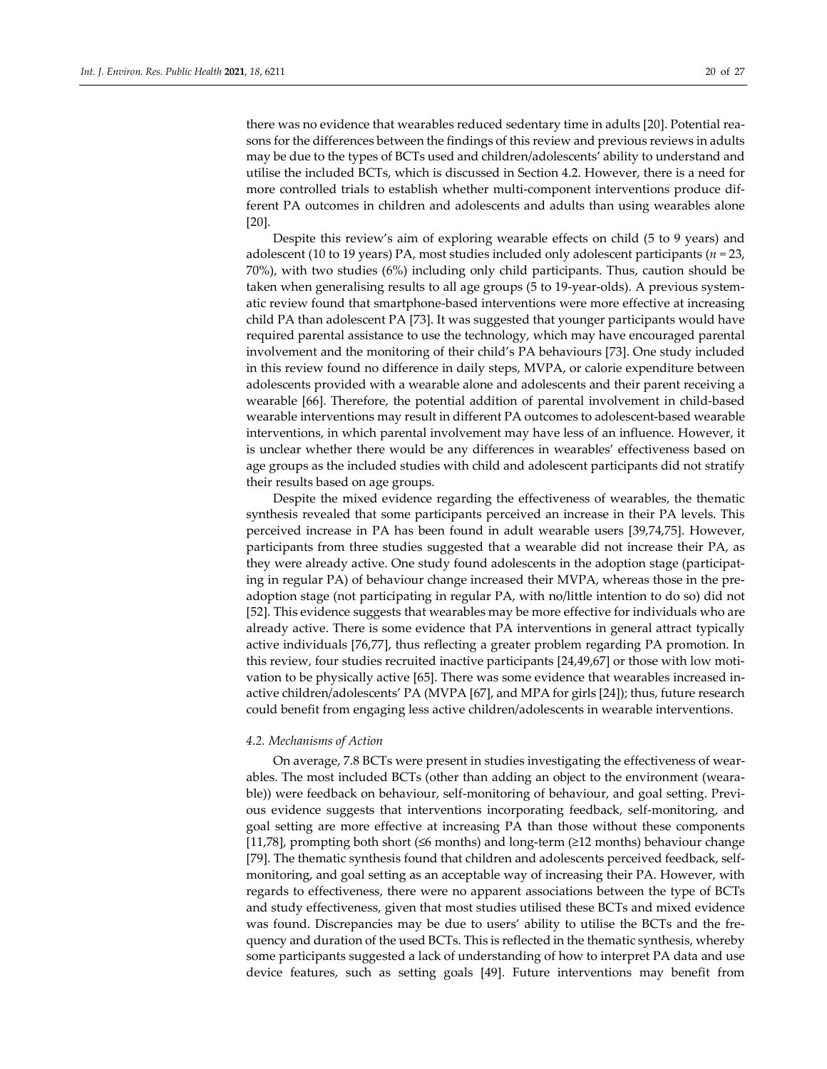there was no evidence that wearables reduced sedentary time in adults [20]. Potential reasons for the differences between the findings of this review and previous reviews in adults may be due to the types of BCTs used and children/adolescents' ability to understand and utilise the included BCTs, which is discussed in Section 4.2. However, there is a need for more controlled trials to establish whether multi-component interventions produce different PA outcomes in children and adolescents and adults than using wearables alone [20].

Despite this review's aim of exploring wearable effects on child (5 to 9 years) and adolescent (10 to 19 years) PA, most studies included only adolescent participants (*n =* 23, 70%), with two studies (6%) including only child participants. Thus, caution should be taken when generalising results to all age groups (5 to 19-year-olds). A previous systematic review found that smartphone-based interventions were more effective at increasing child PA than adolescent PA [73]. It was suggested that younger participants would have required parental assistance to use the technology, which may have encouraged parental involvement and the monitoring of their child's PA behaviours [73]. One study included in this review found no difference in daily steps, MVPA, or calorie expenditure between adolescents provided with a wearable alone and adolescents and their parent receiving a wearable [66]. Therefore, the potential addition of parental involvement in child-based wearable interventions may result in different PA outcomes to adolescent-based wearable interventions, in which parental involvement may have less of an influence. However, it is unclear whether there would be any differences in wearables' effectiveness based on age groups as the included studies with child and adolescent participants did not stratify their results based on age groups.

Despite the mixed evidence regarding the effectiveness of wearables, the thematic synthesis revealed that some participants perceived an increase in their PA levels. This perceived increase in PA has been found in adult wearable users [39,74,75]. However, participants from three studies suggested that a wearable did not increase their PA, as they were already active. One study found adolescents in the adoption stage (participating in regular PA) of behaviour change increased their MVPA, whereas those in the preadoption stage (not participating in regular PA, with no/little intention to do so) did not [52]. This evidence suggests that wearables may be more effective for individuals who are already active. There is some evidence that PA interventions in general attract typically active individuals [76,77], thus reflecting a greater problem regarding PA promotion. In this review, four studies recruited inactive participants [24,49,67] or those with low motivation to be physically active [65]. There was some evidence that wearables increased inactive children/adolescents' PA (MVPA [67], and MPA for girls [24]); thus, future research could benefit from engaging less active children/adolescents in wearable interventions.

#### *4.2. Mechanisms of Action*

On average, 7.8 BCTs were present in studies investigating the effectiveness of wearables. The most included BCTs (other than adding an object to the environment (wearable)) were feedback on behaviour, self-monitoring of behaviour, and goal setting. Previous evidence suggests that interventions incorporating feedback, self-monitoring, and goal setting are more effective at increasing PA than those without these components [11,78], prompting both short (≤6 months) and long-term (≥12 months) behaviour change [79]. The thematic synthesis found that children and adolescents perceived feedback, selfmonitoring, and goal setting as an acceptable way of increasing their PA. However, with regards to effectiveness, there were no apparent associations between the type of BCTs and study effectiveness, given that most studies utilised these BCTs and mixed evidence was found. Discrepancies may be due to users' ability to utilise the BCTs and the frequency and duration of the used BCTs. This is reflected in the thematic synthesis, whereby some participants suggested a lack of understanding of how to interpret PA data and use device features, such as setting goals [49]. Future interventions may benefit from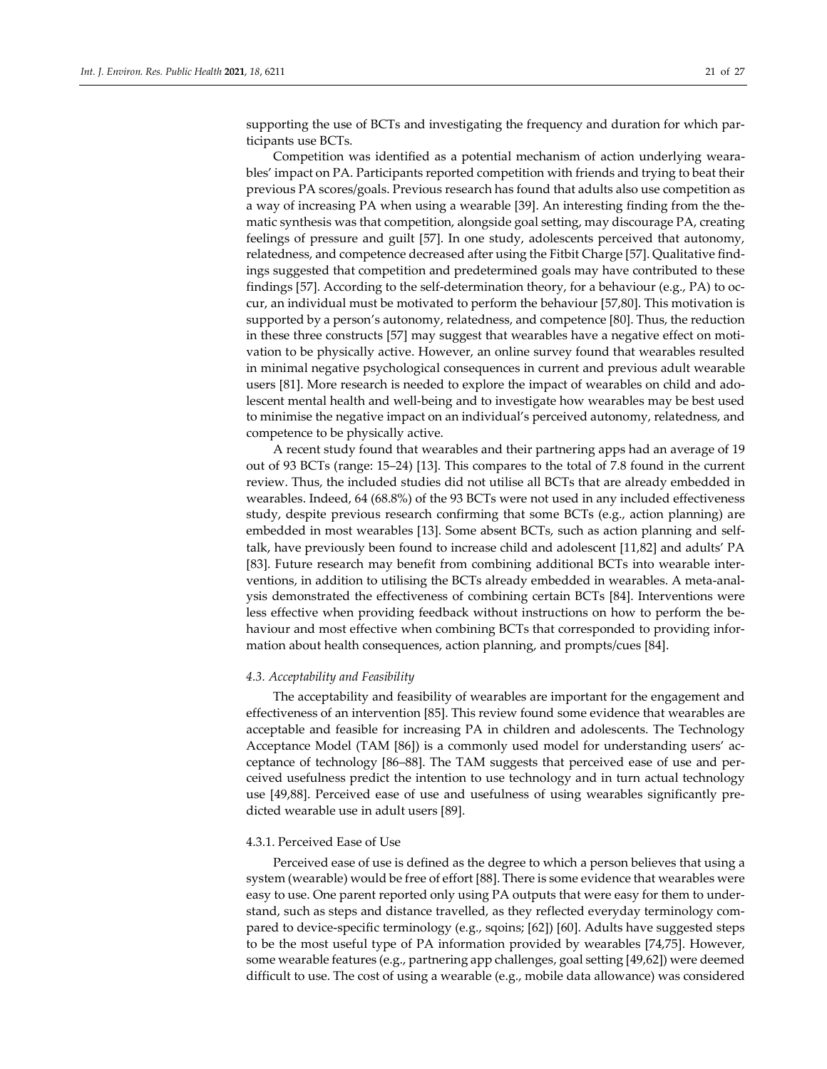supporting the use of BCTs and investigating the frequency and duration for which participants use BCTs.

Competition was identified as a potential mechanism of action underlying wearables' impact on PA. Participants reported competition with friends and trying to beat their previous PA scores/goals. Previous research has found that adults also use competition as a way of increasing PA when using a wearable [39]. An interesting finding from the thematic synthesis was that competition, alongside goal setting, may discourage PA, creating feelings of pressure and guilt [57]. In one study, adolescents perceived that autonomy, relatedness, and competence decreased after using the Fitbit Charge [57]. Qualitative findings suggested that competition and predetermined goals may have contributed to these findings [57]. According to the self-determination theory, for a behaviour (e.g., PA) to occur, an individual must be motivated to perform the behaviour [57,80]. This motivation is supported by a person's autonomy, relatedness, and competence [80]. Thus, the reduction in these three constructs [57] may suggest that wearables have a negative effect on motivation to be physically active. However, an online survey found that wearables resulted in minimal negative psychological consequences in current and previous adult wearable users [81]. More research is needed to explore the impact of wearables on child and adolescent mental health and well-being and to investigate how wearables may be best used to minimise the negative impact on an individual's perceived autonomy, relatedness, and competence to be physically active.

A recent study found that wearables and their partnering apps had an average of 19 out of 93 BCTs (range: 15–24) [13]. This compares to the total of 7.8 found in the current review. Thus, the included studies did not utilise all BCTs that are already embedded in wearables. Indeed, 64 (68.8%) of the 93 BCTs were not used in any included effectiveness study, despite previous research confirming that some BCTs (e.g., action planning) are embedded in most wearables [13]. Some absent BCTs, such as action planning and selftalk, have previously been found to increase child and adolescent [11,82] and adults' PA [83]. Future research may benefit from combining additional BCTs into wearable interventions, in addition to utilising the BCTs already embedded in wearables. A meta-analysis demonstrated the effectiveness of combining certain BCTs [84]. Interventions were less effective when providing feedback without instructions on how to perform the behaviour and most effective when combining BCTs that corresponded to providing information about health consequences, action planning, and prompts/cues [84].

#### *4.3. Acceptability and Feasibility*

The acceptability and feasibility of wearables are important for the engagement and effectiveness of an intervention [85]. This review found some evidence that wearables are acceptable and feasible for increasing PA in children and adolescents. The Technology Acceptance Model (TAM [86]) is a commonly used model for understanding users' acceptance of technology [86–88]. The TAM suggests that perceived ease of use and perceived usefulness predict the intention to use technology and in turn actual technology use [49,88]. Perceived ease of use and usefulness of using wearables significantly predicted wearable use in adult users [89].

## 4.3.1. Perceived Ease of Use

Perceived ease of use is defined as the degree to which a person believes that using a system (wearable) would be free of effort [88]. There is some evidence that wearables were easy to use. One parent reported only using PA outputs that were easy for them to understand, such as steps and distance travelled, as they reflected everyday terminology compared to device-specific terminology (e.g., sqoins; [62]) [60]. Adults have suggested steps to be the most useful type of PA information provided by wearables [74,75]. However, some wearable features (e.g., partnering app challenges, goal setting [49,62]) were deemed difficult to use. The cost of using a wearable (e.g., mobile data allowance) was considered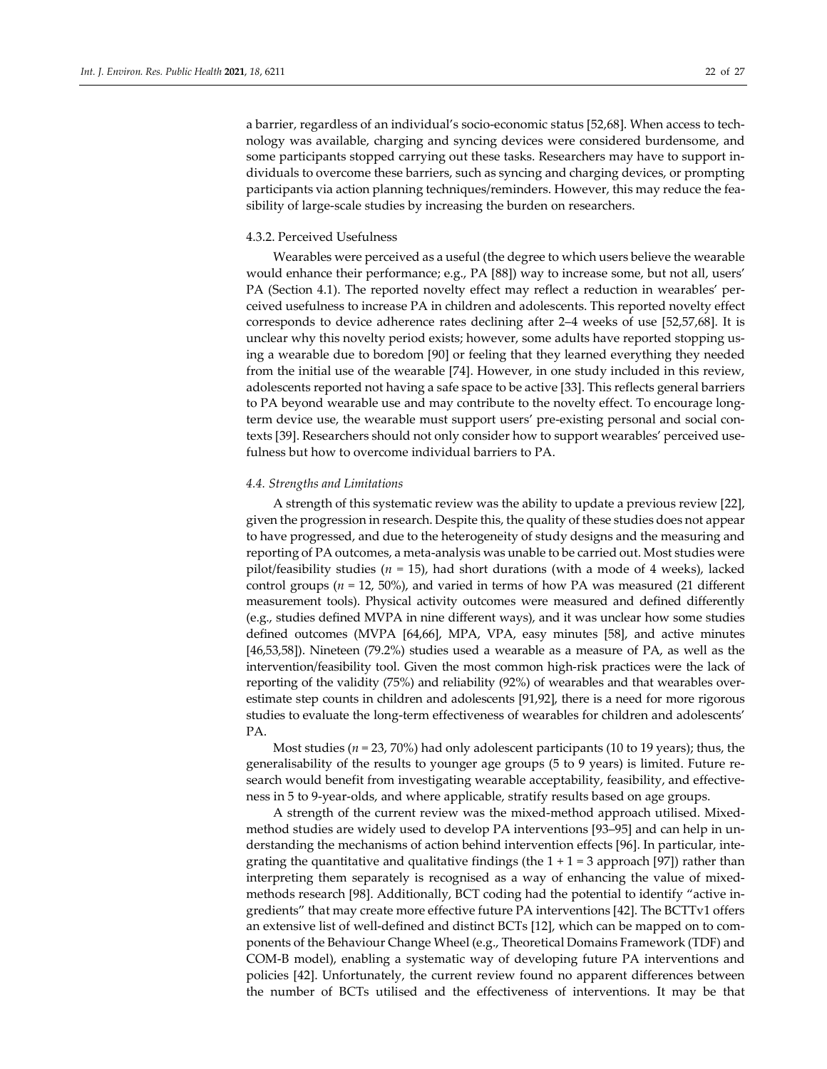a barrier, regardless of an individual's socio-economic status [52,68]. When access to technology was available, charging and syncing devices were considered burdensome, and some participants stopped carrying out these tasks. Researchers may have to support individuals to overcome these barriers, such as syncing and charging devices, or prompting participants via action planning techniques/reminders. However, this may reduce the feasibility of large-scale studies by increasing the burden on researchers.

## 4.3.2. Perceived Usefulness

Wearables were perceived as a useful (the degree to which users believe the wearable would enhance their performance; e.g., PA [88]) way to increase some, but not all, users' PA (Section 4.1). The reported novelty effect may reflect a reduction in wearables' perceived usefulness to increase PA in children and adolescents. This reported novelty effect corresponds to device adherence rates declining after 2–4 weeks of use [52,57,68]. It is unclear why this novelty period exists; however, some adults have reported stopping using a wearable due to boredom [90] or feeling that they learned everything they needed from the initial use of the wearable [74]. However, in one study included in this review, adolescents reported not having a safe space to be active [33]. This reflects general barriers to PA beyond wearable use and may contribute to the novelty effect. To encourage longterm device use, the wearable must support users' pre-existing personal and social contexts [39]. Researchers should not only consider how to support wearables' perceived usefulness but how to overcome individual barriers to PA.

## *4.4. Strengths and Limitations*

A strength of this systematic review was the ability to update a previous review [22], given the progression in research. Despite this, the quality of these studies does not appear to have progressed, and due to the heterogeneity of study designs and the measuring and reporting of PA outcomes, a meta-analysis was unable to be carried out. Most studies were pilot/feasibility studies (*n =* 15), had short durations (with a mode of 4 weeks), lacked control groups ( $n = 12$ , 50%), and varied in terms of how PA was measured (21 different measurement tools). Physical activity outcomes were measured and defined differently (e.g., studies defined MVPA in nine different ways), and it was unclear how some studies defined outcomes (MVPA [64,66], MPA, VPA, easy minutes [58], and active minutes [46,53,58]). Nineteen (79.2%) studies used a wearable as a measure of PA, as well as the intervention/feasibility tool. Given the most common high-risk practices were the lack of reporting of the validity (75%) and reliability (92%) of wearables and that wearables overestimate step counts in children and adolescents [91,92], there is a need for more rigorous studies to evaluate the long-term effectiveness of wearables for children and adolescents' PA.

Most studies ( $n = 23$ , 70%) had only adolescent participants (10 to 19 years); thus, the generalisability of the results to younger age groups (5 to 9 years) is limited. Future research would benefit from investigating wearable acceptability, feasibility, and effectiveness in 5 to 9-year-olds, and where applicable, stratify results based on age groups.

A strength of the current review was the mixed-method approach utilised. Mixedmethod studies are widely used to develop PA interventions [93–95] and can help in understanding the mechanisms of action behind intervention effects [96]. In particular, integrating the quantitative and qualitative findings (the  $1 + 1 = 3$  approach [97]) rather than interpreting them separately is recognised as a way of enhancing the value of mixedmethods research [98]. Additionally, BCT coding had the potential to identify "active ingredients" that may create more effective future PA interventions [42]. The BCTTv1 offers an extensive list of well-defined and distinct BCTs [12], which can be mapped on to components of the Behaviour Change Wheel (e.g., Theoretical Domains Framework (TDF) and COM-B model), enabling a systematic way of developing future PA interventions and policies [42]. Unfortunately, the current review found no apparent differences between the number of BCTs utilised and the effectiveness of interventions. It may be that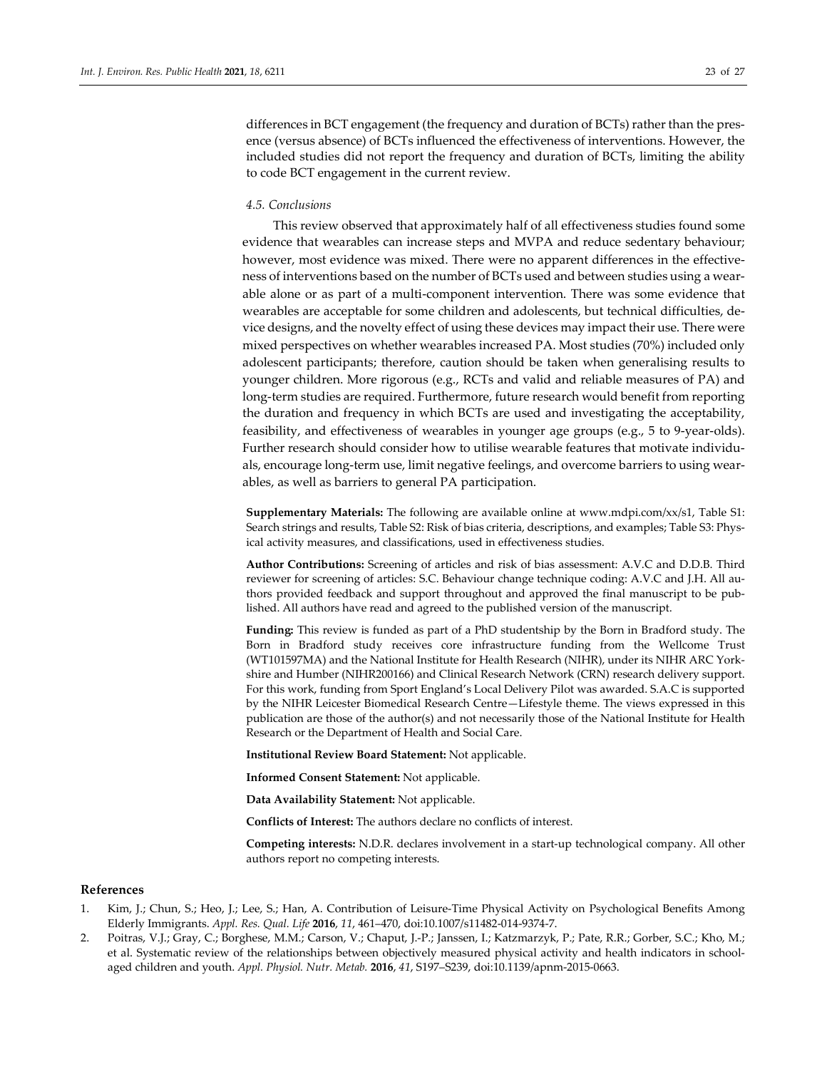differences in BCT engagement (the frequency and duration of BCTs) rather than the presence (versus absence) of BCTs influenced the effectiveness of interventions. However, the included studies did not report the frequency and duration of BCTs, limiting the ability to code BCT engagement in the current review.

# *4.5. Conclusions*

This review observed that approximately half of all effectiveness studies found some evidence that wearables can increase steps and MVPA and reduce sedentary behaviour; however, most evidence was mixed. There were no apparent differences in the effectiveness of interventions based on the number of BCTs used and between studies using a wearable alone or as part of a multi-component intervention. There was some evidence that wearables are acceptable for some children and adolescents, but technical difficulties, device designs, and the novelty effect of using these devices may impact their use. There were mixed perspectives on whether wearables increased PA. Most studies (70%) included only adolescent participants; therefore, caution should be taken when generalising results to younger children. More rigorous (e.g., RCTs and valid and reliable measures of PA) and long-term studies are required. Furthermore, future research would benefit from reporting the duration and frequency in which BCTs are used and investigating the acceptability, feasibility, and effectiveness of wearables in younger age groups (e.g., 5 to 9-year-olds). Further research should consider how to utilise wearable features that motivate individuals, encourage long-term use, limit negative feelings, and overcome barriers to using wearables, as well as barriers to general PA participation.

**Supplementary Materials:** The following are available online at www.mdpi.com/xx/s1, Table S1: Search strings and results, Table S2: Risk of bias criteria, descriptions, and examples; Table S3: Physical activity measures, and classifications, used in effectiveness studies.

**Author Contributions:** Screening of articles and risk of bias assessment: A.V.C and D.D.B. Third reviewer for screening of articles: S.C. Behaviour change technique coding: A.V.C and J.H. All authors provided feedback and support throughout and approved the final manuscript to be published. All authors have read and agreed to the published version of the manuscript.

**Funding:** This review is funded as part of a PhD studentship by the Born in Bradford study. The Born in Bradford study receives core infrastructure funding from the Wellcome Trust (WT101597MA) and the National Institute for Health Research (NIHR), under its NIHR ARC Yorkshire and Humber (NIHR200166) and Clinical Research Network (CRN) research delivery support. For this work, funding from Sport England's Local Delivery Pilot was awarded. S.A.C is supported by the NIHR Leicester Biomedical Research Centre—Lifestyle theme. The views expressed in this publication are those of the author(s) and not necessarily those of the National Institute for Health Research or the Department of Health and Social Care.

**Institutional Review Board Statement:** Not applicable.

**Informed Consent Statement:** Not applicable.

**Data Availability Statement:** Not applicable.

**Conflicts of Interest:** The authors declare no conflicts of interest.

**Competing interests:** N.D.R. declares involvement in a start-up technological company. All other authors report no competing interests.

#### **References**

- 1. Kim, J.; Chun, S.; Heo, J.; Lee, S.; Han, A. Contribution of Leisure-Time Physical Activity on Psychological Benefits Among Elderly Immigrants. *Appl. Res. Qual. Life* **2016**, *11*, 461–470, doi:10.1007/s11482-014-9374-7.
- 2. Poitras, V.J.; Gray, C.; Borghese, M.M.; Carson, V.; Chaput, J.-P.; Janssen, I.; Katzmarzyk, P.; Pate, R.R.; Gorber, S.C.; Kho, M.; et al. Systematic review of the relationships between objectively measured physical activity and health indicators in schoolaged children and youth. *Appl. Physiol. Nutr. Metab.* **2016**, *41*, S197–S239, doi:10.1139/apnm-2015-0663.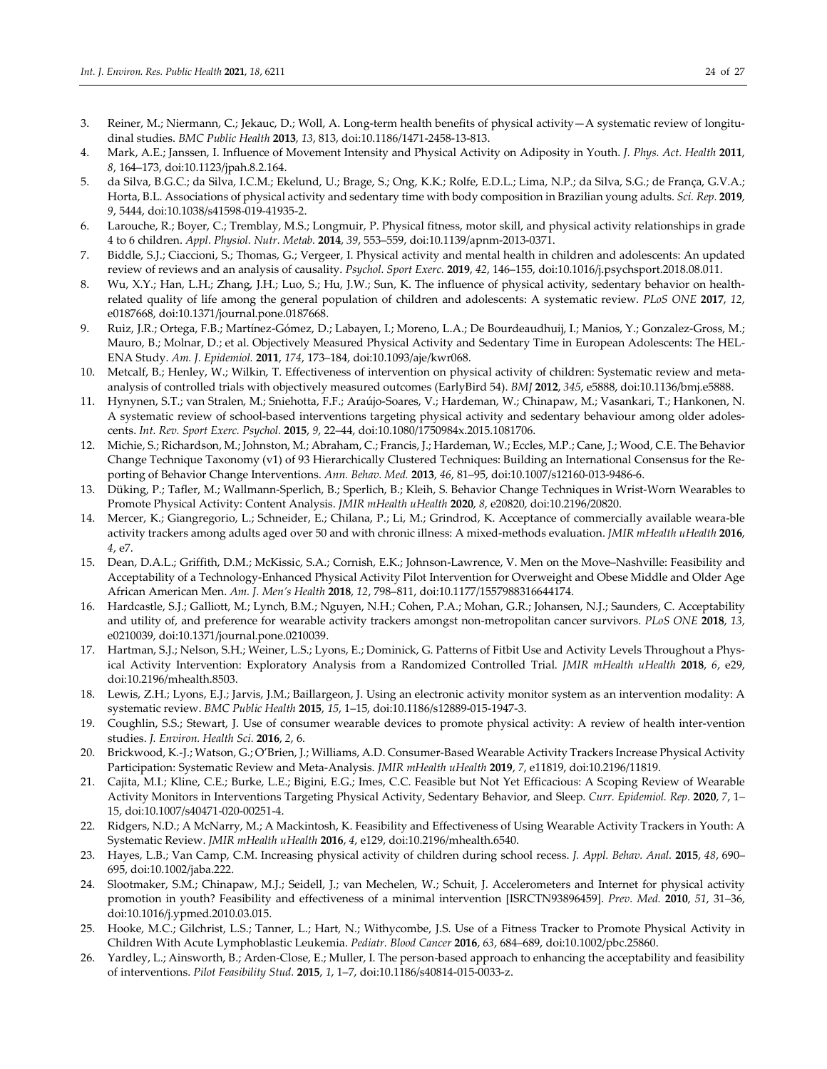- 3. Reiner, M.; Niermann, C.; Jekauc, D.; Woll, A. Long-term health benefits of physical activity—A systematic review of longitudinal studies. *BMC Public Health* **2013**, *13*, 813, doi:10.1186/1471-2458-13-813.
- 4. Mark, A.E.; Janssen, I. Influence of Movement Intensity and Physical Activity on Adiposity in Youth. *J. Phys. Act. Health* **2011**, *8*, 164–173, doi:10.1123/jpah.8.2.164.
- 5. da Silva, B.G.C.; da Silva, I.C.M.; Ekelund, U.; Brage, S.; Ong, K.K.; Rolfe, E.D.L.; Lima, N.P.; da Silva, S.G.; de França, G.V.A.; Horta, B.L. Associations of physical activity and sedentary time with body composition in Brazilian young adults. *Sci. Rep.* **2019**, *9*, 5444, doi:10.1038/s41598-019-41935-2.
- 6. Larouche, R.; Boyer, C.; Tremblay, M.S.; Longmuir, P. Physical fitness, motor skill, and physical activity relationships in grade 4 to 6 children. *Appl. Physiol. Nutr. Metab.* **2014**, *39*, 553–559, doi:10.1139/apnm-2013-0371.
- 7. Biddle, S.J.; Ciaccioni, S.; Thomas, G.; Vergeer, I. Physical activity and mental health in children and adolescents: An updated review of reviews and an analysis of causality. *Psychol. Sport Exerc.* **2019**, *42*, 146–155, doi:10.1016/j.psychsport.2018.08.011.
- 8. Wu, X.Y.; Han, L.H.; Zhang, J.H.; Luo, S.; Hu, J.W.; Sun, K. The influence of physical activity, sedentary behavior on healthrelated quality of life among the general population of children and adolescents: A systematic review. *PLoS ONE* **2017**, *12*, e0187668, doi:10.1371/journal.pone.0187668.
- 9. Ruiz, J.R.; Ortega, F.B.; Martínez-Gómez, D.; Labayen, I.; Moreno, L.A.; De Bourdeaudhuij, I.; Manios, Y.; Gonzalez-Gross, M.; Mauro, B.; Molnar, D.; et al. Objectively Measured Physical Activity and Sedentary Time in European Adolescents: The HEL-ENA Study. *Am. J. Epidemiol.* **2011**, *174*, 173–184, doi:10.1093/aje/kwr068.
- 10. Metcalf, B.; Henley, W.; Wilkin, T. Effectiveness of intervention on physical activity of children: Systematic review and metaanalysis of controlled trials with objectively measured outcomes (EarlyBird 54). *BMJ* **2012**, *345*, e5888, doi:10.1136/bmj.e5888.
- 11. Hynynen, S.T.; van Stralen, M.; Sniehotta, F.F.; Araújo-Soares, V.; Hardeman, W.; Chinapaw, M.; Vasankari, T.; Hankonen, N. A systematic review of school-based interventions targeting physical activity and sedentary behaviour among older adolescents. *Int. Rev. Sport Exerc. Psychol.* **2015**, *9*, 22–44, doi:10.1080/1750984x.2015.1081706.
- 12. Michie, S.; Richardson, M.; Johnston, M.; Abraham, C.; Francis, J.; Hardeman, W.; Eccles, M.P.; Cane, J.; Wood, C.E. The Behavior Change Technique Taxonomy (v1) of 93 Hierarchically Clustered Techniques: Building an International Consensus for the Reporting of Behavior Change Interventions. *Ann. Behav. Med.* **2013**, *46*, 81–95, doi:10.1007/s12160-013-9486-6.
- 13. Düking, P.; Tafler, M.; Wallmann-Sperlich, B.; Sperlich, B.; Kleih, S. Behavior Change Techniques in Wrist-Worn Wearables to Promote Physical Activity: Content Analysis. *JMIR mHealth uHealth* **2020**, *8*, e20820, doi:10.2196/20820.
- 14. Mercer, K.; Giangregorio, L.; Schneider, E.; Chilana, P.; Li, M.; Grindrod, K. Acceptance of commercially available weara-ble activity trackers among adults aged over 50 and with chronic illness: A mixed-methods evaluation. *JMIR mHealth uHealth* **2016**, *4*, e7.
- 15. Dean, D.A.L.; Griffith, D.M.; McKissic, S.A.; Cornish, E.K.; Johnson-Lawrence, V. Men on the Move–Nashville: Feasibility and Acceptability of a Technology-Enhanced Physical Activity Pilot Intervention for Overweight and Obese Middle and Older Age African American Men. *Am. J. Men's Health* **2018**, *12*, 798–811, doi:10.1177/1557988316644174.
- 16. Hardcastle, S.J.; Galliott, M.; Lynch, B.M.; Nguyen, N.H.; Cohen, P.A.; Mohan, G.R.; Johansen, N.J.; Saunders, C. Acceptability and utility of, and preference for wearable activity trackers amongst non-metropolitan cancer survivors. *PLoS ONE* **2018**, *13*, e0210039, doi:10.1371/journal.pone.0210039.
- 17. Hartman, S.J.; Nelson, S.H.; Weiner, L.S.; Lyons, E.; Dominick, G. Patterns of Fitbit Use and Activity Levels Throughout a Physical Activity Intervention: Exploratory Analysis from a Randomized Controlled Trial. *JMIR mHealth uHealth* **2018**, *6*, e29, doi:10.2196/mhealth.8503.
- 18. Lewis, Z.H.; Lyons, E.J.; Jarvis, J.M.; Baillargeon, J. Using an electronic activity monitor system as an intervention modality: A systematic review. *BMC Public Health* **2015**, *15*, 1–15, doi:10.1186/s12889-015-1947-3.
- 19. Coughlin, S.S.; Stewart, J. Use of consumer wearable devices to promote physical activity: A review of health inter-vention studies. *J. Environ. Health Sci.* **2016**, *2*, 6.
- 20. Brickwood, K.-J.; Watson, G.; O'Brien, J.; Williams, A.D. Consumer-Based Wearable Activity Trackers Increase Physical Activity Participation: Systematic Review and Meta-Analysis. *JMIR mHealth uHealth* **2019**, *7*, e11819, doi:10.2196/11819.
- 21. Cajita, M.I.; Kline, C.E.; Burke, L.E.; Bigini, E.G.; Imes, C.C. Feasible but Not Yet Efficacious: A Scoping Review of Wearable Activity Monitors in Interventions Targeting Physical Activity, Sedentary Behavior, and Sleep. *Curr. Epidemiol. Rep.* **2020**, *7*, 1– 15, doi:10.1007/s40471-020-00251-4.
- 22. Ridgers, N.D.; A McNarry, M.; A Mackintosh, K. Feasibility and Effectiveness of Using Wearable Activity Trackers in Youth: A Systematic Review. *JMIR mHealth uHealth* **2016**, *4*, e129, doi:10.2196/mhealth.6540.
- 23. Hayes, L.B.; Van Camp, C.M. Increasing physical activity of children during school recess. *J. Appl. Behav. Anal.* **2015**, *48*, 690– 695, doi:10.1002/jaba.222.
- 24. Slootmaker, S.M.; Chinapaw, M.J.; Seidell, J.; van Mechelen, W.; Schuit, J. Accelerometers and Internet for physical activity promotion in youth? Feasibility and effectiveness of a minimal intervention [ISRCTN93896459]. *Prev. Med.* **2010**, *51*, 31–36, doi:10.1016/j.ypmed.2010.03.015.
- 25. Hooke, M.C.; Gilchrist, L.S.; Tanner, L.; Hart, N.; Withycombe, J.S. Use of a Fitness Tracker to Promote Physical Activity in Children With Acute Lymphoblastic Leukemia. *Pediatr. Blood Cancer* **2016**, *63*, 684–689, doi:10.1002/pbc.25860.
- 26. Yardley, L.; Ainsworth, B.; Arden-Close, E.; Muller, I. The person-based approach to enhancing the acceptability and feasibility of interventions. *Pilot Feasibility Stud.* **2015**, *1*, 1–7, doi:10.1186/s40814-015-0033-z.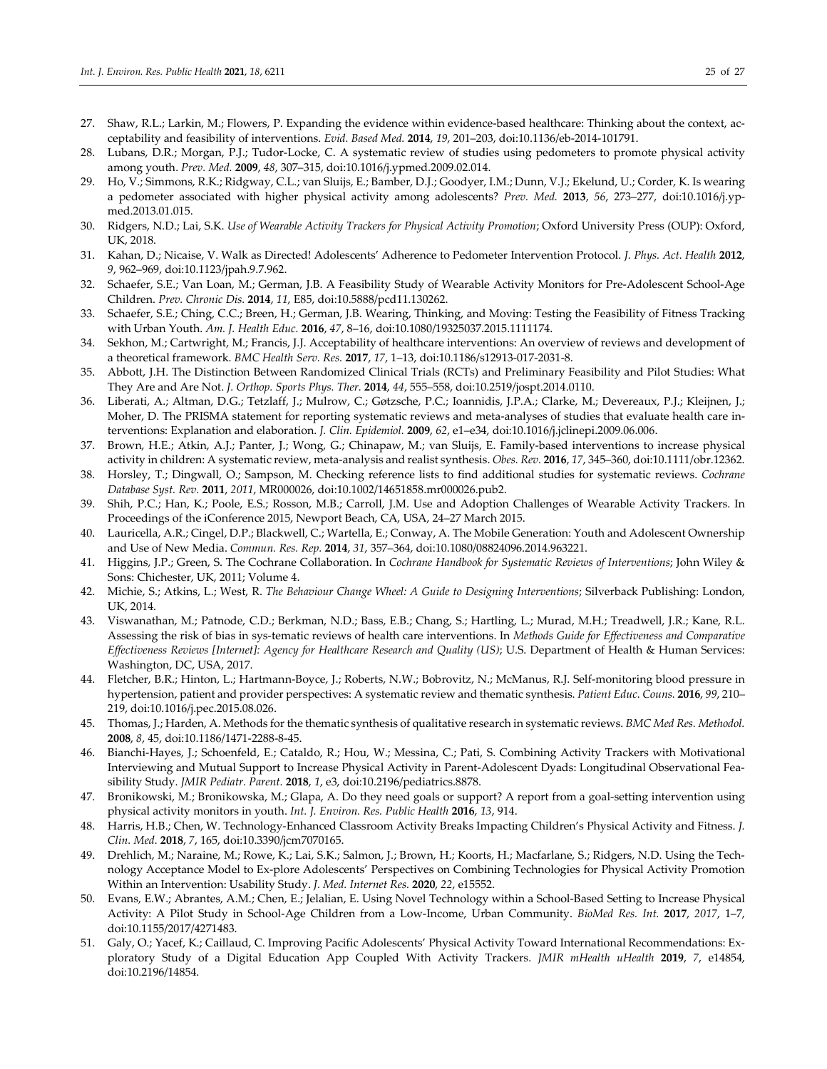- 27. Shaw, R.L.; Larkin, M.; Flowers, P. Expanding the evidence within evidence-based healthcare: Thinking about the context, acceptability and feasibility of interventions. *Evid. Based Med.* **2014**, *19*, 201–203, doi:10.1136/eb-2014-101791.
- 28. Lubans, D.R.; Morgan, P.J.; Tudor-Locke, C. A systematic review of studies using pedometers to promote physical activity among youth. *Prev. Med.* **2009**, *48*, 307–315, doi:10.1016/j.ypmed.2009.02.014.
- 29. Ho, V.; Simmons, R.K.; Ridgway, C.L.; van Sluijs, E.; Bamber, D.J.; Goodyer, I.M.; Dunn, V.J.; Ekelund, U.; Corder, K. Is wearing a pedometer associated with higher physical activity among adolescents? *Prev. Med.* **2013**, *56*, 273–277, doi:10.1016/j.ypmed.2013.01.015.
- 30. Ridgers, N.D.; Lai, S.K. *Use of Wearable Activity Trackers for Physical Activity Promotion*; Oxford University Press (OUP): Oxford, UK, 2018.
- 31. Kahan, D.; Nicaise, V. Walk as Directed! Adolescents' Adherence to Pedometer Intervention Protocol. *J. Phys. Act. Health* **2012**, *9*, 962–969, doi:10.1123/jpah.9.7.962.
- 32. Schaefer, S.E.; Van Loan, M.; German, J.B. A Feasibility Study of Wearable Activity Monitors for Pre-Adolescent School-Age Children. *Prev. Chronic Dis.* **2014**, *11*, E85, doi:10.5888/pcd11.130262.
- 33. Schaefer, S.E.; Ching, C.C.; Breen, H.; German, J.B. Wearing, Thinking, and Moving: Testing the Feasibility of Fitness Tracking with Urban Youth. *Am. J. Health Educ.* **2016**, *47*, 8–16, doi:10.1080/19325037.2015.1111174.
- 34. Sekhon, M.; Cartwright, M.; Francis, J.J. Acceptability of healthcare interventions: An overview of reviews and development of a theoretical framework. *BMC Health Serv. Res.* **2017**, *17*, 1–13, doi:10.1186/s12913-017-2031-8.
- 35. Abbott, J.H. The Distinction Between Randomized Clinical Trials (RCTs) and Preliminary Feasibility and Pilot Studies: What They Are and Are Not. *J. Orthop. Sports Phys. Ther.* **2014**, *44*, 555–558, doi:10.2519/jospt.2014.0110.
- 36. Liberati, A.; Altman, D.G.; Tetzlaff, J.; Mulrow, C.; Gøtzsche, P.C.; Ioannidis, J.P.A.; Clarke, M.; Devereaux, P.J.; Kleijnen, J.; Moher, D. The PRISMA statement for reporting systematic reviews and meta-analyses of studies that evaluate health care interventions: Explanation and elaboration. *J. Clin. Epidemiol.* **2009**, *62*, e1–e34, doi:10.1016/j.jclinepi.2009.06.006.
- 37. Brown, H.E.; Atkin, A.J.; Panter, J.; Wong, G.; Chinapaw, M.; van Sluijs, E. Family-based interventions to increase physical activity in children: A systematic review, meta-analysis and realist synthesis. *Obes. Rev.* **2016**, *17*, 345–360, doi:10.1111/obr.12362.
- 38. Horsley, T.; Dingwall, O.; Sampson, M. Checking reference lists to find additional studies for systematic reviews. *Cochrane Database Syst. Rev.* **2011**, *2011*, MR000026, doi:10.1002/14651858.mr000026.pub2.
- 39. Shih, P.C.; Han, K.; Poole, E.S.; Rosson, M.B.; Carroll, J.M. Use and Adoption Challenges of Wearable Activity Trackers. In Proceedings of the iConference 2015, Newport Beach, CA, USA, 24–27 March 2015.
- 40. Lauricella, A.R.; Cingel, D.P.; Blackwell, C.; Wartella, E.; Conway, A. The Mobile Generation: Youth and Adolescent Ownership and Use of New Media. *Commun. Res. Rep.* **2014**, *31*, 357–364, doi:10.1080/08824096.2014.963221.
- 41. Higgins, J.P.; Green, S. The Cochrane Collaboration. In *Cochrane Handbook for Systematic Reviews of Interventions*; John Wiley & Sons: Chichester, UK, 2011; Volume 4.
- 42. Michie, S.; Atkins, L.; West, R. *The Behaviour Change Wheel: A Guide to Designing Interventions*; Silverback Publishing: London, UK, 2014.
- 43. Viswanathan, M.; Patnode, C.D.; Berkman, N.D.; Bass, E.B.; Chang, S.; Hartling, L.; Murad, M.H.; Treadwell, J.R.; Kane, R.L. Assessing the risk of bias in sys-tematic reviews of health care interventions. In *Methods Guide for Effectiveness and Comparative Effectiveness Reviews [Internet]: Agency for Healthcare Research and Quality (US)*; U.S. Department of Health & Human Services: Washington, DC, USA, 2017.
- 44. Fletcher, B.R.; Hinton, L.; Hartmann-Boyce, J.; Roberts, N.W.; Bobrovitz, N.; McManus, R.J. Self-monitoring blood pressure in hypertension, patient and provider perspectives: A systematic review and thematic synthesis. *Patient Educ. Couns.* **2016**, *99*, 210– 219, doi:10.1016/j.pec.2015.08.026.
- 45. Thomas, J.; Harden, A. Methods for the thematic synthesis of qualitative research in systematic reviews. *BMC Med Res. Methodol.* **2008**, *8*, 45, doi:10.1186/1471-2288-8-45.
- 46. Bianchi-Hayes, J.; Schoenfeld, E.; Cataldo, R.; Hou, W.; Messina, C.; Pati, S. Combining Activity Trackers with Motivational Interviewing and Mutual Support to Increase Physical Activity in Parent-Adolescent Dyads: Longitudinal Observational Feasibility Study. *JMIR Pediatr. Parent.* **2018**, *1*, e3, doi:10.2196/pediatrics.8878.
- 47. Bronikowski, M.; Bronikowska, M.; Glapa, A. Do they need goals or support? A report from a goal-setting intervention using physical activity monitors in youth. *Int. J. Environ. Res. Public Health* **2016**, *13*, 914.
- 48. Harris, H.B.; Chen, W. Technology-Enhanced Classroom Activity Breaks Impacting Children's Physical Activity and Fitness. *J. Clin. Med.* **2018**, *7*, 165, doi:10.3390/jcm7070165.
- 49. Drehlich, M.; Naraine, M.; Rowe, K.; Lai, S.K.; Salmon, J.; Brown, H.; Koorts, H.; Macfarlane, S.; Ridgers, N.D. Using the Technology Acceptance Model to Ex-plore Adolescents' Perspectives on Combining Technologies for Physical Activity Promotion Within an Intervention: Usability Study. *J. Med. Internet Res.* **2020**, *22*, e15552.
- 50. Evans, E.W.; Abrantes, A.M.; Chen, E.; Jelalian, E. Using Novel Technology within a School-Based Setting to Increase Physical Activity: A Pilot Study in School-Age Children from a Low-Income, Urban Community. *BioMed Res. Int.* **2017**, *2017*, 1–7, doi:10.1155/2017/4271483.
- 51. Galy, O.; Yacef, K.; Caillaud, C. Improving Pacific Adolescents' Physical Activity Toward International Recommendations: Exploratory Study of a Digital Education App Coupled With Activity Trackers. *JMIR mHealth uHealth* **2019**, *7*, e14854, doi:10.2196/14854.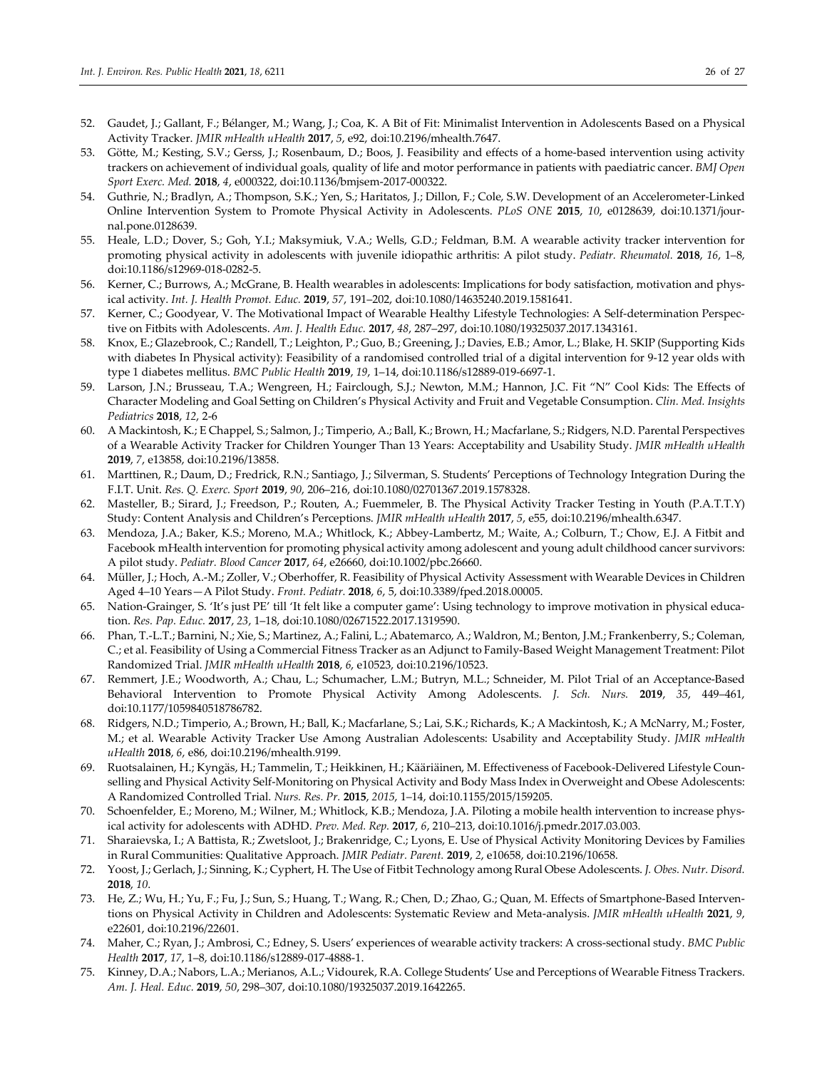- 52. Gaudet, J.; Gallant, F.; Bélanger, M.; Wang, J.; Coa, K. A Bit of Fit: Minimalist Intervention in Adolescents Based on a Physical Activity Tracker. *JMIR mHealth uHealth* **2017**, *5*, e92, doi:10.2196/mhealth.7647.
- 53. Götte, M.; Kesting, S.V.; Gerss, J.; Rosenbaum, D.; Boos, J. Feasibility and effects of a home-based intervention using activity trackers on achievement of individual goals, quality of life and motor performance in patients with paediatric cancer. *BMJ Open Sport Exerc. Med.* **2018**, *4*, e000322, doi:10.1136/bmjsem-2017-000322.
- 54. Guthrie, N.; Bradlyn, A.; Thompson, S.K.; Yen, S.; Haritatos, J.; Dillon, F.; Cole, S.W. Development of an Accelerometer-Linked Online Intervention System to Promote Physical Activity in Adolescents. *PLoS ONE* **2015**, *10*, e0128639, doi:10.1371/journal.pone.0128639.
- 55. Heale, L.D.; Dover, S.; Goh, Y.I.; Maksymiuk, V.A.; Wells, G.D.; Feldman, B.M. A wearable activity tracker intervention for promoting physical activity in adolescents with juvenile idiopathic arthritis: A pilot study. *Pediatr. Rheumatol.* **2018**, *16*, 1–8, doi:10.1186/s12969-018-0282-5.
- 56. Kerner, C.; Burrows, A.; McGrane, B. Health wearables in adolescents: Implications for body satisfaction, motivation and physical activity. *Int. J. Health Promot. Educ.* **2019**, *57*, 191–202, doi:10.1080/14635240.2019.1581641.
- 57. Kerner, C.; Goodyear, V. The Motivational Impact of Wearable Healthy Lifestyle Technologies: A Self-determination Perspective on Fitbits with Adolescents. *Am. J. Health Educ.* **2017**, *48*, 287–297, doi:10.1080/19325037.2017.1343161.
- 58. Knox, E.; Glazebrook, C.; Randell, T.; Leighton, P.; Guo, B.; Greening, J.; Davies, E.B.; Amor, L.; Blake, H. SKIP (Supporting Kids with diabetes In Physical activity): Feasibility of a randomised controlled trial of a digital intervention for 9-12 year olds with type 1 diabetes mellitus. *BMC Public Health* **2019**, *19*, 1–14, doi:10.1186/s12889-019-6697-1.
- 59. Larson, J.N.; Brusseau, T.A.; Wengreen, H.; Fairclough, S.J.; Newton, M.M.; Hannon, J.C. Fit "N" Cool Kids: The Effects of Character Modeling and Goal Setting on Children's Physical Activity and Fruit and Vegetable Consumption. *Clin. Med. Insights Pediatrics* **2018**, *12*, 2-6
- 60. A Mackintosh, K.; E Chappel, S.; Salmon, J.; Timperio, A.; Ball, K.; Brown, H.; Macfarlane, S.; Ridgers, N.D. Parental Perspectives of a Wearable Activity Tracker for Children Younger Than 13 Years: Acceptability and Usability Study. *JMIR mHealth uHealth* **2019**, *7*, e13858, doi:10.2196/13858.
- 61. Marttinen, R.; Daum, D.; Fredrick, R.N.; Santiago, J.; Silverman, S. Students' Perceptions of Technology Integration During the F.I.T. Unit. *Res. Q. Exerc. Sport* **2019**, *90*, 206–216, doi:10.1080/02701367.2019.1578328.
- 62. Masteller, B.; Sirard, J.; Freedson, P.; Routen, A.; Fuemmeler, B. The Physical Activity Tracker Testing in Youth (P.A.T.T.Y) Study: Content Analysis and Children's Perceptions. *JMIR mHealth uHealth* **2017**, *5*, e55, doi:10.2196/mhealth.6347.
- 63. Mendoza, J.A.; Baker, K.S.; Moreno, M.A.; Whitlock, K.; Abbey-Lambertz, M.; Waite, A.; Colburn, T.; Chow, E.J. A Fitbit and Facebook mHealth intervention for promoting physical activity among adolescent and young adult childhood cancer survivors: A pilot study. *Pediatr. Blood Cancer* **2017**, *64*, e26660, doi:10.1002/pbc.26660.
- 64. Müller, J.; Hoch, A.-M.; Zoller, V.; Oberhoffer, R. Feasibility of Physical Activity Assessment with Wearable Devices in Children Aged 4–10 Years—A Pilot Study. *Front. Pediatr.* **2018**, *6*, 5, doi:10.3389/fped.2018.00005.
- 65. Nation-Grainger, S. 'It's just PE' till 'It felt like a computer game': Using technology to improve motivation in physical education. *Res. Pap. Educ.* **2017**, *23*, 1–18, doi:10.1080/02671522.2017.1319590.
- 66. Phan, T.-L.T.; Barnini, N.; Xie, S.; Martinez, A.; Falini, L.; Abatemarco, A.; Waldron, M.; Benton, J.M.; Frankenberry, S.; Coleman, C.; et al. Feasibility of Using a Commercial Fitness Tracker as an Adjunct to Family-Based Weight Management Treatment: Pilot Randomized Trial. *JMIR mHealth uHealth* **2018**, *6*, e10523, doi:10.2196/10523.
- 67. Remmert, J.E.; Woodworth, A.; Chau, L.; Schumacher, L.M.; Butryn, M.L.; Schneider, M. Pilot Trial of an Acceptance-Based Behavioral Intervention to Promote Physical Activity Among Adolescents. *J. Sch. Nurs.* **2019**, *35*, 449–461, doi:10.1177/1059840518786782.
- 68. Ridgers, N.D.; Timperio, A.; Brown, H.; Ball, K.; Macfarlane, S.; Lai, S.K.; Richards, K.; A Mackintosh, K.; A McNarry, M.; Foster, M.; et al. Wearable Activity Tracker Use Among Australian Adolescents: Usability and Acceptability Study. *JMIR mHealth uHealth* **2018**, *6*, e86, doi:10.2196/mhealth.9199.
- 69. Ruotsalainen, H.; Kyngäs, H.; Tammelin, T.; Heikkinen, H.; Kääriäinen, M. Effectiveness of Facebook-Delivered Lifestyle Counselling and Physical Activity Self-Monitoring on Physical Activity and Body Mass Index in Overweight and Obese Adolescents: A Randomized Controlled Trial. *Nurs. Res. Pr.* **2015**, *2015*, 1–14, doi:10.1155/2015/159205.
- 70. Schoenfelder, E.; Moreno, M.; Wilner, M.; Whitlock, K.B.; Mendoza, J.A. Piloting a mobile health intervention to increase physical activity for adolescents with ADHD. *Prev. Med. Rep.* **2017**, *6*, 210–213, doi:10.1016/j.pmedr.2017.03.003.
- 71. Sharaievska, I.; A Battista, R.; Zwetsloot, J.; Brakenridge, C.; Lyons, E. Use of Physical Activity Monitoring Devices by Families in Rural Communities: Qualitative Approach. *JMIR Pediatr. Parent.* **2019**, *2*, e10658, doi:10.2196/10658.
- 72. Yoost, J.; Gerlach, J.; Sinning, K.; Cyphert, H. The Use of Fitbit Technology among Rural Obese Adolescents. *J. Obes. Nutr. Disord.*  **2018**, *10*.
- 73. He, Z.; Wu, H.; Yu, F.; Fu, J.; Sun, S.; Huang, T.; Wang, R.; Chen, D.; Zhao, G.; Quan, M. Effects of Smartphone-Based Interventions on Physical Activity in Children and Adolescents: Systematic Review and Meta-analysis. *JMIR mHealth uHealth* **2021**, *9*, e22601, doi:10.2196/22601.
- 74. Maher, C.; Ryan, J.; Ambrosi, C.; Edney, S. Users' experiences of wearable activity trackers: A cross-sectional study. *BMC Public Health* **2017**, *17*, 1–8, doi:10.1186/s12889-017-4888-1.
- 75. Kinney, D.A.; Nabors, L.A.; Merianos, A.L.; Vidourek, R.A. College Students' Use and Perceptions of Wearable Fitness Trackers. *Am. J. Heal. Educ.* **2019**, *50*, 298–307, doi:10.1080/19325037.2019.1642265.